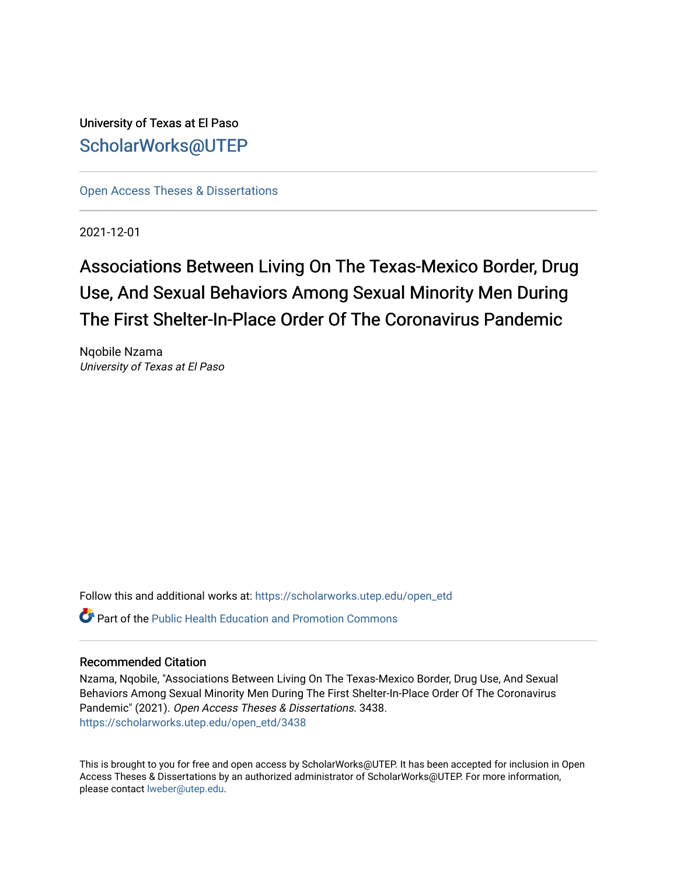University of Texas at El Paso [ScholarWorks@UTEP](https://scholarworks.utep.edu/)

[Open Access Theses & Dissertations](https://scholarworks.utep.edu/open_etd) 

2021-12-01

# Associations Between Living On The Texas-Mexico Border, Drug Use, And Sexual Behaviors Among Sexual Minority Men During The First Shelter-In-Place Order Of The Coronavirus Pandemic

Nqobile Nzama University of Texas at El Paso

Follow this and additional works at: [https://scholarworks.utep.edu/open\\_etd](https://scholarworks.utep.edu/open_etd?utm_source=scholarworks.utep.edu%2Fopen_etd%2F3438&utm_medium=PDF&utm_campaign=PDFCoverPages)

 $\bullet$  Part of the Public Health Education and Promotion Commons

## Recommended Citation

Nzama, Nqobile, "Associations Between Living On The Texas-Mexico Border, Drug Use, And Sexual Behaviors Among Sexual Minority Men During The First Shelter-In-Place Order Of The Coronavirus Pandemic" (2021). Open Access Theses & Dissertations. 3438. [https://scholarworks.utep.edu/open\\_etd/3438](https://scholarworks.utep.edu/open_etd/3438?utm_source=scholarworks.utep.edu%2Fopen_etd%2F3438&utm_medium=PDF&utm_campaign=PDFCoverPages) 

This is brought to you for free and open access by ScholarWorks@UTEP. It has been accepted for inclusion in Open Access Theses & Dissertations by an authorized administrator of ScholarWorks@UTEP. For more information, please contact [lweber@utep.edu.](mailto:lweber@utep.edu)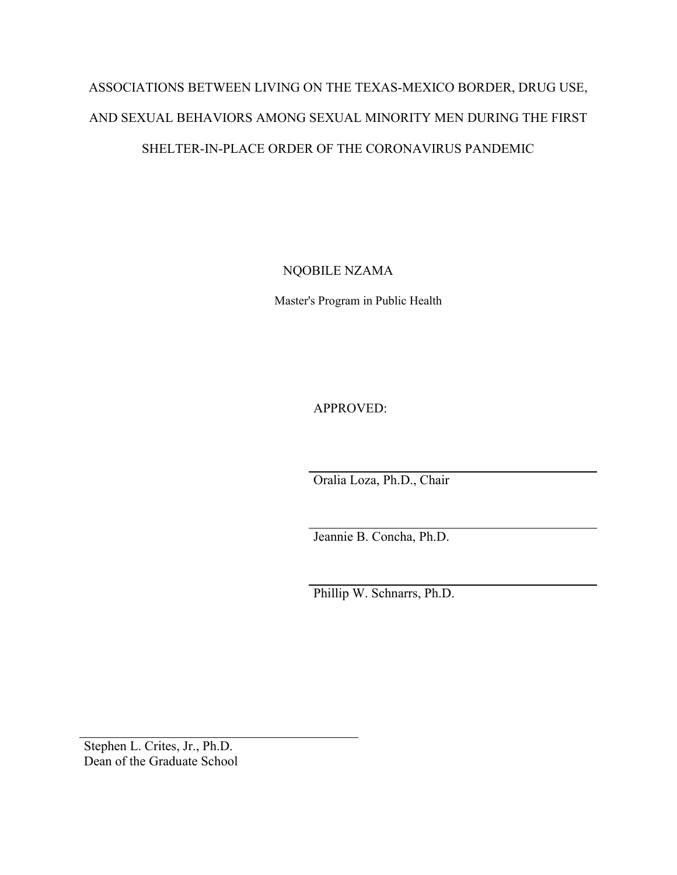# ASSOCIATIONS BETWEEN LIVING ON THE TEXAS-MEXICO BORDER, DRUG USE, AND SEXUAL BEHAVIORS AMONG SEXUAL MINORITY MEN DURING THE FIRST SHELTER-IN-PLACE ORDER OF THE CORONAVIRUS PANDEMIC

NQOBILE NZAMA

Master's Program in Public Health

APPROVED:

Oralia Loza, Ph.D., Chair

Jeannie B. Concha, Ph.D.

Phillip W. Schnarrs, Ph.D.

Stephen L. Crites, Jr., Ph.D. Dean of the Graduate School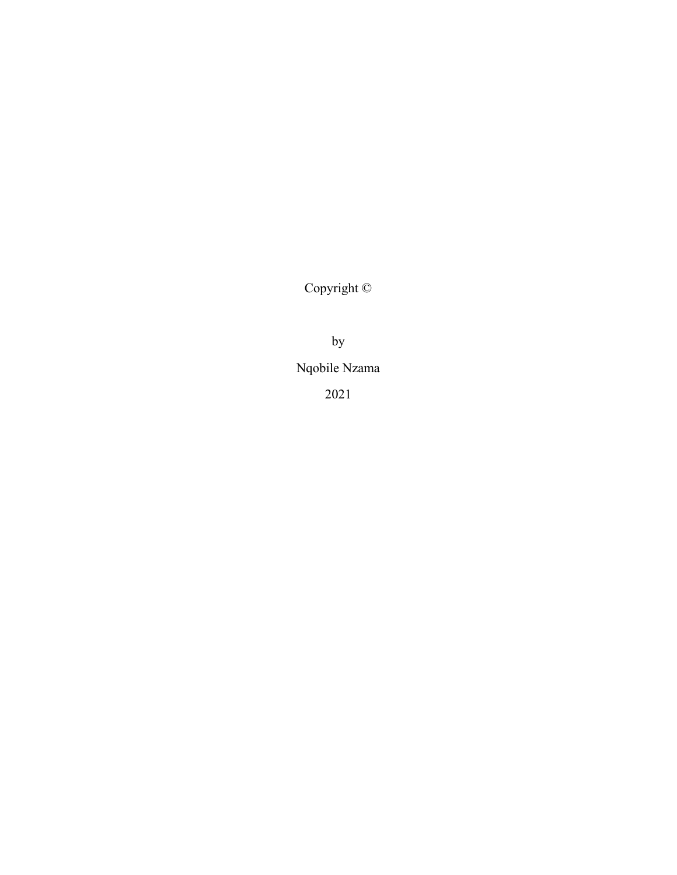Copyright ©

by

Nqobile Nzama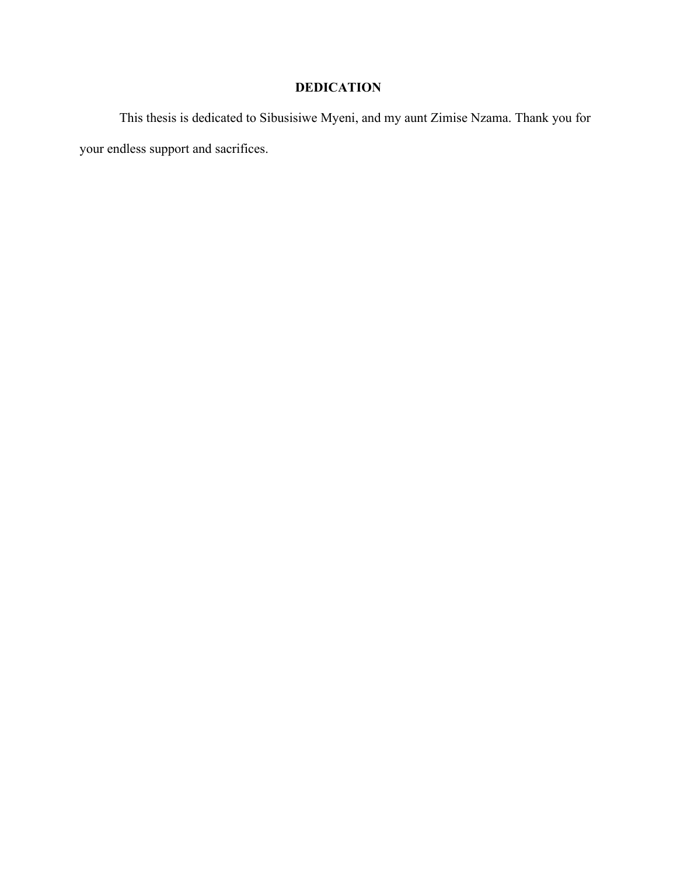# **DEDICATION**

This thesis is dedicated to Sibusisiwe Myeni, and my aunt Zimise Nzama. Thank you for your endless support and sacrifices.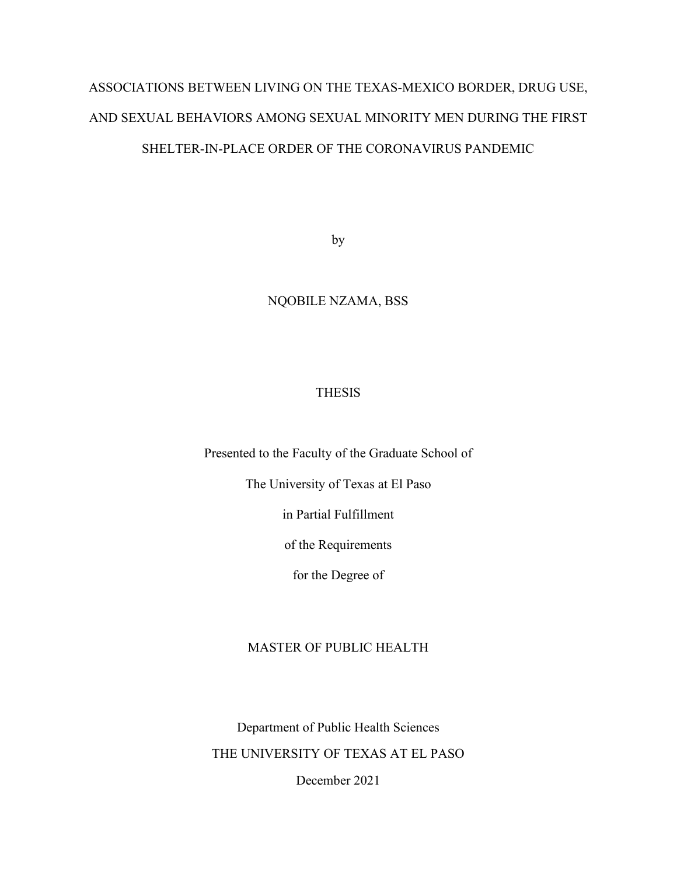# ASSOCIATIONS BETWEEN LIVING ON THE TEXAS-MEXICO BORDER, DRUG USE, AND SEXUAL BEHAVIORS AMONG SEXUAL MINORITY MEN DURING THE FIRST SHELTER-IN-PLACE ORDER OF THE CORONAVIRUS PANDEMIC

by

# NQOBILE NZAMA, BSS

# THESIS

Presented to the Faculty of the Graduate School of

The University of Texas at El Paso

in Partial Fulfillment

of the Requirements

for the Degree of

# MASTER OF PUBLIC HEALTH

Department of Public Health Sciences THE UNIVERSITY OF TEXAS AT EL PASO December 2021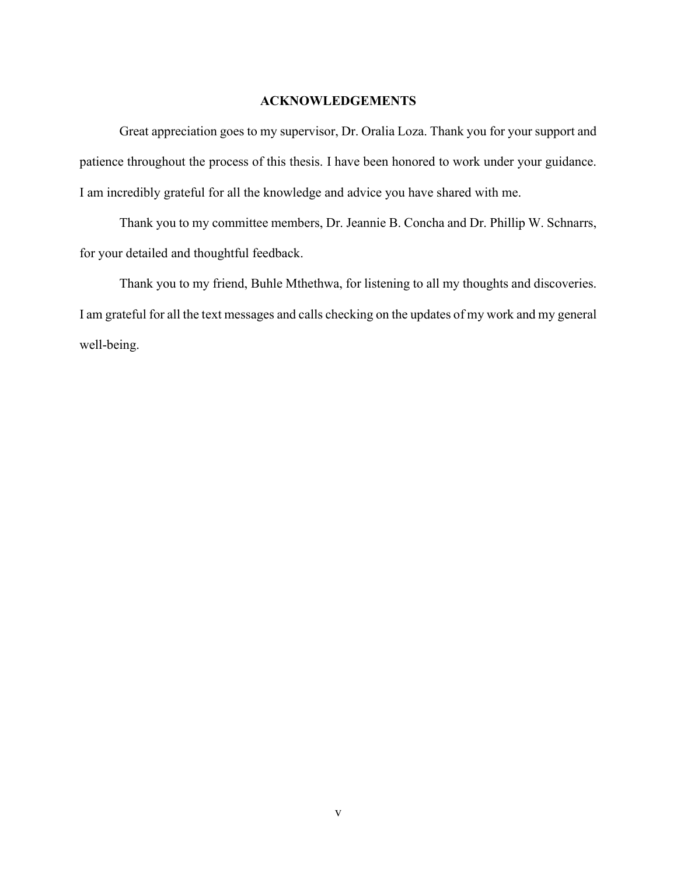## **ACKNOWLEDGEMENTS**

Great appreciation goes to my supervisor, Dr. Oralia Loza. Thank you for your support and patience throughout the process of this thesis. I have been honored to work under your guidance. I am incredibly grateful for all the knowledge and advice you have shared with me.

Thank you to my committee members, Dr. Jeannie B. Concha and Dr. Phillip W. Schnarrs, for your detailed and thoughtful feedback.

Thank you to my friend, Buhle Mthethwa, for listening to all my thoughts and discoveries. I am grateful for all the text messages and calls checking on the updates of my work and my general well-being.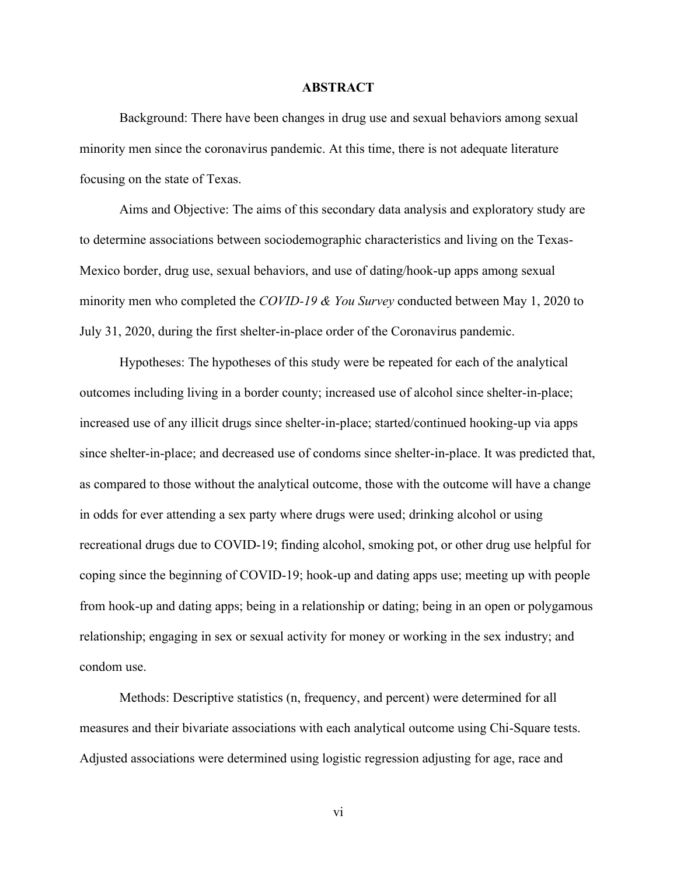#### **ABSTRACT**

Background: There have been changes in drug use and sexual behaviors among sexual minority men since the coronavirus pandemic. At this time, there is not adequate literature focusing on the state of Texas.

Aims and Objective: The aims of this secondary data analysis and exploratory study are to determine associations between sociodemographic characteristics and living on the Texas-Mexico border, drug use, sexual behaviors, and use of dating/hook-up apps among sexual minority men who completed the *COVID-19 & You Survey* conducted between May 1, 2020 to July 31, 2020, during the first shelter-in-place order of the Coronavirus pandemic.

Hypotheses: The hypotheses of this study were be repeated for each of the analytical outcomes including living in a border county; increased use of alcohol since shelter-in-place; increased use of any illicit drugs since shelter-in-place; started/continued hooking-up via apps since shelter-in-place; and decreased use of condoms since shelter-in-place. It was predicted that, as compared to those without the analytical outcome, those with the outcome will have a change in odds for ever attending a sex party where drugs were used; drinking alcohol or using recreational drugs due to COVID-19; finding alcohol, smoking pot, or other drug use helpful for coping since the beginning of COVID-19; hook-up and dating apps use; meeting up with people from hook-up and dating apps; being in a relationship or dating; being in an open or polygamous relationship; engaging in sex or sexual activity for money or working in the sex industry; and condom use.

Methods: Descriptive statistics (n, frequency, and percent) were determined for all measures and their bivariate associations with each analytical outcome using Chi-Square tests. Adjusted associations were determined using logistic regression adjusting for age, race and

vi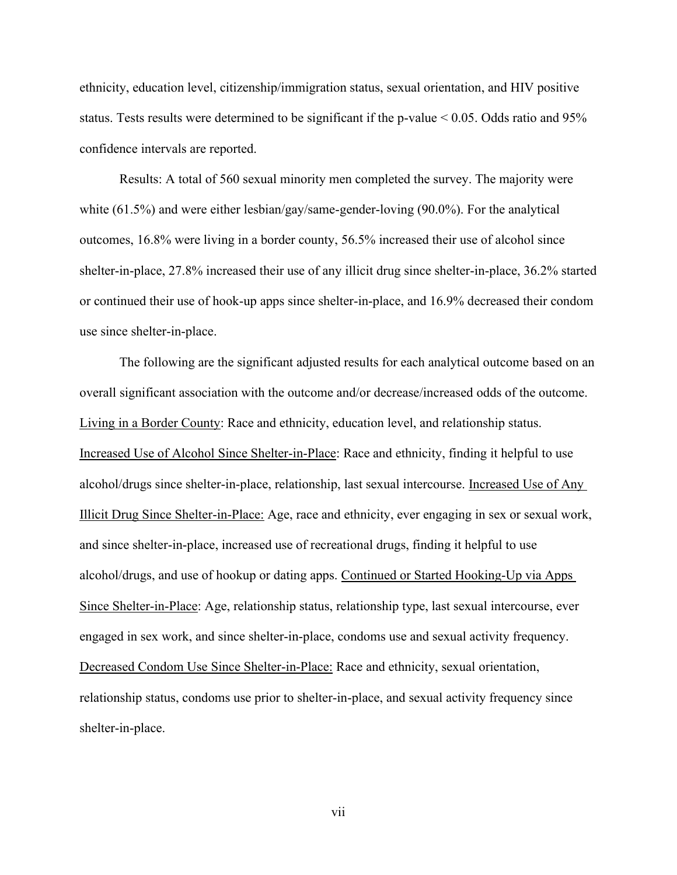ethnicity, education level, citizenship/immigration status, sexual orientation, and HIV positive status. Tests results were determined to be significant if the p-value < 0.05. Odds ratio and 95% confidence intervals are reported.

Results: A total of 560 sexual minority men completed the survey. The majority were white (61.5%) and were either lesbian/gay/same-gender-loving (90.0%). For the analytical outcomes, 16.8% were living in a border county, 56.5% increased their use of alcohol since shelter-in-place, 27.8% increased their use of any illicit drug since shelter-in-place, 36.2% started or continued their use of hook-up apps since shelter-in-place, and 16.9% decreased their condom use since shelter-in-place.

The following are the significant adjusted results for each analytical outcome based on an overall significant association with the outcome and/or decrease/increased odds of the outcome. Living in a Border County: Race and ethnicity, education level, and relationship status. Increased Use of Alcohol Since Shelter-in-Place: Race and ethnicity, finding it helpful to use alcohol/drugs since shelter-in-place, relationship, last sexual intercourse. Increased Use of Any Illicit Drug Since Shelter-in-Place: Age, race and ethnicity, ever engaging in sex or sexual work, and since shelter-in-place, increased use of recreational drugs, finding it helpful to use alcohol/drugs, and use of hookup or dating apps. Continued or Started Hooking-Up via Apps Since Shelter-in-Place: Age, relationship status, relationship type, last sexual intercourse, ever engaged in sex work, and since shelter-in-place, condoms use and sexual activity frequency. Decreased Condom Use Since Shelter-in-Place: Race and ethnicity, sexual orientation, relationship status, condoms use prior to shelter-in-place, and sexual activity frequency since shelter-in-place.

vii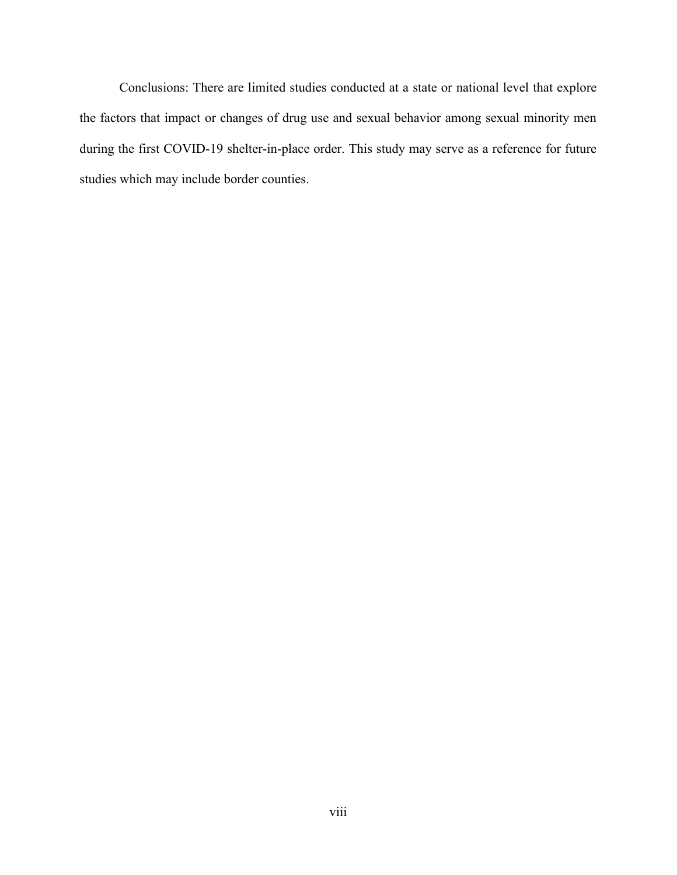Conclusions: There are limited studies conducted at a state or national level that explore the factors that impact or changes of drug use and sexual behavior among sexual minority men during the first COVID-19 shelter-in-place order. This study may serve as a reference for future studies which may include border counties.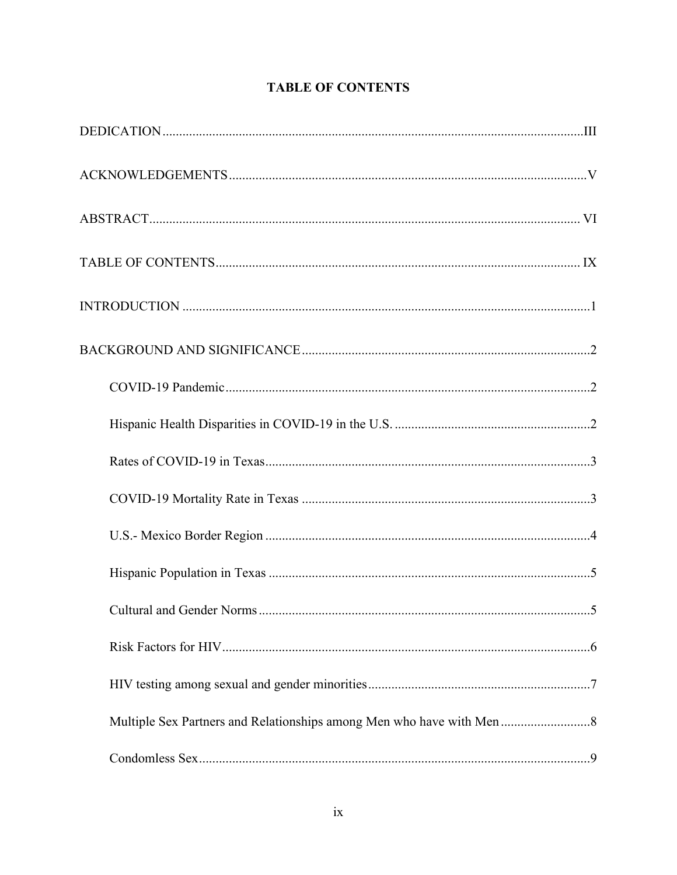# **TABLE OF CONTENTS**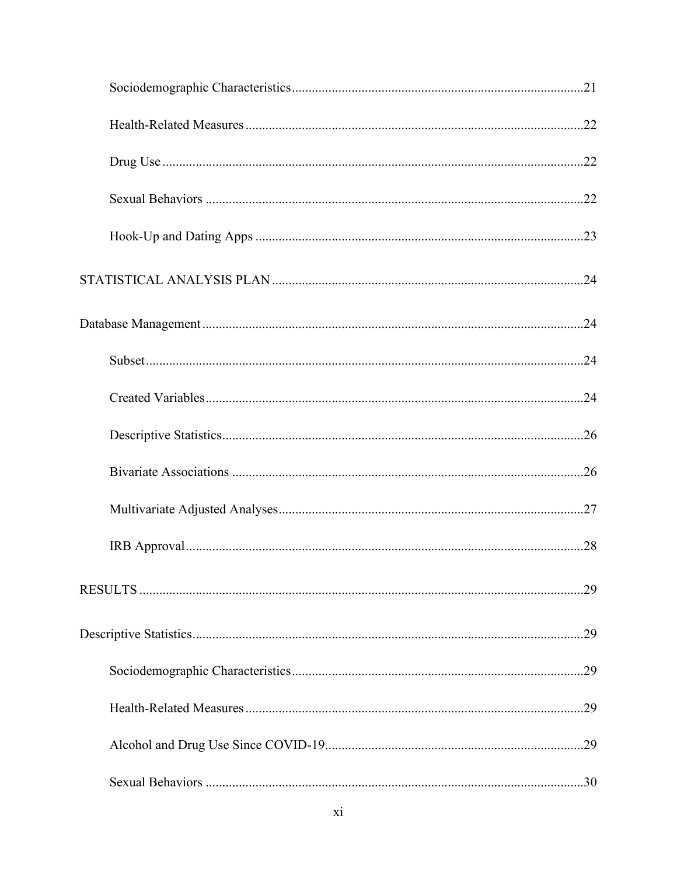| .29 |
|-----|
|     |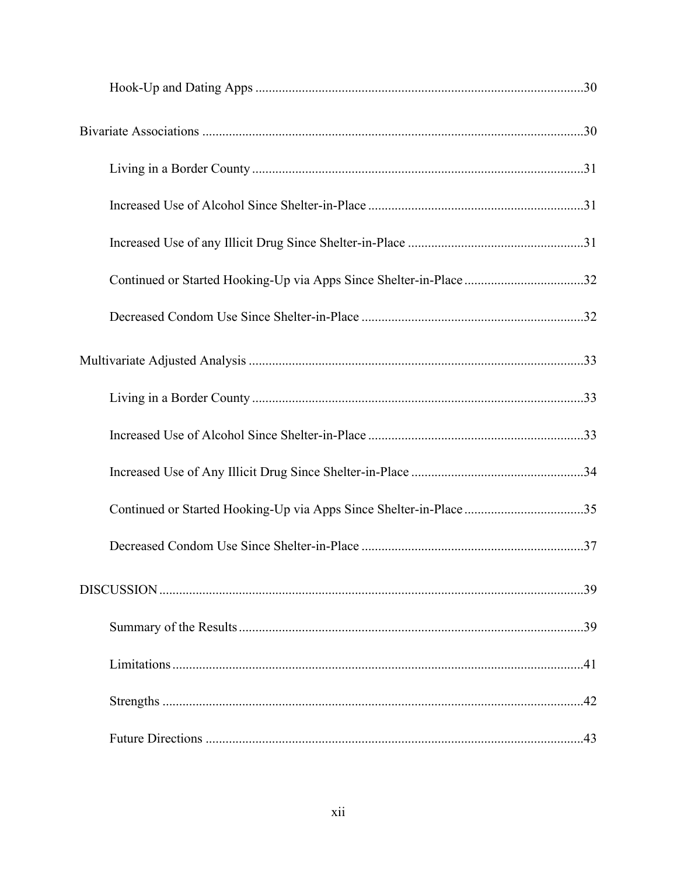| Continued or Started Hooking-Up via Apps Since Shelter-in-Place32  |  |
|--------------------------------------------------------------------|--|
|                                                                    |  |
|                                                                    |  |
|                                                                    |  |
|                                                                    |  |
|                                                                    |  |
| Continued or Started Hooking-Up via Apps Since Shelter-in-Place 35 |  |
|                                                                    |  |
|                                                                    |  |
|                                                                    |  |
|                                                                    |  |
|                                                                    |  |
|                                                                    |  |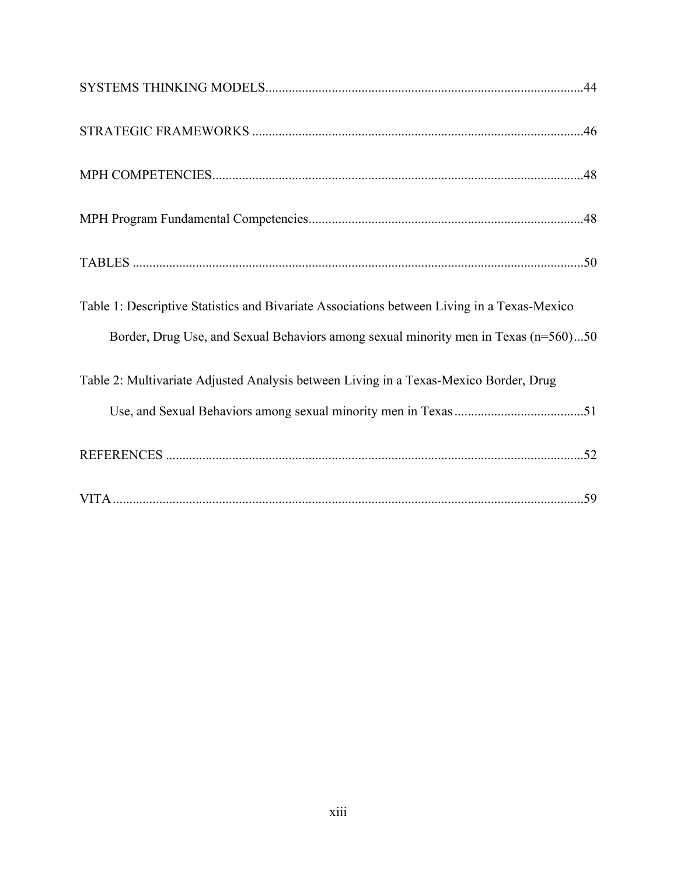| Table 1: Descriptive Statistics and Bivariate Associations between Living in a Texas-Mexico |
|---------------------------------------------------------------------------------------------|
| Border, Drug Use, and Sexual Behaviors among sexual minority men in Texas (n=560)50         |
| Table 2: Multivariate Adjusted Analysis between Living in a Texas-Mexico Border, Drug       |
|                                                                                             |
|                                                                                             |
|                                                                                             |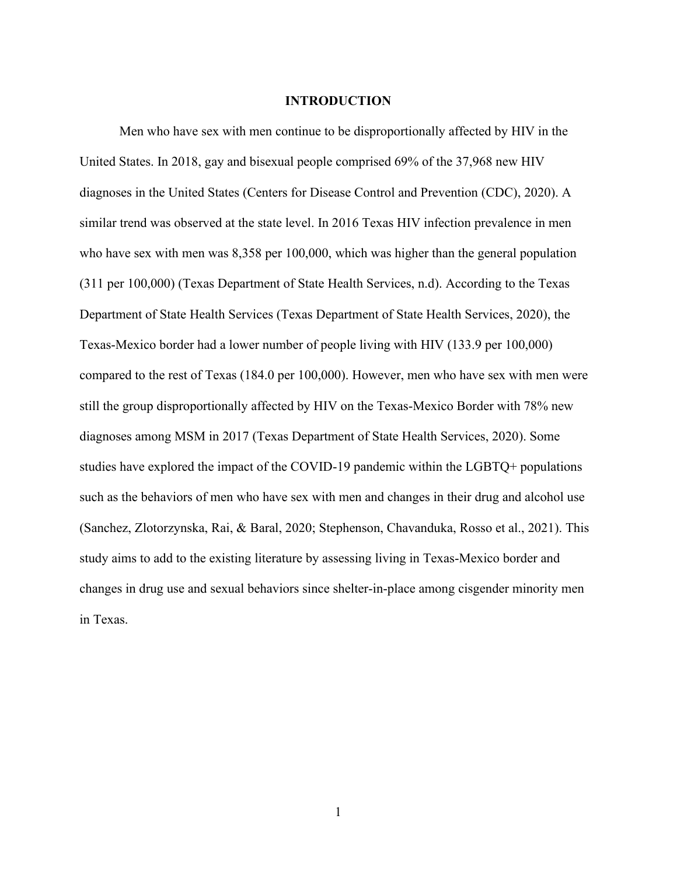#### **INTRODUCTION**

Men who have sex with men continue to be disproportionally affected by HIV in the United States. In 2018, gay and bisexual people comprised 69% of the 37,968 new HIV diagnoses in the United States (Centers for Disease Control and Prevention (CDC), 2020). A similar trend was observed at the state level. In 2016 Texas HIV infection prevalence in men who have sex with men was 8,358 per 100,000, which was higher than the general population (311 per 100,000) (Texas Department of State Health Services, n.d). According to the Texas Department of State Health Services (Texas Department of State Health Services, 2020), the Texas-Mexico border had a lower number of people living with HIV (133.9 per 100,000) compared to the rest of Texas (184.0 per 100,000). However, men who have sex with men were still the group disproportionally affected by HIV on the Texas-Mexico Border with 78% new diagnoses among MSM in 2017 (Texas Department of State Health Services, 2020). Some studies have explored the impact of the COVID-19 pandemic within the LGBTQ+ populations such as the behaviors of men who have sex with men and changes in their drug and alcohol use (Sanchez, Zlotorzynska, Rai, & Baral, 2020; Stephenson, Chavanduka, Rosso et al., 2021). This study aims to add to the existing literature by assessing living in Texas-Mexico border and changes in drug use and sexual behaviors since shelter-in-place among cisgender minority men in Texas.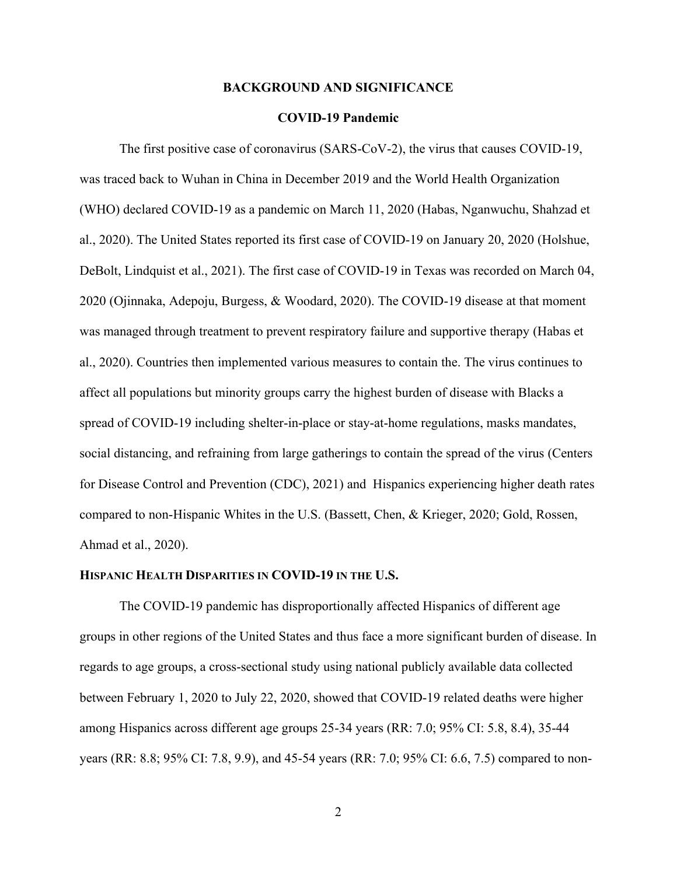#### **BACKGROUND AND SIGNIFICANCE**

## **COVID-19 Pandemic**

The first positive case of coronavirus (SARS-CoV-2), the virus that causes COVID-19, was traced back to Wuhan in China in December 2019 and the World Health Organization (WHO) declared COVID-19 as a pandemic on March 11, 2020 (Habas, Nganwuchu, Shahzad et al., 2020). The United States reported its first case of COVID-19 on January 20, 2020 (Holshue, DeBolt, Lindquist et al., 2021). The first case of COVID-19 in Texas was recorded on March 04, 2020 (Ojinnaka, Adepoju, Burgess, & Woodard, 2020). The COVID-19 disease at that moment was managed through treatment to prevent respiratory failure and supportive therapy (Habas et al., 2020). Countries then implemented various measures to contain the. The virus continues to affect all populations but minority groups carry the highest burden of disease with Blacks a spread of COVID-19 including shelter-in-place or stay-at-home regulations, masks mandates, social distancing, and refraining from large gatherings to contain the spread of the virus (Centers for Disease Control and Prevention (CDC), 2021) and Hispanics experiencing higher death rates compared to non-Hispanic Whites in the U.S. (Bassett, Chen, & Krieger, 2020; Gold, Rossen, Ahmad et al., 2020).

#### **HISPANIC HEALTH DISPARITIES IN COVID-19 IN THE U.S.**

The COVID-19 pandemic has disproportionally affected Hispanics of different age groups in other regions of the United States and thus face a more significant burden of disease. In regards to age groups, a cross-sectional study using national publicly available data collected between February 1, 2020 to July 22, 2020, showed that COVID-19 related deaths were higher among Hispanics across different age groups 25-34 years (RR: 7.0; 95% CI: 5.8, 8.4), 35-44 years (RR: 8.8; 95% CI: 7.8, 9.9), and 45-54 years (RR: 7.0; 95% CI: 6.6, 7.5) compared to non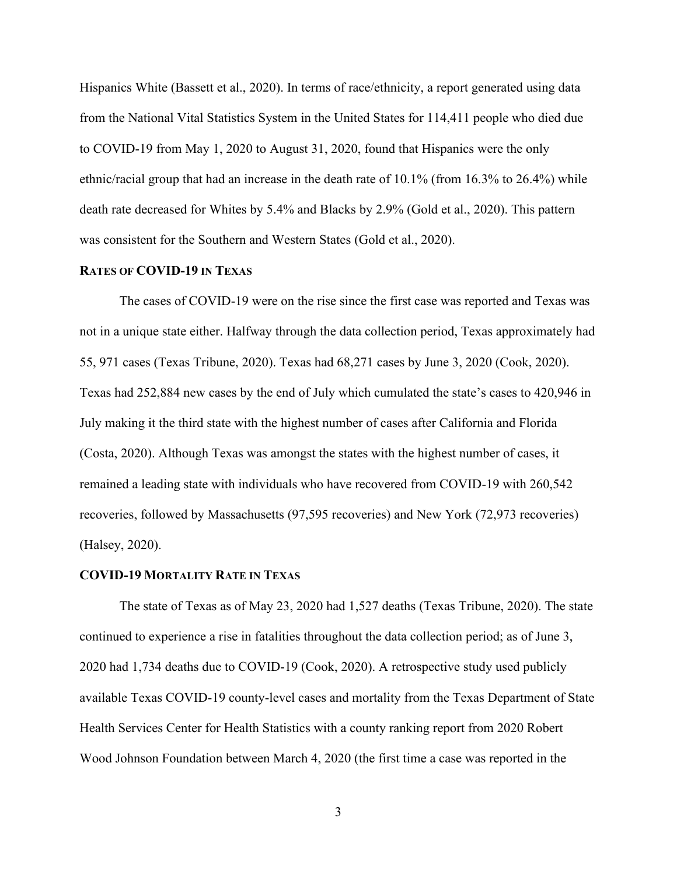Hispanics White (Bassett et al., 2020). In terms of race/ethnicity, a report generated using data from the National Vital Statistics System in the United States for 114,411 people who died due to COVID-19 from May 1, 2020 to August 31, 2020, found that Hispanics were the only ethnic/racial group that had an increase in the death rate of 10.1% (from 16.3% to 26.4%) while death rate decreased for Whites by 5.4% and Blacks by 2.9% (Gold et al., 2020). This pattern was consistent for the Southern and Western States (Gold et al., 2020).

#### **RATES OF COVID-19 IN TEXAS**

The cases of COVID-19 were on the rise since the first case was reported and Texas was not in a unique state either. Halfway through the data collection period, Texas approximately had 55, 971 cases (Texas Tribune, 2020). Texas had 68,271 cases by June 3, 2020 (Cook, 2020). Texas had 252,884 new cases by the end of July which cumulated the state's cases to 420,946 in July making it the third state with the highest number of cases after California and Florida (Costa, 2020). Although Texas was amongst the states with the highest number of cases, it remained a leading state with individuals who have recovered from COVID-19 with 260,542 recoveries, followed by Massachusetts (97,595 recoveries) and New York (72,973 recoveries) (Halsey, 2020).

#### **COVID-19 MORTALITY RATE IN TEXAS**

The state of Texas as of May 23, 2020 had 1,527 deaths (Texas Tribune, 2020). The state continued to experience a rise in fatalities throughout the data collection period; as of June 3, 2020 had 1,734 deaths due to COVID-19 (Cook, 2020). A retrospective study used publicly available Texas COVID-19 county-level cases and mortality from the Texas Department of State Health Services Center for Health Statistics with a county ranking report from 2020 Robert Wood Johnson Foundation between March 4, 2020 (the first time a case was reported in the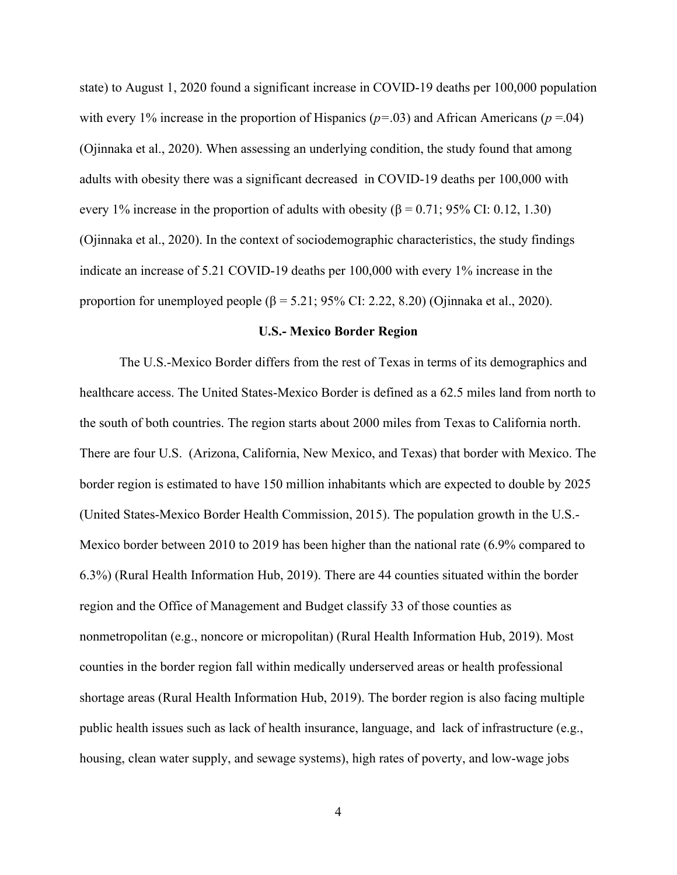state) to August 1, 2020 found a significant increase in COVID-19 deaths per 100,000 population with every 1% increase in the proportion of Hispanics ( $p = .03$ ) and African Americans ( $p = .04$ ) (Ojinnaka et al., 2020). When assessing an underlying condition, the study found that among adults with obesity there was a significant decreased in COVID-19 deaths per 100,000 with every 1% increase in the proportion of adults with obesity ( $\beta = 0.71$ ; 95% CI: 0.12, 1.30) (Ojinnaka et al., 2020). In the context of sociodemographic characteristics, the study findings indicate an increase of 5.21 COVID-19 deaths per 100,000 with every 1% increase in the proportion for unemployed people (β = 5.21; 95% CI: 2.22, 8.20) (Ojinnaka et al., 2020).

#### **U.S.- Mexico Border Region**

The U.S.-Mexico Border differs from the rest of Texas in terms of its demographics and healthcare access. The United States-Mexico Border is defined as a 62.5 miles land from north to the south of both countries. The region starts about 2000 miles from Texas to California north. There are four U.S. (Arizona, California, New Mexico, and Texas) that border with Mexico. The border region is estimated to have 150 million inhabitants which are expected to double by 2025 (United States-Mexico Border Health Commission, 2015). The population growth in the U.S.- Mexico border between 2010 to 2019 has been higher than the national rate (6.9% compared to 6.3%) (Rural Health Information Hub, 2019). There are 44 counties situated within the border region and the Office of Management and Budget classify 33 of those counties as nonmetropolitan (e.g., noncore or micropolitan) (Rural Health Information Hub, 2019). Most counties in the border region fall within medically underserved areas or health professional shortage areas (Rural Health Information Hub, 2019). The border region is also facing multiple public health issues such as lack of health insurance, language, and lack of infrastructure (e.g., housing, clean water supply, and sewage systems), high rates of poverty, and low-wage jobs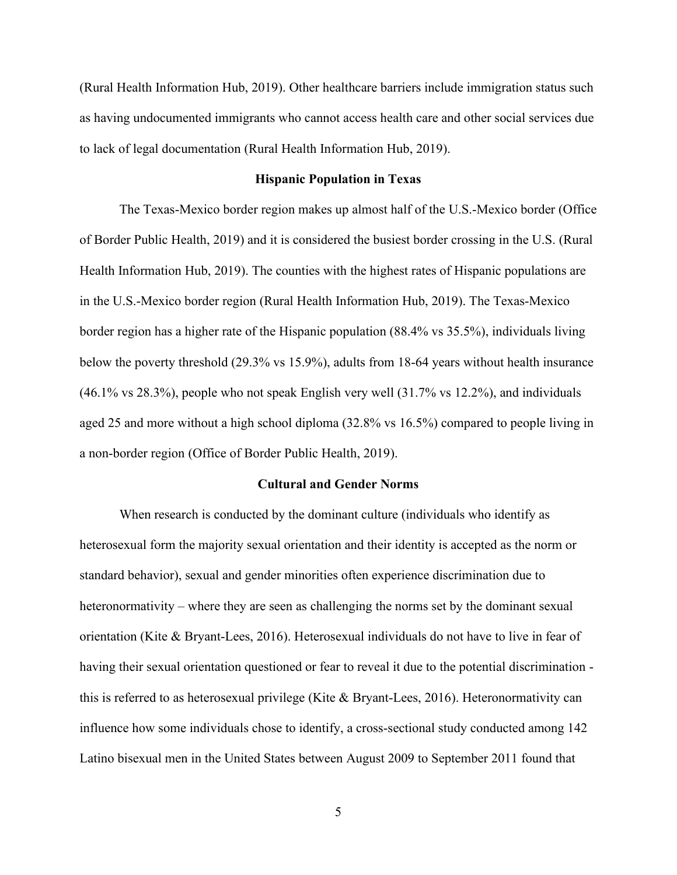(Rural Health Information Hub, 2019). Other healthcare barriers include immigration status such as having undocumented immigrants who cannot access health care and other social services due to lack of legal documentation (Rural Health Information Hub, 2019).

#### **Hispanic Population in Texas**

The Texas-Mexico border region makes up almost half of the U.S.-Mexico border (Office of Border Public Health, 2019) and it is considered the busiest border crossing in the U.S. (Rural Health Information Hub, 2019). The counties with the highest rates of Hispanic populations are in the U.S.-Mexico border region (Rural Health Information Hub, 2019). The Texas-Mexico border region has a higher rate of the Hispanic population (88.4% vs 35.5%), individuals living below the poverty threshold (29.3% vs 15.9%), adults from 18-64 years without health insurance (46.1% vs 28.3%), people who not speak English very well (31.7% vs 12.2%), and individuals aged 25 and more without a high school diploma (32.8% vs 16.5%) compared to people living in a non-border region (Office of Border Public Health, 2019).

#### **Cultural and Gender Norms**

When research is conducted by the dominant culture (individuals who identify as heterosexual form the majority sexual orientation and their identity is accepted as the norm or standard behavior), sexual and gender minorities often experience discrimination due to heteronormativity – where they are seen as challenging the norms set by the dominant sexual orientation (Kite & Bryant-Lees, 2016). Heterosexual individuals do not have to live in fear of having their sexual orientation questioned or fear to reveal it due to the potential discrimination this is referred to as heterosexual privilege (Kite & Bryant-Lees, 2016). Heteronormativity can influence how some individuals chose to identify, a cross-sectional study conducted among 142 Latino bisexual men in the United States between August 2009 to September 2011 found that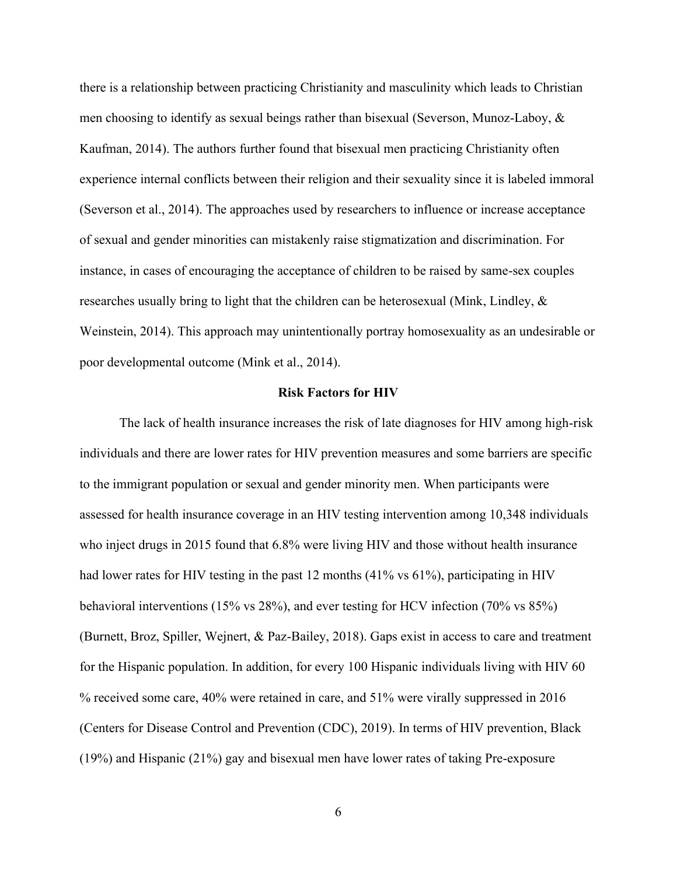there is a relationship between practicing Christianity and masculinity which leads to Christian men choosing to identify as sexual beings rather than bisexual (Severson, Munoz-Laboy, & Kaufman, 2014). The authors further found that bisexual men practicing Christianity often experience internal conflicts between their religion and their sexuality since it is labeled immoral (Severson et al., 2014). The approaches used by researchers to influence or increase acceptance of sexual and gender minorities can mistakenly raise stigmatization and discrimination. For instance, in cases of encouraging the acceptance of children to be raised by same-sex couples researches usually bring to light that the children can be heterosexual (Mink, Lindley,  $\&$ Weinstein, 2014). This approach may unintentionally portray homosexuality as an undesirable or poor developmental outcome (Mink et al., 2014).

#### **Risk Factors for HIV**

The lack of health insurance increases the risk of late diagnoses for HIV among high-risk individuals and there are lower rates for HIV prevention measures and some barriers are specific to the immigrant population or sexual and gender minority men. When participants were assessed for health insurance coverage in an HIV testing intervention among 10,348 individuals who inject drugs in 2015 found that 6.8% were living HIV and those without health insurance had lower rates for HIV testing in the past 12 months (41% vs 61%), participating in HIV behavioral interventions (15% vs 28%), and ever testing for HCV infection (70% vs 85%) (Burnett, Broz, Spiller, Wejnert, & Paz-Bailey, 2018). Gaps exist in access to care and treatment for the Hispanic population. In addition, for every 100 Hispanic individuals living with HIV 60 % received some care, 40% were retained in care, and 51% were virally suppressed in 2016 (Centers for Disease Control and Prevention (CDC), 2019). In terms of HIV prevention, Black (19%) and Hispanic (21%) gay and bisexual men have lower rates of taking Pre-exposure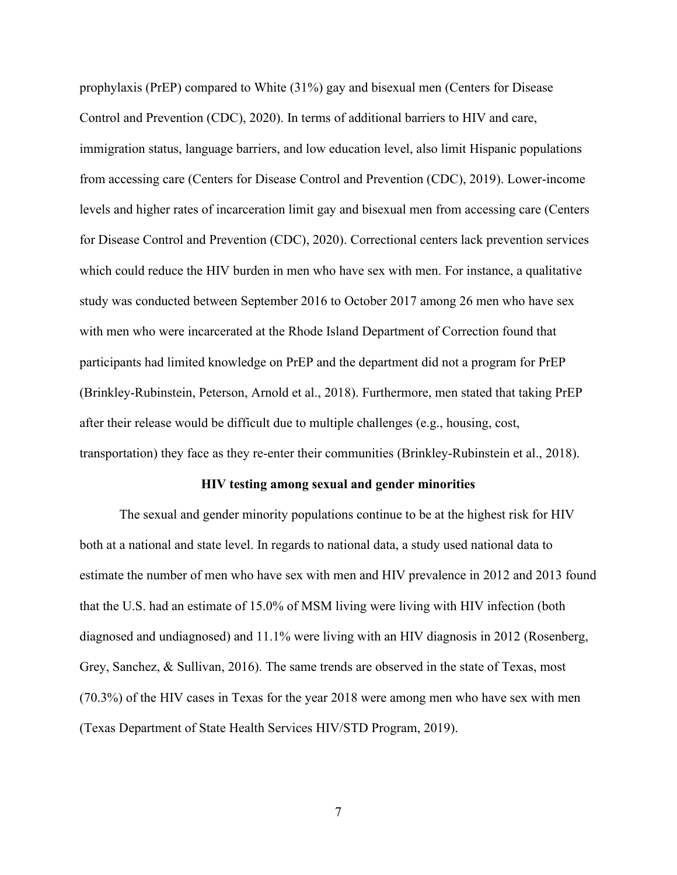prophylaxis (PrEP) compared to White (31%) gay and bisexual men (Centers for Disease Control and Prevention (CDC), 2020). In terms of additional barriers to HIV and care, immigration status, language barriers, and low education level, also limit Hispanic populations from accessing care (Centers for Disease Control and Prevention (CDC), 2019). Lower-income levels and higher rates of incarceration limit gay and bisexual men from accessing care (Centers for Disease Control and Prevention (CDC), 2020). Correctional centers lack prevention services which could reduce the HIV burden in men who have sex with men. For instance, a qualitative study was conducted between September 2016 to October 2017 among 26 men who have sex with men who were incarcerated at the Rhode Island Department of Correction found that participants had limited knowledge on PrEP and the department did not a program for PrEP (Brinkley-Rubinstein, Peterson, Arnold et al., 2018). Furthermore, men stated that taking PrEP after their release would be difficult due to multiple challenges (e.g., housing, cost, transportation) they face as they re-enter their communities (Brinkley-Rubinstein et al., 2018).

#### **HIV testing among sexual and gender minorities**

The sexual and gender minority populations continue to be at the highest risk for HIV both at a national and state level. In regards to national data, a study used national data to estimate the number of men who have sex with men and HIV prevalence in 2012 and 2013 found that the U.S. had an estimate of 15.0% of MSM living were living with HIV infection (both diagnosed and undiagnosed) and 11.1% were living with an HIV diagnosis in 2012 (Rosenberg, Grey, Sanchez, & Sullivan, 2016). The same trends are observed in the state of Texas, most (70.3%) of the HIV cases in Texas for the year 2018 were among men who have sex with men (Texas Department of State Health Services HIV/STD Program, 2019).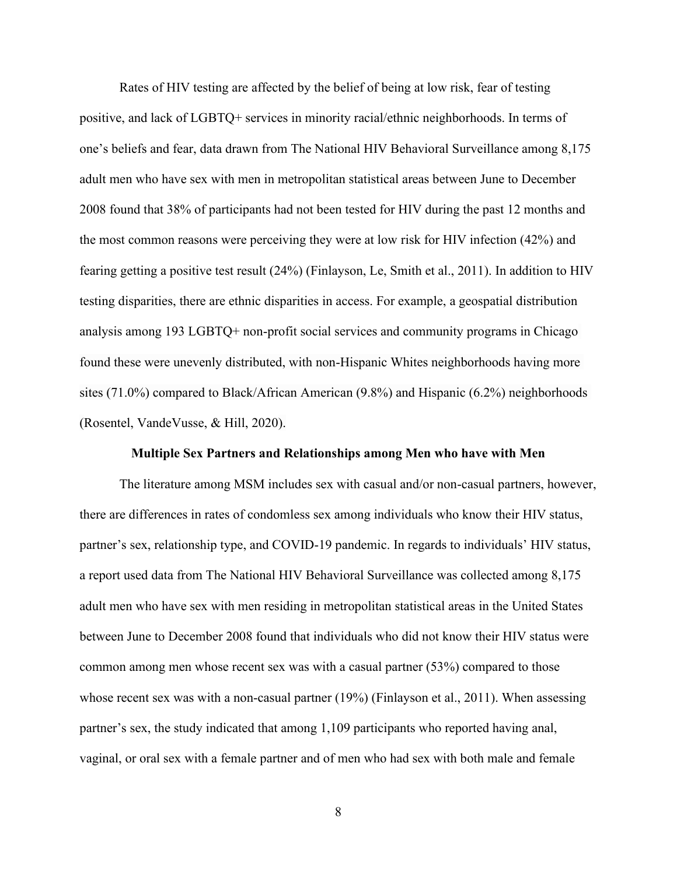Rates of HIV testing are affected by the belief of being at low risk, fear of testing positive, and lack of LGBTQ+ services in minority racial/ethnic neighborhoods. In terms of one's beliefs and fear, data drawn from The National HIV Behavioral Surveillance among 8,175 adult men who have sex with men in metropolitan statistical areas between June to December 2008 found that 38% of participants had not been tested for HIV during the past 12 months and the most common reasons were perceiving they were at low risk for HIV infection (42%) and fearing getting a positive test result (24%) (Finlayson, Le, Smith et al., 2011). In addition to HIV testing disparities, there are ethnic disparities in access. For example, a geospatial distribution analysis among 193 LGBTQ+ non-profit social services and community programs in Chicago found these were unevenly distributed, with non-Hispanic Whites neighborhoods having more sites (71.0%) compared to Black/African American (9.8%) and Hispanic (6.2%) neighborhoods (Rosentel, VandeVusse, & Hill, 2020).

#### **Multiple Sex Partners and Relationships among Men who have with Men**

The literature among MSM includes sex with casual and/or non-casual partners, however, there are differences in rates of condomless sex among individuals who know their HIV status, partner's sex, relationship type, and COVID-19 pandemic. In regards to individuals' HIV status, a report used data from The National HIV Behavioral Surveillance was collected among 8,175 adult men who have sex with men residing in metropolitan statistical areas in the United States between June to December 2008 found that individuals who did not know their HIV status were common among men whose recent sex was with a casual partner (53%) compared to those whose recent sex was with a non-casual partner (19%) (Finlayson et al., 2011). When assessing partner's sex, the study indicated that among 1,109 participants who reported having anal, vaginal, or oral sex with a female partner and of men who had sex with both male and female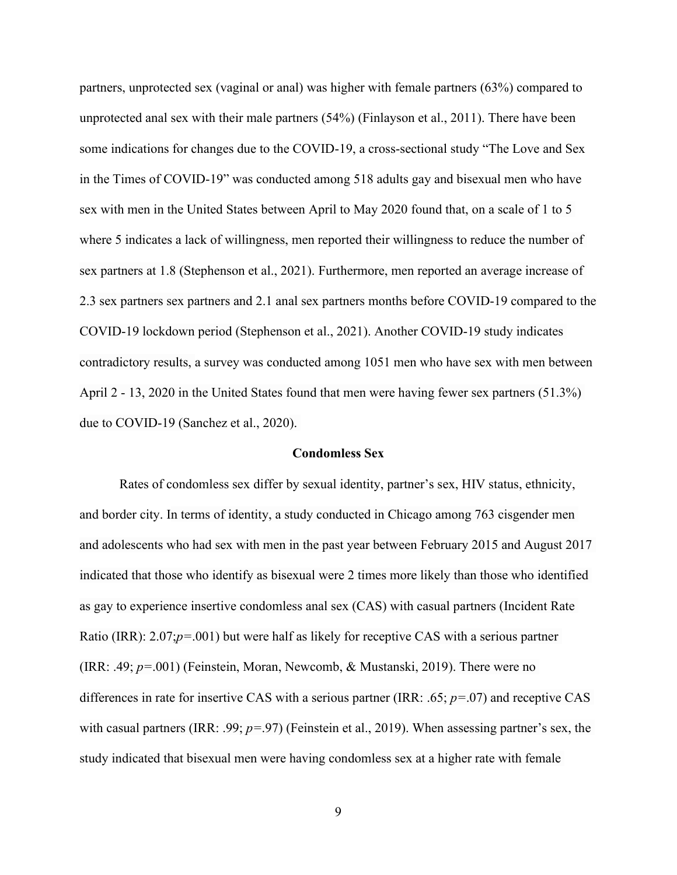partners, unprotected sex (vaginal or anal) was higher with female partners (63%) compared to unprotected anal sex with their male partners (54%) (Finlayson et al., 2011). There have been some indications for changes due to the COVID-19, a cross-sectional study "The Love and Sex in the Times of COVID-19" was conducted among 518 adults gay and bisexual men who have sex with men in the United States between April to May 2020 found that, on a scale of 1 to 5 where 5 indicates a lack of willingness, men reported their willingness to reduce the number of sex partners at 1.8 (Stephenson et al., 2021). Furthermore, men reported an average increase of 2.3 sex partners sex partners and 2.1 anal sex partners months before COVID-19 compared to the COVID-19 lockdown period (Stephenson et al., 2021). Another COVID-19 study indicates contradictory results, a survey was conducted among 1051 men who have sex with men between April 2 - 13, 2020 in the United States found that men were having fewer sex partners (51.3%) due to COVID-19 (Sanchez et al., 2020).

#### **Condomless Sex**

Rates of condomless sex differ by sexual identity, partner's sex, HIV status, ethnicity, and border city. In terms of identity, a study conducted in Chicago among 763 cisgender men and adolescents who had sex with men in the past year between February 2015 and August 2017 indicated that those who identify as bisexual were 2 times more likely than those who identified as gay to experience insertive condomless anal sex (CAS) with casual partners (Incident Rate Ratio (IRR): 2.07;*p=*.001) but were half as likely for receptive CAS with a serious partner (IRR: .49; *p=*.001) (Feinstein, Moran, Newcomb, & Mustanski, 2019). There were no differences in rate for insertive CAS with a serious partner (IRR: .65; *p=*.07) and receptive CAS with casual partners (IRR: .99; *p=*.97) (Feinstein et al., 2019). When assessing partner's sex, the study indicated that bisexual men were having condomless sex at a higher rate with female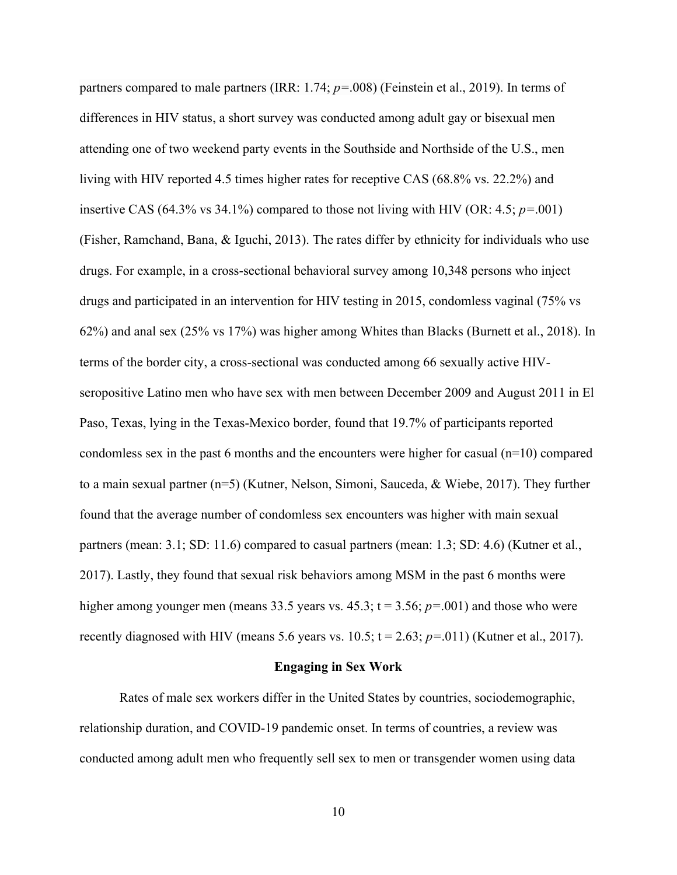partners compared to male partners (IRR: 1.74; *p=*.008) (Feinstein et al., 2019). In terms of differences in HIV status, a short survey was conducted among adult gay or bisexual men attending one of two weekend party events in the Southside and Northside of the U.S., men living with HIV reported 4.5 times higher rates for receptive CAS (68.8% vs. 22.2%) and insertive CAS (64.3% vs 34.1%) compared to those not living with HIV (OR: 4.5; *p=*.001) (Fisher, Ramchand, Bana, & Iguchi, 2013). The rates differ by ethnicity for individuals who use drugs. For example, in a cross-sectional behavioral survey among 10,348 persons who inject drugs and participated in an intervention for HIV testing in 2015, condomless vaginal (75% vs 62%) and anal sex (25% vs 17%) was higher among Whites than Blacks (Burnett et al., 2018). In terms of the border city, a cross-sectional was conducted among 66 sexually active HIVseropositive Latino men who have sex with men between December 2009 and August 2011 in El Paso, Texas, lying in the Texas-Mexico border, found that 19.7% of participants reported condomless sex in the past 6 months and the encounters were higher for casual  $(n=10)$  compared to a main sexual partner (n=5) (Kutner, Nelson, Simoni, Sauceda, & Wiebe, 2017). They further found that the average number of condomless sex encounters was higher with main sexual partners (mean: 3.1; SD: 11.6) compared to casual partners (mean: 1.3; SD: 4.6) (Kutner et al., 2017). Lastly, they found that sexual risk behaviors among MSM in the past 6 months were higher among younger men (means 33.5 years vs. 45.3;  $t = 3.56$ ;  $p = .001$ ) and those who were recently diagnosed with HIV (means 5.6 years vs.  $10.5$ ;  $t = 2.63$ ;  $p = .011$ ) (Kutner et al., 2017).

#### **Engaging in Sex Work**

Rates of male sex workers differ in the United States by countries, sociodemographic, relationship duration, and COVID-19 pandemic onset. In terms of countries, a review was conducted among adult men who frequently sell sex to men or transgender women using data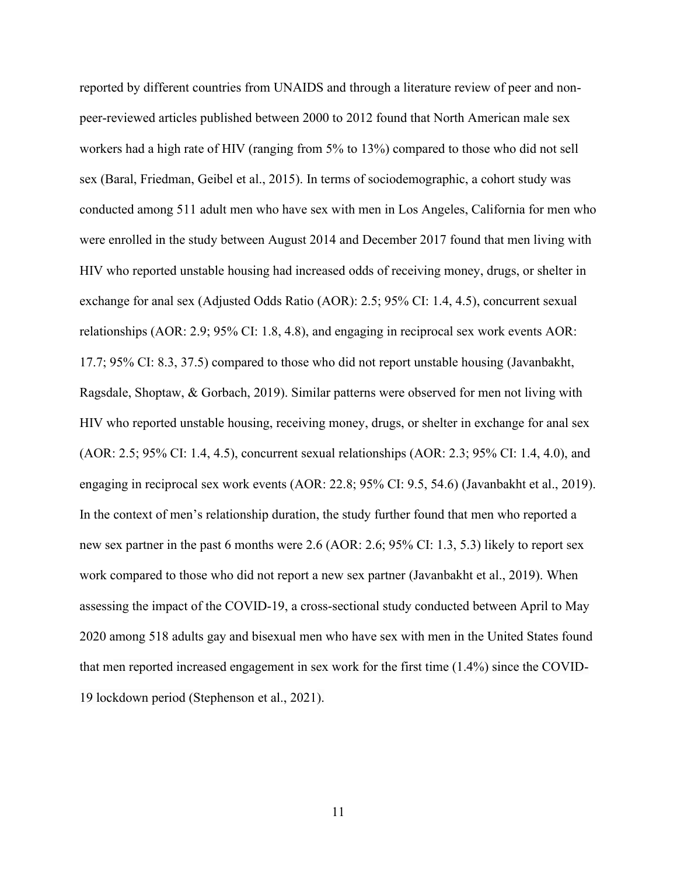reported by different countries from UNAIDS and through a literature review of peer and nonpeer-reviewed articles published between 2000 to 2012 found that North American male sex workers had a high rate of HIV (ranging from 5% to 13%) compared to those who did not sell sex (Baral, Friedman, Geibel et al., 2015). In terms of sociodemographic, a cohort study was conducted among 511 adult men who have sex with men in Los Angeles, California for men who were enrolled in the study between August 2014 and December 2017 found that men living with HIV who reported unstable housing had increased odds of receiving money, drugs, or shelter in exchange for anal sex (Adjusted Odds Ratio (AOR): 2.5; 95% CI: 1.4, 4.5), concurrent sexual relationships (AOR: 2.9; 95% CI: 1.8, 4.8), and engaging in reciprocal sex work events AOR: 17.7; 95% CI: 8.3, 37.5) compared to those who did not report unstable housing (Javanbakht, Ragsdale, Shoptaw, & Gorbach, 2019). Similar patterns were observed for men not living with HIV who reported unstable housing, receiving money, drugs, or shelter in exchange for anal sex (AOR: 2.5; 95% CI: 1.4, 4.5), concurrent sexual relationships (AOR: 2.3; 95% CI: 1.4, 4.0), and engaging in reciprocal sex work events (AOR: 22.8; 95% CI: 9.5, 54.6) (Javanbakht et al., 2019). In the context of men's relationship duration, the study further found that men who reported a new sex partner in the past 6 months were 2.6 (AOR: 2.6; 95% CI: 1.3, 5.3) likely to report sex work compared to those who did not report a new sex partner (Javanbakht et al., 2019). When assessing the impact of the COVID-19, a cross-sectional study conducted between April to May 2020 among 518 adults gay and bisexual men who have sex with men in the United States found that men reported increased engagement in sex work for the first time (1.4%) since the COVID-19 lockdown period (Stephenson et al., 2021).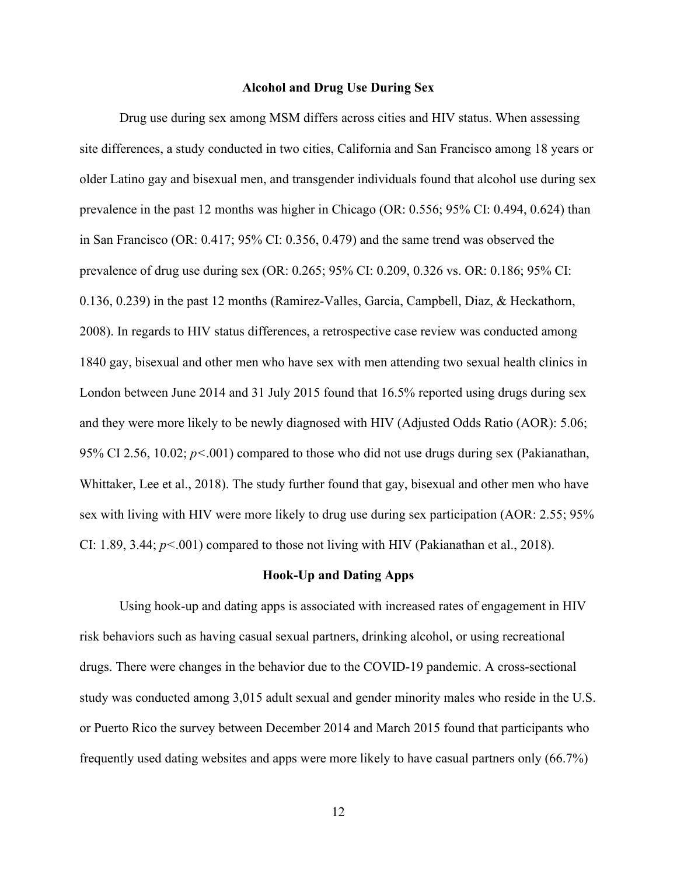#### **Alcohol and Drug Use During Sex**

Drug use during sex among MSM differs across cities and HIV status. When assessing site differences, a study conducted in two cities, California and San Francisco among 18 years or older Latino gay and bisexual men, and transgender individuals found that alcohol use during sex prevalence in the past 12 months was higher in Chicago (OR: 0.556; 95% CI: 0.494, 0.624) than in San Francisco (OR: 0.417; 95% CI: 0.356, 0.479) and the same trend was observed the prevalence of drug use during sex (OR: 0.265; 95% CI: 0.209, 0.326 vs. OR: 0.186; 95% CI: 0.136, 0.239) in the past 12 months (Ramirez-Valles, Garcia, Campbell, Diaz, & Heckathorn, 2008). In regards to HIV status differences, a retrospective case review was conducted among 1840 gay, bisexual and other men who have sex with men attending two sexual health clinics in London between June 2014 and 31 July 2015 found that 16.5% reported using drugs during sex and they were more likely to be newly diagnosed with HIV (Adjusted Odds Ratio (AOR): 5.06; 95% CI 2.56, 10.02; *p<*.001) compared to those who did not use drugs during sex (Pakianathan, Whittaker, Lee et al., 2018). The study further found that gay, bisexual and other men who have sex with living with HIV were more likely to drug use during sex participation (AOR: 2.55; 95% CI:  $1.89, 3.44; p<0.001$  compared to those not living with HIV (Pakianathan et al., 2018).

#### **Hook-Up and Dating Apps**

Using hook-up and dating apps is associated with increased rates of engagement in HIV risk behaviors such as having casual sexual partners, drinking alcohol, or using recreational drugs. There were changes in the behavior due to the COVID-19 pandemic. A cross-sectional study was conducted among 3,015 adult sexual and gender minority males who reside in the U.S. or Puerto Rico the survey between December 2014 and March 2015 found that participants who frequently used dating websites and apps were more likely to have casual partners only (66.7%)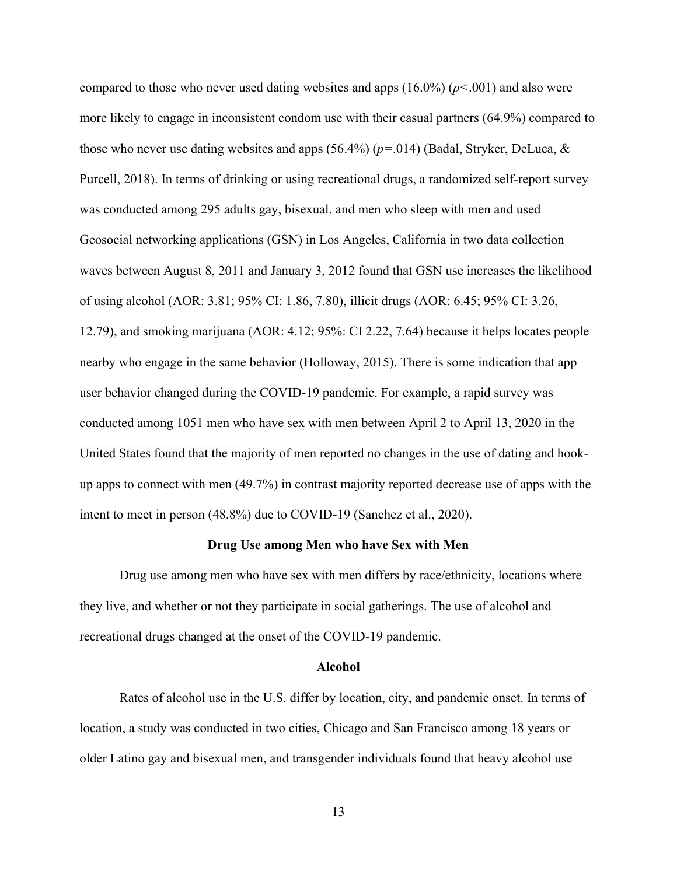compared to those who never used dating websites and apps (16.0%) (*p<*.001) and also were more likely to engage in inconsistent condom use with their casual partners (64.9%) compared to those who never use dating websites and apps (56.4%) (*p=*.014) (Badal, Stryker, DeLuca, & Purcell, 2018). In terms of drinking or using recreational drugs, a randomized self-report survey was conducted among 295 adults gay, bisexual, and men who sleep with men and used Geosocial networking applications (GSN) in Los Angeles, California in two data collection waves between August 8, 2011 and January 3, 2012 found that GSN use increases the likelihood of using alcohol (AOR: 3.81; 95% CI: 1.86, 7.80), illicit drugs (AOR: 6.45; 95% CI: 3.26, 12.79), and smoking marijuana (AOR: 4.12; 95%: CI 2.22, 7.64) because it helps locates people nearby who engage in the same behavior (Holloway, 2015). There is some indication that app user behavior changed during the COVID-19 pandemic. For example, a rapid survey was conducted among 1051 men who have sex with men between April 2 to April 13, 2020 in the United States found that the majority of men reported no changes in the use of dating and hookup apps to connect with men (49.7%) in contrast majority reported decrease use of apps with the intent to meet in person (48.8%) due to COVID-19 (Sanchez et al., 2020).

## **Drug Use among Men who have Sex with Men**

 Drug use among men who have sex with men differs by race/ethnicity, locations where they live, and whether or not they participate in social gatherings. The use of alcohol and recreational drugs changed at the onset of the COVID-19 pandemic.

#### **Alcohol**

Rates of alcohol use in the U.S. differ by location, city, and pandemic onset. In terms of location, a study was conducted in two cities, Chicago and San Francisco among 18 years or older Latino gay and bisexual men, and transgender individuals found that heavy alcohol use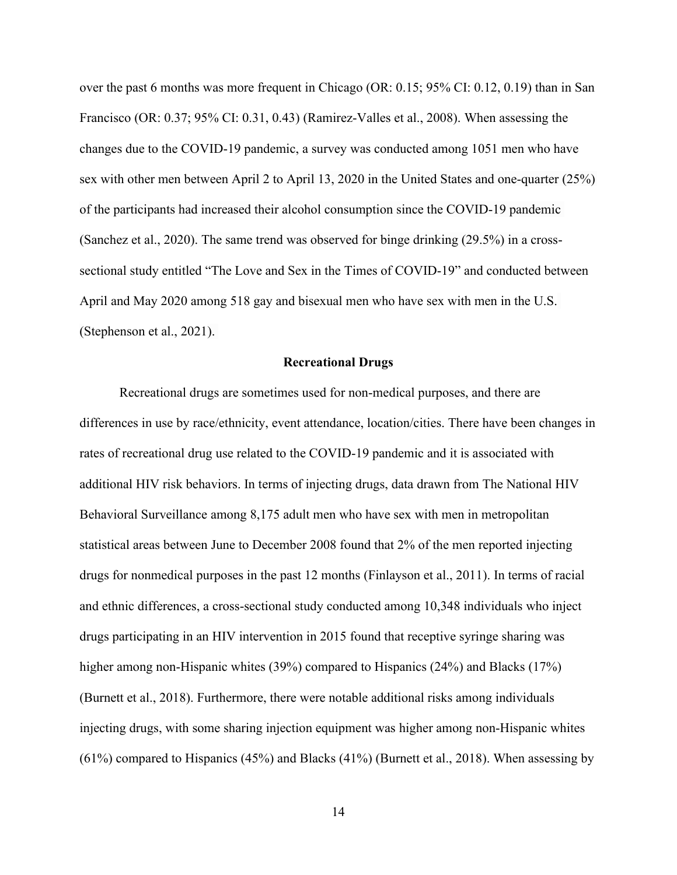over the past 6 months was more frequent in Chicago (OR: 0.15; 95% CI: 0.12, 0.19) than in San Francisco (OR: 0.37; 95% CI: 0.31, 0.43) (Ramirez-Valles et al., 2008). When assessing the changes due to the COVID-19 pandemic, a survey was conducted among 1051 men who have sex with other men between April 2 to April 13, 2020 in the United States and one-quarter (25%) of the participants had increased their alcohol consumption since the COVID-19 pandemic (Sanchez et al., 2020). The same trend was observed for binge drinking (29.5%) in a crosssectional study entitled "The Love and Sex in the Times of COVID-19" and conducted between April and May 2020 among 518 gay and bisexual men who have sex with men in the U.S. (Stephenson et al., 2021).

#### **Recreational Drugs**

Recreational drugs are sometimes used for non-medical purposes, and there are differences in use by race/ethnicity, event attendance, location/cities. There have been changes in rates of recreational drug use related to the COVID-19 pandemic and it is associated with additional HIV risk behaviors. In terms of injecting drugs, data drawn from The National HIV Behavioral Surveillance among 8,175 adult men who have sex with men in metropolitan statistical areas between June to December 2008 found that 2% of the men reported injecting drugs for nonmedical purposes in the past 12 months (Finlayson et al., 2011). In terms of racial and ethnic differences, a cross-sectional study conducted among 10,348 individuals who inject drugs participating in an HIV intervention in 2015 found that receptive syringe sharing was higher among non-Hispanic whites (39%) compared to Hispanics (24%) and Blacks (17%) (Burnett et al., 2018). Furthermore, there were notable additional risks among individuals injecting drugs, with some sharing injection equipment was higher among non-Hispanic whites (61%) compared to Hispanics (45%) and Blacks (41%) (Burnett et al., 2018). When assessing by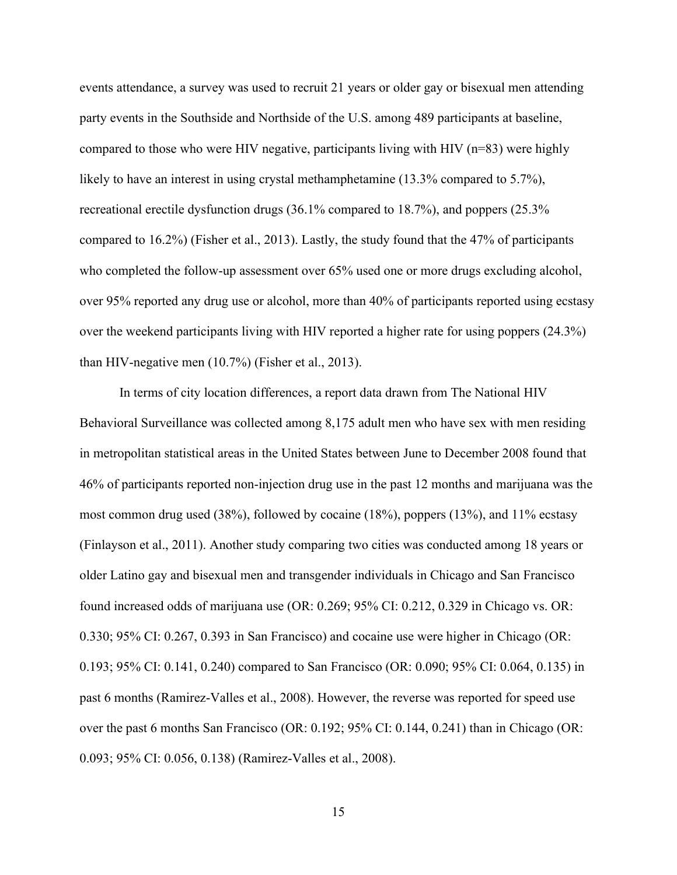events attendance, a survey was used to recruit 21 years or older gay or bisexual men attending party events in the Southside and Northside of the U.S. among 489 participants at baseline, compared to those who were HIV negative, participants living with HIV (n=83) were highly likely to have an interest in using crystal methamphetamine (13.3% compared to 5.7%), recreational erectile dysfunction drugs (36.1% compared to 18.7%), and poppers (25.3% compared to 16.2%) (Fisher et al., 2013). Lastly, the study found that the 47% of participants who completed the follow-up assessment over 65% used one or more drugs excluding alcohol, over 95% reported any drug use or alcohol, more than 40% of participants reported using ecstasy over the weekend participants living with HIV reported a higher rate for using poppers (24.3%) than HIV-negative men (10.7%) (Fisher et al., 2013).

In terms of city location differences, a report data drawn from The National HIV Behavioral Surveillance was collected among 8,175 adult men who have sex with men residing in metropolitan statistical areas in the United States between June to December 2008 found that 46% of participants reported non-injection drug use in the past 12 months and marijuana was the most common drug used (38%), followed by cocaine (18%), poppers (13%), and 11% ecstasy (Finlayson et al., 2011). Another study comparing two cities was conducted among 18 years or older Latino gay and bisexual men and transgender individuals in Chicago and San Francisco found increased odds of marijuana use (OR: 0.269; 95% CI: 0.212, 0.329 in Chicago vs. OR: 0.330; 95% CI: 0.267, 0.393 in San Francisco) and cocaine use were higher in Chicago (OR: 0.193; 95% CI: 0.141, 0.240) compared to San Francisco (OR: 0.090; 95% CI: 0.064, 0.135) in past 6 months (Ramirez-Valles et al., 2008). However, the reverse was reported for speed use over the past 6 months San Francisco (OR: 0.192; 95% CI: 0.144, 0.241) than in Chicago (OR: 0.093; 95% CI: 0.056, 0.138) (Ramirez-Valles et al., 2008).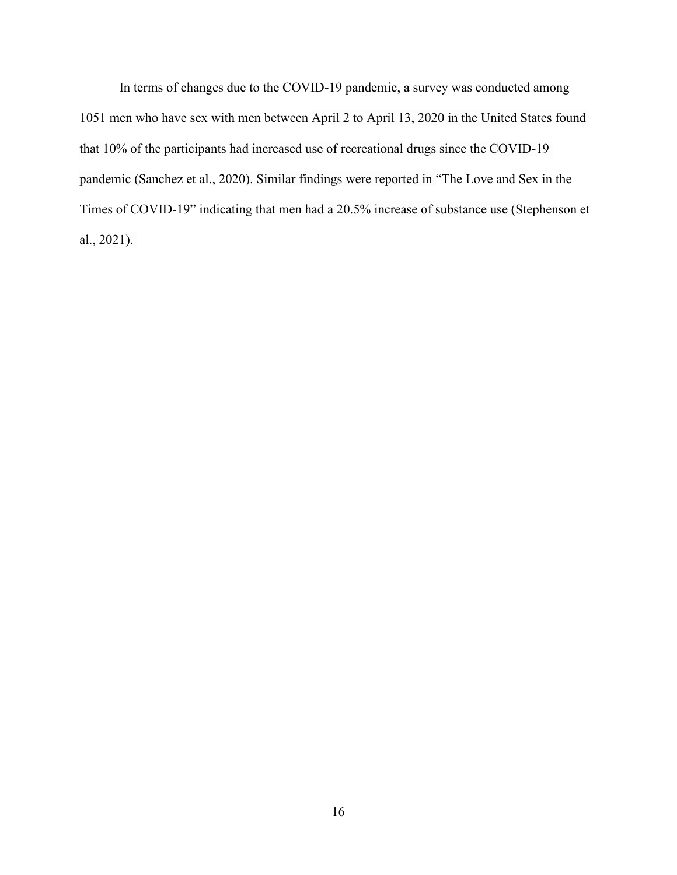In terms of changes due to the COVID-19 pandemic, a survey was conducted among 1051 men who have sex with men between April 2 to April 13, 2020 in the United States found that 10% of the participants had increased use of recreational drugs since the COVID-19 pandemic (Sanchez et al., 2020). Similar findings were reported in "The Love and Sex in the Times of COVID-19" indicating that men had a 20.5% increase of substance use (Stephenson et al., 2021).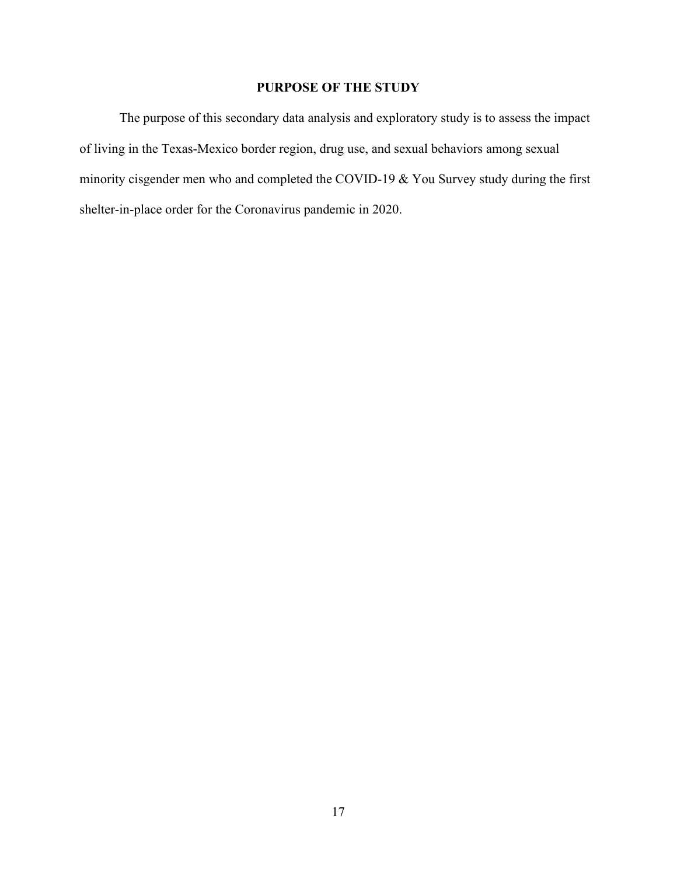# **PURPOSE OF THE STUDY**

The purpose of this secondary data analysis and exploratory study is to assess the impact of living in the Texas-Mexico border region, drug use, and sexual behaviors among sexual minority cisgender men who and completed the COVID-19 & You Survey study during the first shelter-in-place order for the Coronavirus pandemic in 2020.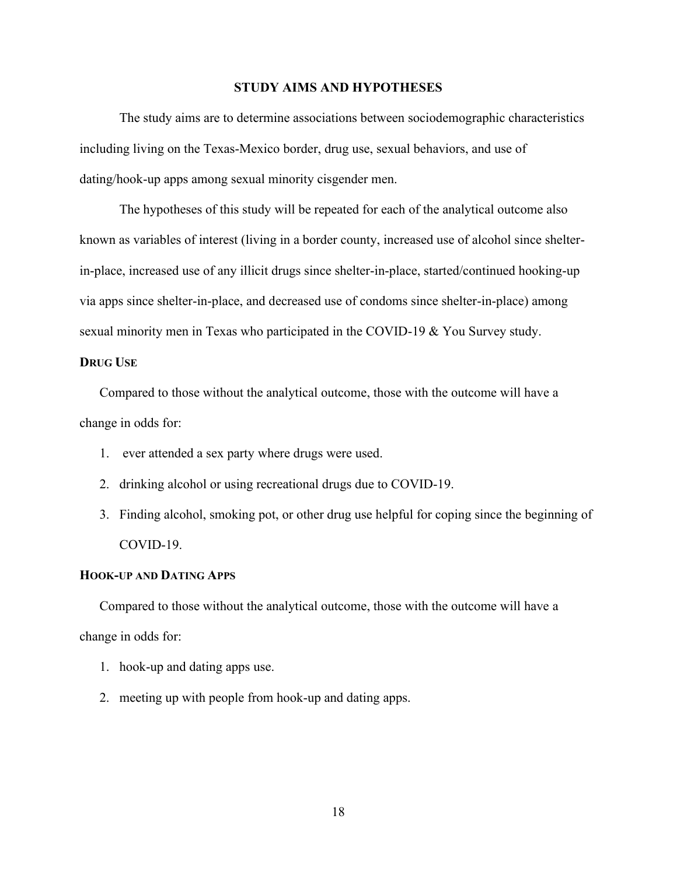#### **STUDY AIMS AND HYPOTHESES**

The study aims are to determine associations between sociodemographic characteristics including living on the Texas-Mexico border, drug use, sexual behaviors, and use of dating/hook-up apps among sexual minority cisgender men.

The hypotheses of this study will be repeated for each of the analytical outcome also known as variables of interest (living in a border county, increased use of alcohol since shelterin-place, increased use of any illicit drugs since shelter-in-place, started/continued hooking-up via apps since shelter-in-place, and decreased use of condoms since shelter-in-place) among sexual minority men in Texas who participated in the COVID-19 & You Survey study.

## **DRUG USE**

Compared to those without the analytical outcome, those with the outcome will have a change in odds for:

- 1. ever attended a sex party where drugs were used.
- 2. drinking alcohol or using recreational drugs due to COVID-19.
- 3. Finding alcohol, smoking pot, or other drug use helpful for coping since the beginning of COVID-19.

#### **HOOK-UP AND DATING APPS**

Compared to those without the analytical outcome, those with the outcome will have a change in odds for:

- 1. hook-up and dating apps use.
- 2. meeting up with people from hook-up and dating apps.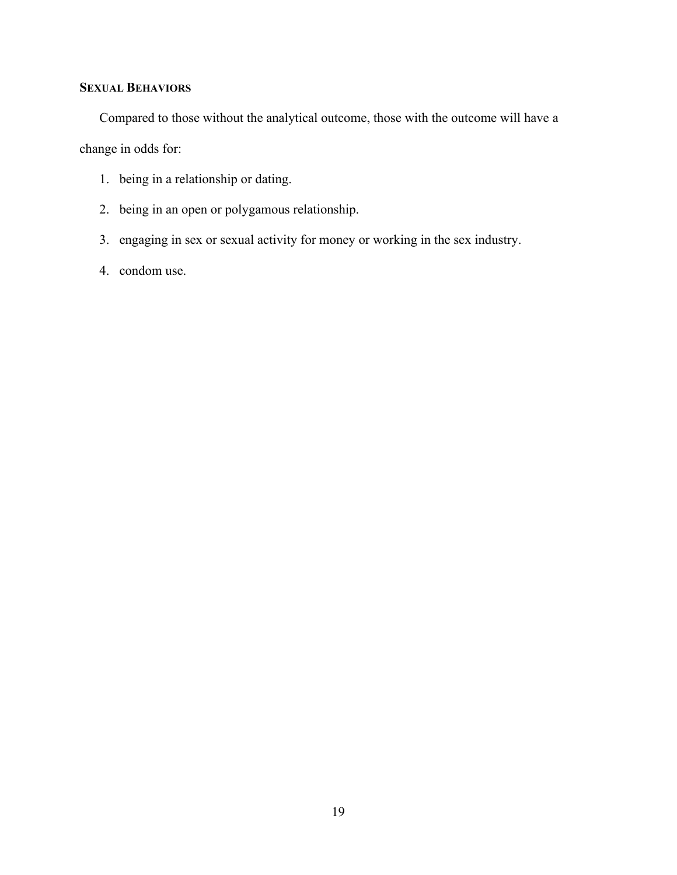# **SEXUAL BEHAVIORS**

Compared to those without the analytical outcome, those with the outcome will have a

change in odds for:

- 1. being in a relationship or dating.
- 2. being in an open or polygamous relationship.
- 3. engaging in sex or sexual activity for money or working in the sex industry.
- 4. condom use.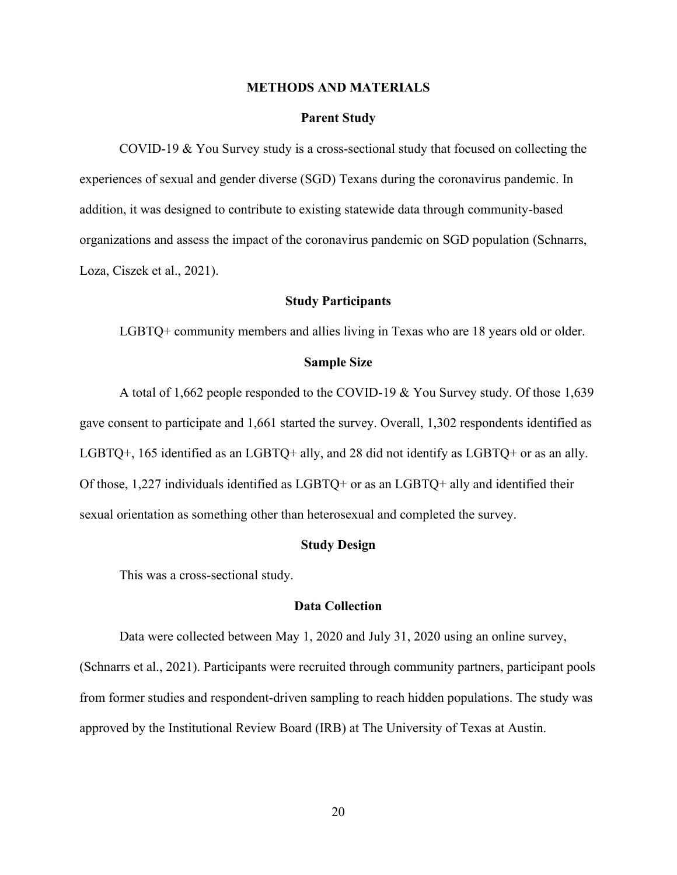#### **METHODS AND MATERIALS**

#### **Parent Study**

COVID-19 & You Survey study is a cross-sectional study that focused on collecting the experiences of sexual and gender diverse (SGD) Texans during the coronavirus pandemic. In addition, it was designed to contribute to existing statewide data through community-based organizations and assess the impact of the coronavirus pandemic on SGD population (Schnarrs, Loza, Ciszek et al., 2021).

#### **Study Participants**

LGBTQ+ community members and allies living in Texas who are 18 years old or older.

#### **Sample Size**

A total of 1,662 people responded to the COVID-19 & You Survey study. Of those 1,639 gave consent to participate and 1,661 started the survey. Overall, 1,302 respondents identified as LGBTQ+, 165 identified as an LGBTQ+ ally, and 28 did not identify as LGBTQ+ or as an ally. Of those, 1,227 individuals identified as LGBTQ+ or as an LGBTQ+ ally and identified their sexual orientation as something other than heterosexual and completed the survey.

#### **Study Design**

This was a cross-sectional study.

# **Data Collection**

Data were collected between May 1, 2020 and July 31, 2020 using an online survey, (Schnarrs et al., 2021). Participants were recruited through community partners, participant pools from former studies and respondent-driven sampling to reach hidden populations. The study was approved by the Institutional Review Board (IRB) at The University of Texas at Austin.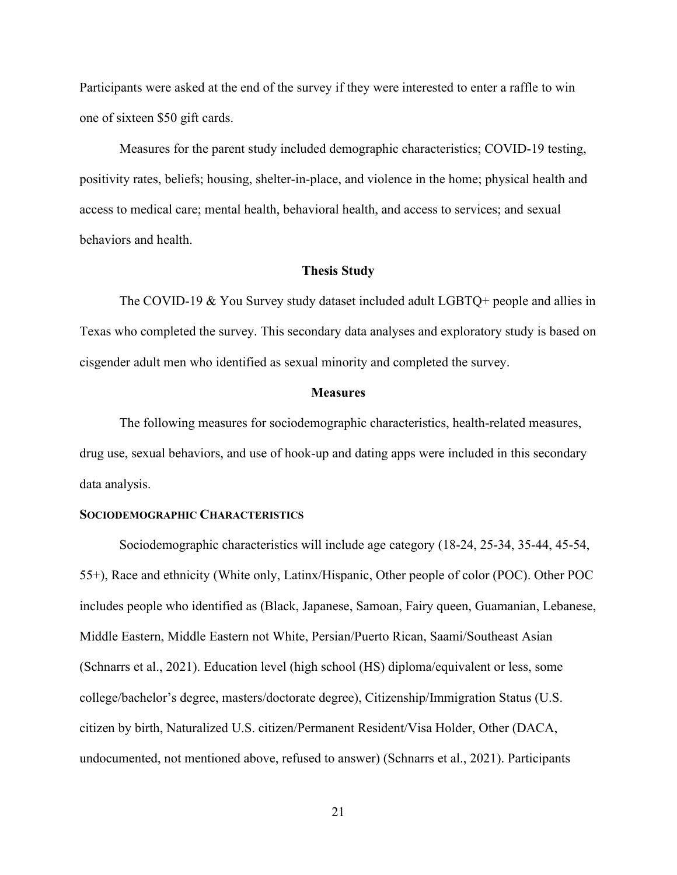Participants were asked at the end of the survey if they were interested to enter a raffle to win one of sixteen \$50 gift cards.

Measures for the parent study included demographic characteristics; COVID-19 testing, positivity rates, beliefs; housing, shelter-in-place, and violence in the home; physical health and access to medical care; mental health, behavioral health, and access to services; and sexual behaviors and health.

#### **Thesis Study**

The COVID-19 & You Survey study dataset included adult LGBTQ+ people and allies in Texas who completed the survey. This secondary data analyses and exploratory study is based on cisgender adult men who identified as sexual minority and completed the survey.

#### **Measures**

 The following measures for sociodemographic characteristics, health-related measures, drug use, sexual behaviors, and use of hook-up and dating apps were included in this secondary data analysis.

## **SOCIODEMOGRAPHIC CHARACTERISTICS**

Sociodemographic characteristics will include age category (18-24, 25-34, 35-44, 45-54, 55+), Race and ethnicity (White only, Latinx/Hispanic, Other people of color (POC). Other POC includes people who identified as (Black, Japanese, Samoan, Fairy queen, Guamanian, Lebanese, Middle Eastern, Middle Eastern not White, Persian/Puerto Rican, Saami/Southeast Asian (Schnarrs et al., 2021). Education level (high school (HS) diploma/equivalent or less, some college/bachelor's degree, masters/doctorate degree), Citizenship/Immigration Status (U.S. citizen by birth, Naturalized U.S. citizen/Permanent Resident/Visa Holder, Other (DACA, undocumented, not mentioned above, refused to answer) (Schnarrs et al., 2021). Participants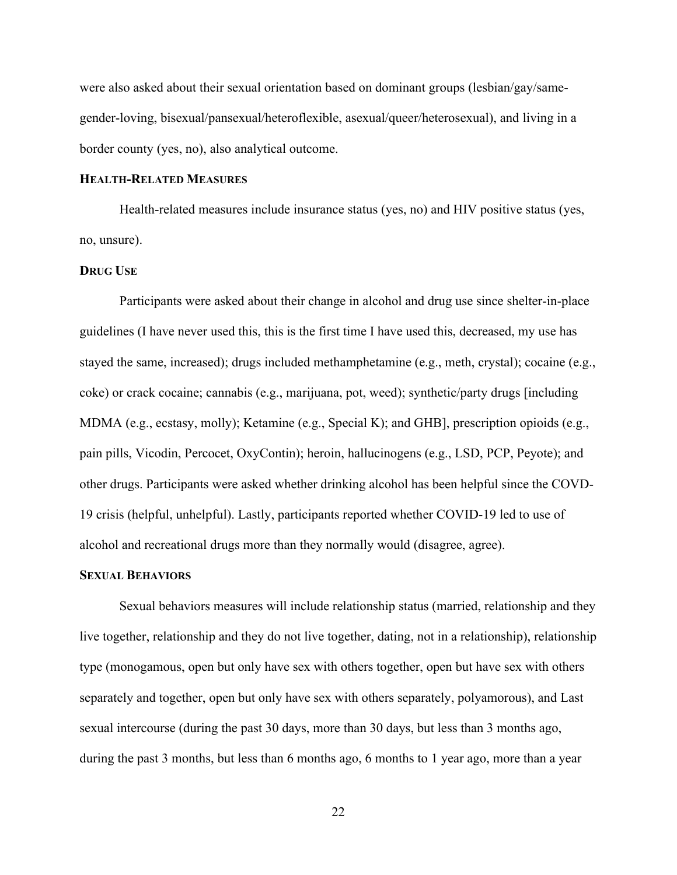were also asked about their sexual orientation based on dominant groups (lesbian/gay/samegender-loving, bisexual/pansexual/heteroflexible, asexual/queer/heterosexual), and living in a border county (yes, no), also analytical outcome.

## **HEALTH-RELATED MEASURES**

Health-related measures include insurance status (yes, no) and HIV positive status (yes, no, unsure).

## **DRUG USE**

Participants were asked about their change in alcohol and drug use since shelter-in-place guidelines (I have never used this, this is the first time I have used this, decreased, my use has stayed the same, increased); drugs included methamphetamine (e.g., meth, crystal); cocaine (e.g., coke) or crack cocaine; cannabis (e.g., marijuana, pot, weed); synthetic/party drugs [including MDMA (e.g., ecstasy, molly); Ketamine (e.g., Special K); and GHB], prescription opioids (e.g., pain pills, Vicodin, Percocet, OxyContin); heroin, hallucinogens (e.g., LSD, PCP, Peyote); and other drugs. Participants were asked whether drinking alcohol has been helpful since the COVD-19 crisis (helpful, unhelpful). Lastly, participants reported whether COVID-19 led to use of alcohol and recreational drugs more than they normally would (disagree, agree).

#### **SEXUAL BEHAVIORS**

Sexual behaviors measures will include relationship status (married, relationship and they live together, relationship and they do not live together, dating, not in a relationship), relationship type (monogamous, open but only have sex with others together, open but have sex with others separately and together, open but only have sex with others separately, polyamorous), and Last sexual intercourse (during the past 30 days, more than 30 days, but less than 3 months ago, during the past 3 months, but less than 6 months ago, 6 months to 1 year ago, more than a year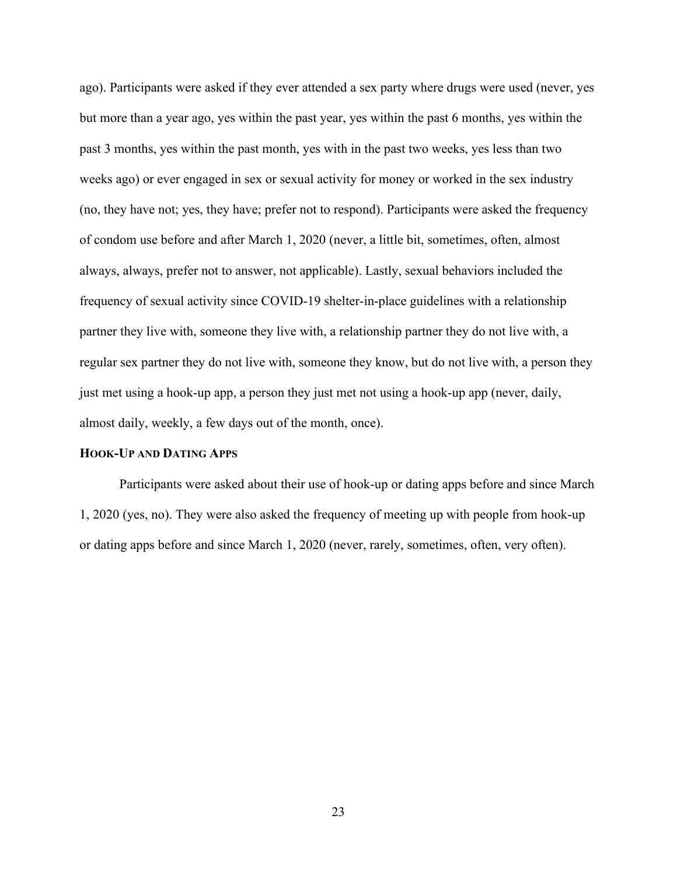ago). Participants were asked if they ever attended a sex party where drugs were used (never, yes but more than a year ago, yes within the past year, yes within the past 6 months, yes within the past 3 months, yes within the past month, yes with in the past two weeks, yes less than two weeks ago) or ever engaged in sex or sexual activity for money or worked in the sex industry (no, they have not; yes, they have; prefer not to respond). Participants were asked the frequency of condom use before and after March 1, 2020 (never, a little bit, sometimes, often, almost always, always, prefer not to answer, not applicable). Lastly, sexual behaviors included the frequency of sexual activity since COVID-19 shelter-in-place guidelines with a relationship partner they live with, someone they live with, a relationship partner they do not live with, a regular sex partner they do not live with, someone they know, but do not live with, a person they just met using a hook-up app, a person they just met not using a hook-up app (never, daily, almost daily, weekly, a few days out of the month, once).

# **HOOK-UP AND DATING APPS**

Participants were asked about their use of hook-up or dating apps before and since March 1, 2020 (yes, no). They were also asked the frequency of meeting up with people from hook-up or dating apps before and since March 1, 2020 (never, rarely, sometimes, often, very often).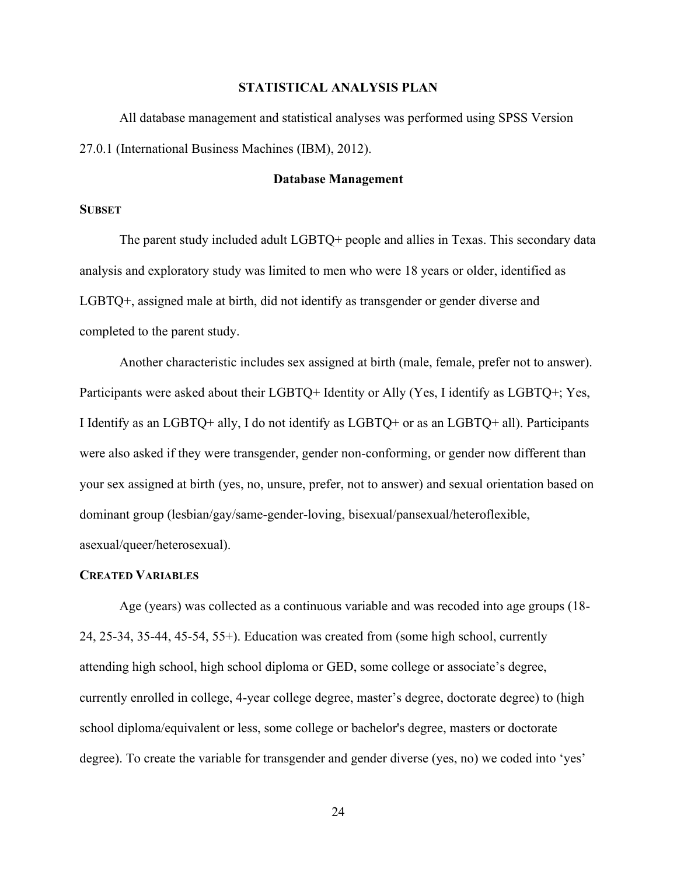## **STATISTICAL ANALYSIS PLAN**

All database management and statistical analyses was performed using SPSS Version 27.0.1 (International Business Machines (IBM), 2012).

# **Database Management**

## **SUBSET**

The parent study included adult LGBTQ+ people and allies in Texas. This secondary data analysis and exploratory study was limited to men who were 18 years or older, identified as LGBTQ+, assigned male at birth, did not identify as transgender or gender diverse and completed to the parent study.

Another characteristic includes sex assigned at birth (male, female, prefer not to answer). Participants were asked about their LGBTQ+ Identity or Ally (Yes, I identify as LGBTQ+; Yes, I Identify as an LGBTQ+ ally, I do not identify as LGBTQ+ or as an LGBTQ+ all). Participants were also asked if they were transgender, gender non-conforming, or gender now different than your sex assigned at birth (yes, no, unsure, prefer, not to answer) and sexual orientation based on dominant group (lesbian/gay/same-gender-loving, bisexual/pansexual/heteroflexible, asexual/queer/heterosexual).

## **CREATED VARIABLES**

Age (years) was collected as a continuous variable and was recoded into age groups (18- 24, 25-34, 35-44, 45-54, 55+). Education was created from (some high school, currently attending high school, high school diploma or GED, some college or associate's degree, currently enrolled in college, 4-year college degree, master's degree, doctorate degree) to (high school diploma/equivalent or less, some college or bachelor's degree, masters or doctorate degree). To create the variable for transgender and gender diverse (yes, no) we coded into 'yes'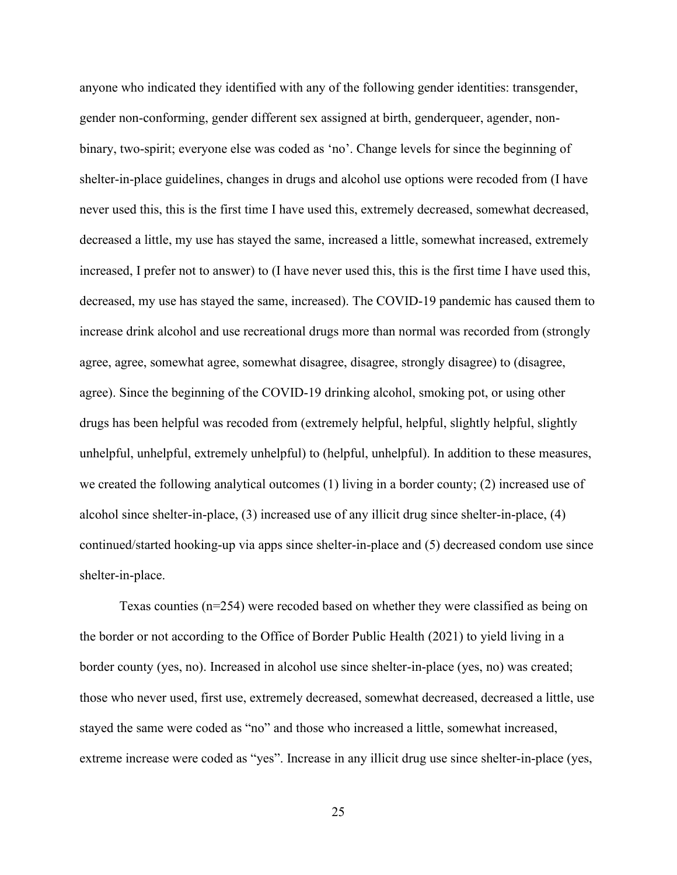anyone who indicated they identified with any of the following gender identities: transgender, gender non-conforming, gender different sex assigned at birth, genderqueer, agender, nonbinary, two-spirit; everyone else was coded as 'no'. Change levels for since the beginning of shelter-in-place guidelines, changes in drugs and alcohol use options were recoded from (I have never used this, this is the first time I have used this, extremely decreased, somewhat decreased, decreased a little, my use has stayed the same, increased a little, somewhat increased, extremely increased, I prefer not to answer) to (I have never used this, this is the first time I have used this, decreased, my use has stayed the same, increased). The COVID-19 pandemic has caused them to increase drink alcohol and use recreational drugs more than normal was recorded from (strongly agree, agree, somewhat agree, somewhat disagree, disagree, strongly disagree) to (disagree, agree). Since the beginning of the COVID-19 drinking alcohol, smoking pot, or using other drugs has been helpful was recoded from (extremely helpful, helpful, slightly helpful, slightly unhelpful, unhelpful, extremely unhelpful) to (helpful, unhelpful). In addition to these measures, we created the following analytical outcomes (1) living in a border county; (2) increased use of alcohol since shelter-in-place, (3) increased use of any illicit drug since shelter-in-place, (4) continued/started hooking-up via apps since shelter-in-place and (5) decreased condom use since shelter-in-place.

Texas counties (n=254) were recoded based on whether they were classified as being on the border or not according to the Office of Border Public Health (2021) to yield living in a border county (yes, no). Increased in alcohol use since shelter-in-place (yes, no) was created; those who never used, first use, extremely decreased, somewhat decreased, decreased a little, use stayed the same were coded as "no" and those who increased a little, somewhat increased, extreme increase were coded as "yes". Increase in any illicit drug use since shelter-in-place (yes,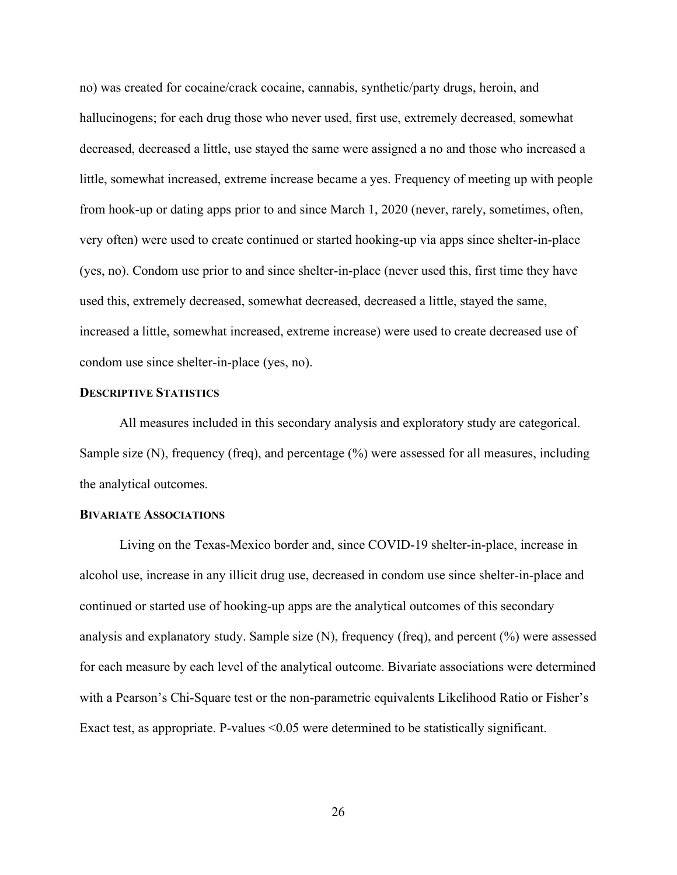no) was created for cocaine/crack cocaine, cannabis, synthetic/party drugs, heroin, and hallucinogens; for each drug those who never used, first use, extremely decreased, somewhat decreased, decreased a little, use stayed the same were assigned a no and those who increased a little, somewhat increased, extreme increase became a yes. Frequency of meeting up with people from hook-up or dating apps prior to and since March 1, 2020 (never, rarely, sometimes, often, very often) were used to create continued or started hooking-up via apps since shelter-in-place (yes, no). Condom use prior to and since shelter-in-place (never used this, first time they have used this, extremely decreased, somewhat decreased, decreased a little, stayed the same, increased a little, somewhat increased, extreme increase) were used to create decreased use of condom use since shelter-in-place (yes, no).

## **DESCRIPTIVE STATISTICS**

All measures included in this secondary analysis and exploratory study are categorical. Sample size (N), frequency (freq), and percentage (%) were assessed for all measures, including the analytical outcomes.

# **BIVARIATE ASSOCIATIONS**

Living on the Texas-Mexico border and, since COVID-19 shelter-in-place, increase in alcohol use, increase in any illicit drug use, decreased in condom use since shelter-in-place and continued or started use of hooking-up apps are the analytical outcomes of this secondary analysis and explanatory study. Sample size  $(N)$ , frequency (freq), and percent  $(\% )$  were assessed for each measure by each level of the analytical outcome. Bivariate associations were determined with a Pearson's Chi-Square test or the non-parametric equivalents Likelihood Ratio or Fisher's Exact test, as appropriate. P-values < 0.05 were determined to be statistically significant.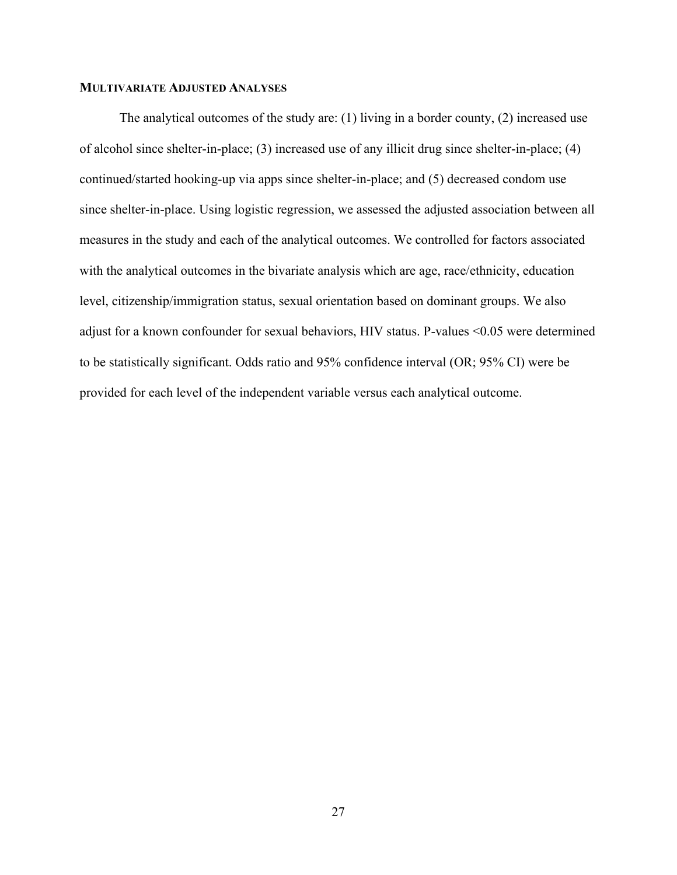# **MULTIVARIATE ADJUSTED ANALYSES**

The analytical outcomes of the study are: (1) living in a border county, (2) increased use of alcohol since shelter-in-place; (3) increased use of any illicit drug since shelter-in-place; (4) continued/started hooking-up via apps since shelter-in-place; and (5) decreased condom use since shelter-in-place. Using logistic regression, we assessed the adjusted association between all measures in the study and each of the analytical outcomes. We controlled for factors associated with the analytical outcomes in the bivariate analysis which are age, race/ethnicity, education level, citizenship/immigration status, sexual orientation based on dominant groups. We also adjust for a known confounder for sexual behaviors, HIV status. P-values <0.05 were determined to be statistically significant. Odds ratio and 95% confidence interval (OR; 95% CI) were be provided for each level of the independent variable versus each analytical outcome.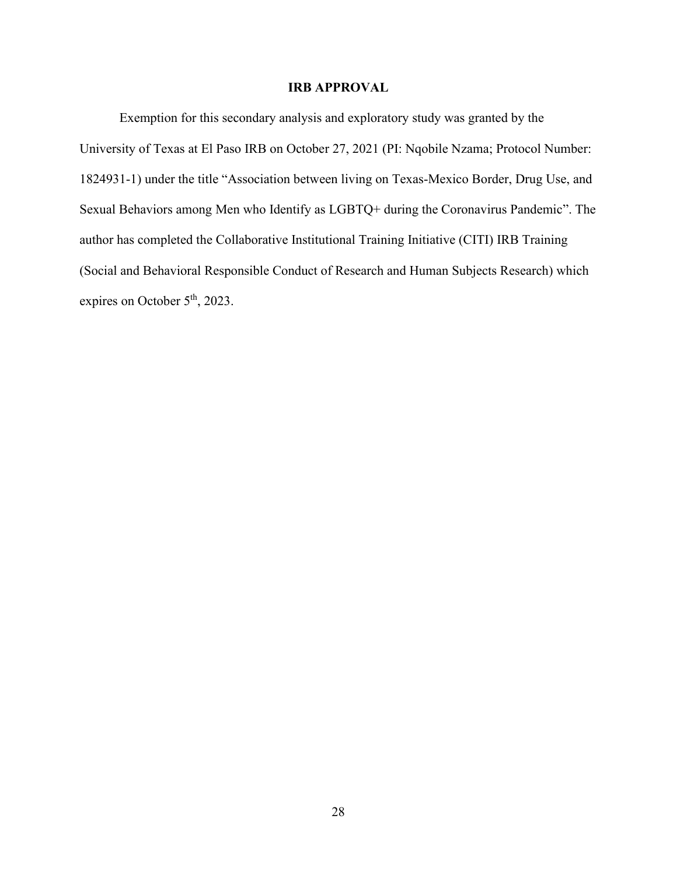# **IRB APPROVAL**

Exemption for this secondary analysis and exploratory study was granted by the University of Texas at El Paso IRB on October 27, 2021 (PI: Nqobile Nzama; Protocol Number: 1824931-1) under the title "Association between living on Texas-Mexico Border, Drug Use, and Sexual Behaviors among Men who Identify as LGBTQ+ during the Coronavirus Pandemic". The author has completed the Collaborative Institutional Training Initiative (CITI) IRB Training (Social and Behavioral Responsible Conduct of Research and Human Subjects Research) which expires on October 5<sup>th</sup>, 2023.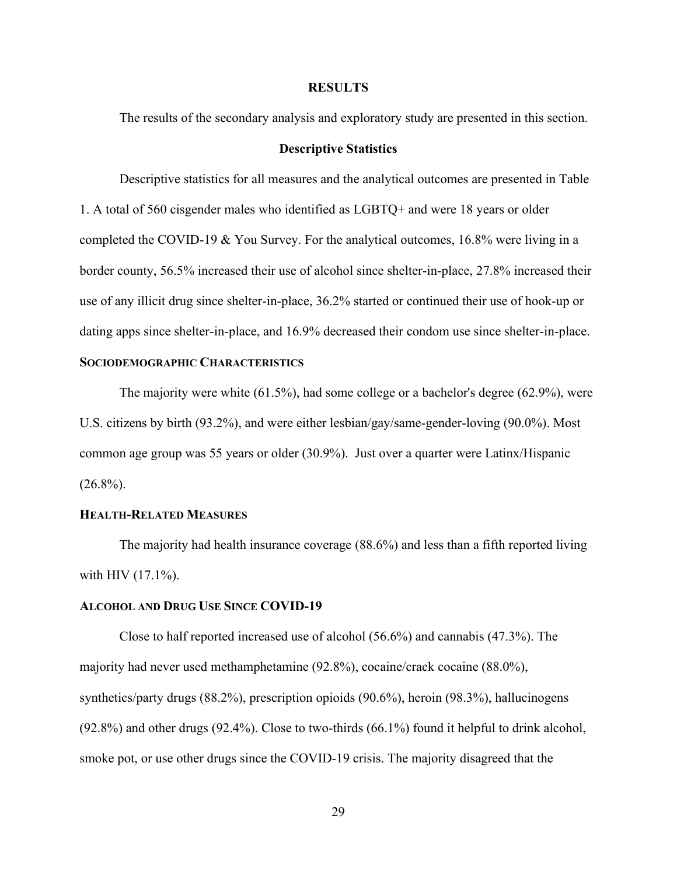## **RESULTS**

The results of the secondary analysis and exploratory study are presented in this section.

# **Descriptive Statistics**

Descriptive statistics for all measures and the analytical outcomes are presented in Table 1. A total of 560 cisgender males who identified as LGBTQ+ and were 18 years or older completed the COVID-19 & You Survey. For the analytical outcomes, 16.8% were living in a border county, 56.5% increased their use of alcohol since shelter-in-place, 27.8% increased their use of any illicit drug since shelter-in-place, 36.2% started or continued their use of hook-up or dating apps since shelter-in-place, and 16.9% decreased their condom use since shelter-in-place.

# **SOCIODEMOGRAPHIC CHARACTERISTICS**

The majority were white (61.5%), had some college or a bachelor's degree (62.9%), were U.S. citizens by birth (93.2%), and were either lesbian/gay/same-gender-loving (90.0%). Most common age group was 55 years or older (30.9%). Just over a quarter were Latinx/Hispanic  $(26.8\%)$ .

# **HEALTH-RELATED MEASURES**

The majority had health insurance coverage (88.6%) and less than a fifth reported living with HIV (17.1%).

#### **ALCOHOL AND DRUG USE SINCE COVID-19**

Close to half reported increased use of alcohol (56.6%) and cannabis (47.3%). The majority had never used methamphetamine (92.8%), cocaine/crack cocaine (88.0%), synthetics/party drugs (88.2%), prescription opioids (90.6%), heroin (98.3%), hallucinogens (92.8%) and other drugs (92.4%). Close to two-thirds (66.1%) found it helpful to drink alcohol, smoke pot, or use other drugs since the COVID-19 crisis. The majority disagreed that the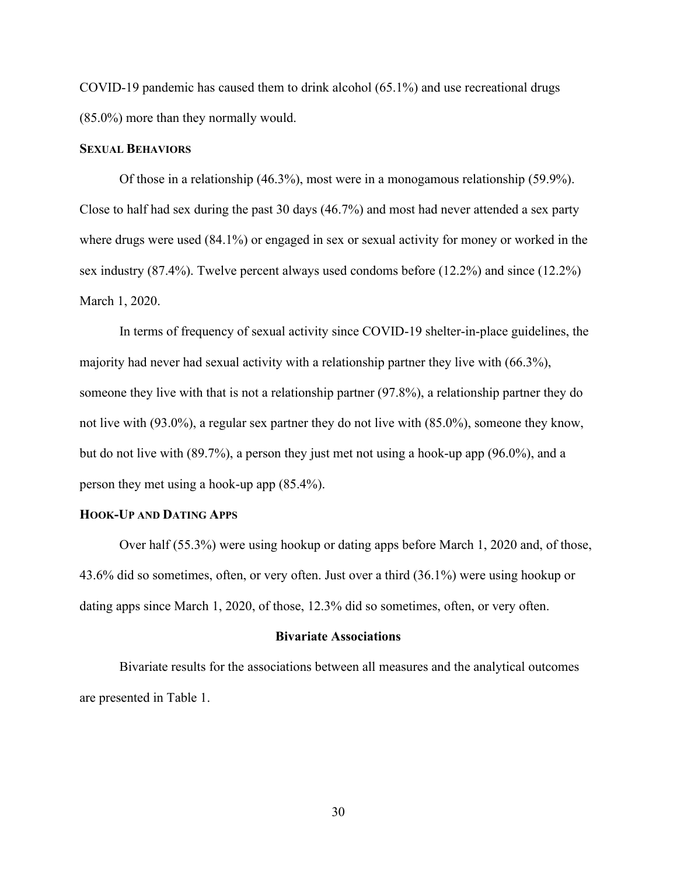COVID-19 pandemic has caused them to drink alcohol (65.1%) and use recreational drugs (85.0%) more than they normally would.

# **SEXUAL BEHAVIORS**

Of those in a relationship (46.3%), most were in a monogamous relationship (59.9%). Close to half had sex during the past 30 days (46.7%) and most had never attended a sex party where drugs were used (84.1%) or engaged in sex or sexual activity for money or worked in the sex industry (87.4%). Twelve percent always used condoms before (12.2%) and since (12.2%) March 1, 2020.

In terms of frequency of sexual activity since COVID-19 shelter-in-place guidelines, the majority had never had sexual activity with a relationship partner they live with (66.3%), someone they live with that is not a relationship partner (97.8%), a relationship partner they do not live with (93.0%), a regular sex partner they do not live with (85.0%), someone they know, but do not live with (89.7%), a person they just met not using a hook-up app (96.0%), and a person they met using a hook-up app (85.4%).

#### **HOOK-UP AND DATING APPS**

Over half (55.3%) were using hookup or dating apps before March 1, 2020 and, of those, 43.6% did so sometimes, often, or very often. Just over a third (36.1%) were using hookup or dating apps since March 1, 2020, of those, 12.3% did so sometimes, often, or very often.

#### **Bivariate Associations**

 Bivariate results for the associations between all measures and the analytical outcomes are presented in Table 1.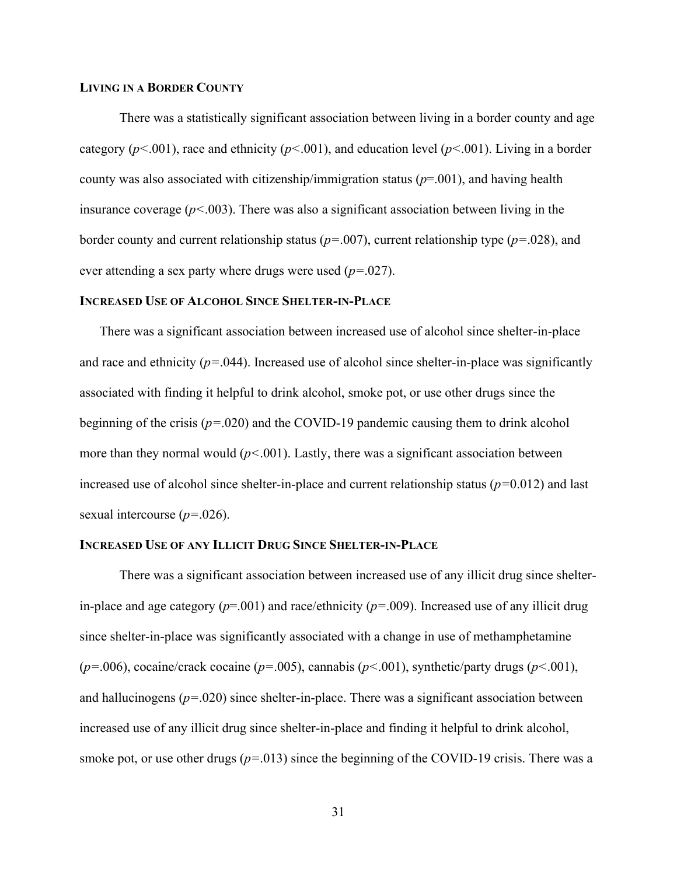# **LIVING IN A BORDER COUNTY**

There was a statistically significant association between living in a border county and age category (*p<*.001), race and ethnicity (*p<*.001), and education level (*p<*.001). Living in a border county was also associated with citizenship/immigration status (*p*=.001), and having health insurance coverage  $(p<.003)$ . There was also a significant association between living in the border county and current relationship status (*p=*.007), current relationship type (*p=*.028), and ever attending a sex party where drugs were used (*p=*.027).

# **INCREASED USE OF ALCOHOL SINCE SHELTER-IN-PLACE**

There was a significant association between increased use of alcohol since shelter-in-place and race and ethnicity  $(p=0.044)$ . Increased use of alcohol since shelter-in-place was significantly associated with finding it helpful to drink alcohol, smoke pot, or use other drugs since the beginning of the crisis (*p=*.020) and the COVID-19 pandemic causing them to drink alcohol more than they normal would  $(p<.001)$ . Lastly, there was a significant association between increased use of alcohol since shelter-in-place and current relationship status (*p=*0.012) and last sexual intercourse (*p=*.026).

## **INCREASED USE OF ANY ILLICIT DRUG SINCE SHELTER-IN-PLACE**

There was a significant association between increased use of any illicit drug since shelterin-place and age category (*p*=.001) and race/ethnicity (*p=*.009). Increased use of any illicit drug since shelter-in-place was significantly associated with a change in use of methamphetamine (*p=*.006), cocaine/crack cocaine (*p=*.005), cannabis (*p<*.001), synthetic/party drugs (*p<*.001), and hallucinogens (*p=*.020) since shelter-in-place. There was a significant association between increased use of any illicit drug since shelter-in-place and finding it helpful to drink alcohol, smoke pot, or use other drugs  $(p=.013)$  since the beginning of the COVID-19 crisis. There was a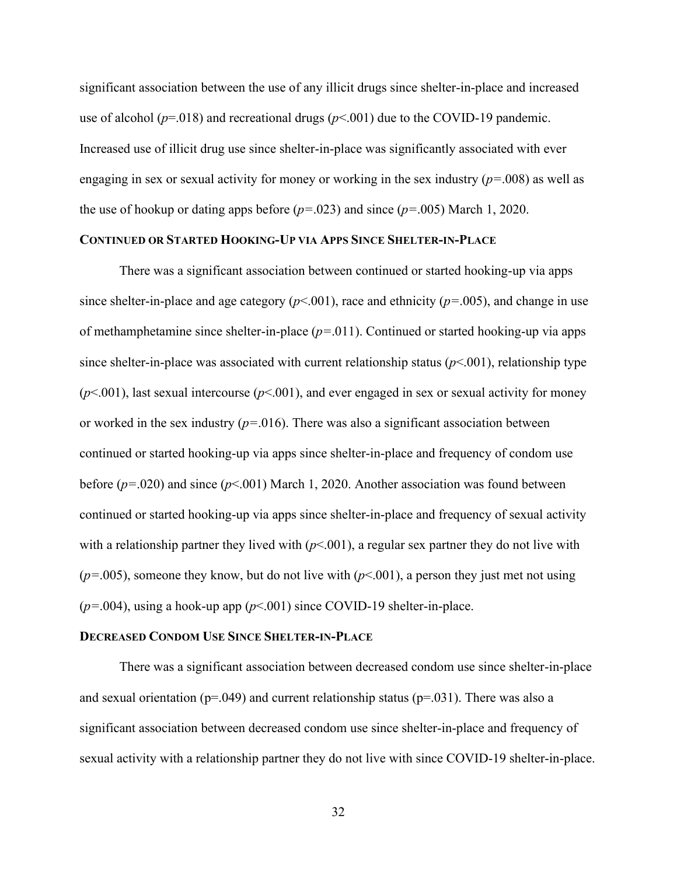significant association between the use of any illicit drugs since shelter-in-place and increased use of alcohol ( $p=018$ ) and recreational drugs ( $p<0.01$ ) due to the COVID-19 pandemic. Increased use of illicit drug use since shelter-in-place was significantly associated with ever engaging in sex or sexual activity for money or working in the sex industry (*p=*.008) as well as the use of hookup or dating apps before (*p=*.023) and since (*p=*.005) March 1, 2020.

# **CONTINUED OR STARTED HOOKING-UP VIA APPS SINCE SHELTER-IN-PLACE**

There was a significant association between continued or started hooking-up via apps since shelter-in-place and age category  $(p<.001)$ , race and ethnicity  $(p=.005)$ , and change in use of methamphetamine since shelter-in-place (*p=*.011). Continued or started hooking-up via apps since shelter-in-place was associated with current relationship status  $(p<.001)$ , relationship type  $(p<.001)$ , last sexual intercourse  $(p<.001)$ , and ever engaged in sex or sexual activity for money or worked in the sex industry  $(p=0.016)$ . There was also a significant association between continued or started hooking-up via apps since shelter-in-place and frequency of condom use before (*p=*.020) and since (*p*<.001) March 1, 2020. Another association was found between continued or started hooking-up via apps since shelter-in-place and frequency of sexual activity with a relationship partner they lived with  $(p<.001)$ , a regular sex partner they do not live with  $(p=0.005)$ , someone they know, but do not live with  $(p<0.01)$ , a person they just met not using  $(p=0.004)$ , using a hook-up app  $(p<0.01)$  since COVID-19 shelter-in-place.

#### **DECREASED CONDOM USE SINCE SHELTER-IN-PLACE**

There was a significant association between decreased condom use since shelter-in-place and sexual orientation ( $p=049$ ) and current relationship status ( $p=031$ ). There was also a significant association between decreased condom use since shelter-in-place and frequency of sexual activity with a relationship partner they do not live with since COVID-19 shelter-in-place.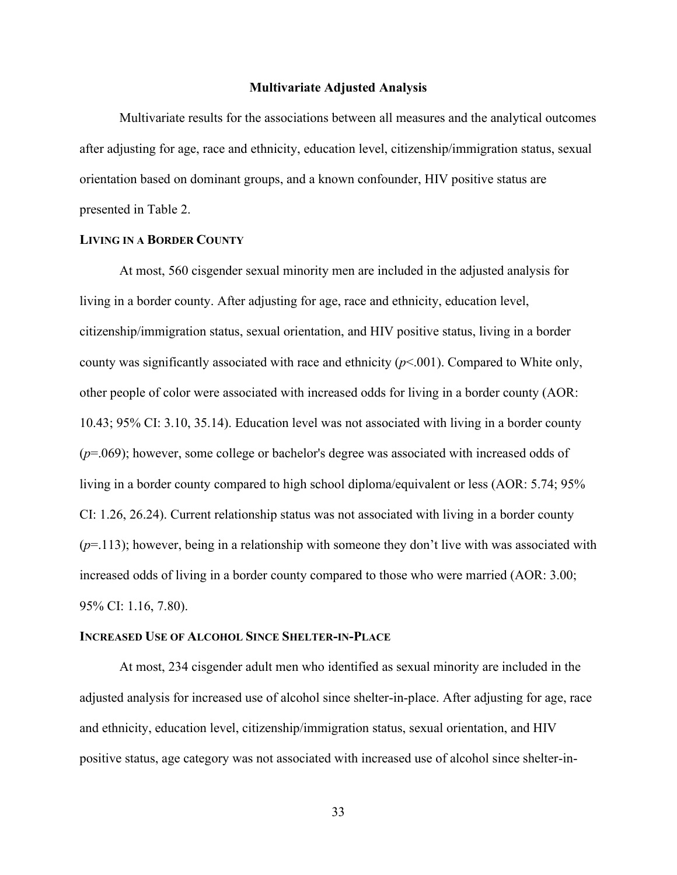#### **Multivariate Adjusted Analysis**

 Multivariate results for the associations between all measures and the analytical outcomes after adjusting for age, race and ethnicity, education level, citizenship/immigration status, sexual orientation based on dominant groups, and a known confounder, HIV positive status are presented in Table 2.

# **LIVING IN A BORDER COUNTY**

At most, 560 cisgender sexual minority men are included in the adjusted analysis for living in a border county. After adjusting for age, race and ethnicity, education level, citizenship/immigration status, sexual orientation, and HIV positive status, living in a border county was significantly associated with race and ethnicity (*p*<.001). Compared to White only, other people of color were associated with increased odds for living in a border county (AOR: 10.43; 95% CI: 3.10, 35.14). Education level was not associated with living in a border county (*p*=.069); however, some college or bachelor's degree was associated with increased odds of living in a border county compared to high school diploma/equivalent or less (AOR: 5.74; 95% CI: 1.26, 26.24). Current relationship status was not associated with living in a border county (*p*=.113); however, being in a relationship with someone they don't live with was associated with increased odds of living in a border county compared to those who were married (AOR: 3.00; 95% CI: 1.16, 7.80).

#### **INCREASED USE OF ALCOHOL SINCE SHELTER-IN-PLACE**

At most, 234 cisgender adult men who identified as sexual minority are included in the adjusted analysis for increased use of alcohol since shelter-in-place. After adjusting for age, race and ethnicity, education level, citizenship/immigration status, sexual orientation, and HIV positive status, age category was not associated with increased use of alcohol since shelter-in-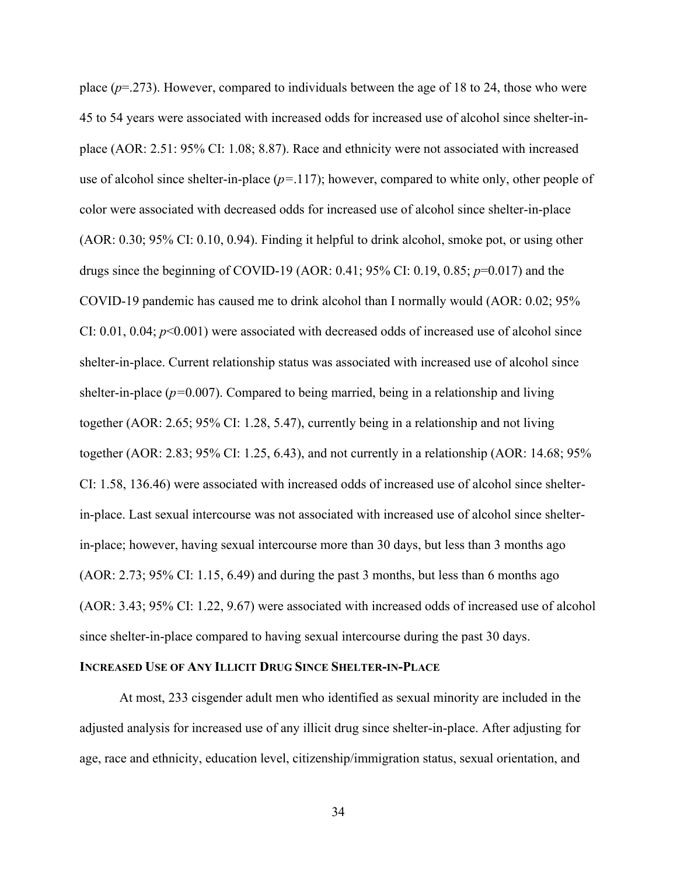place  $(p=273)$ . However, compared to individuals between the age of 18 to 24, those who were 45 to 54 years were associated with increased odds for increased use of alcohol since shelter-inplace (AOR: 2.51: 95% CI: 1.08; 8.87). Race and ethnicity were not associated with increased use of alcohol since shelter-in-place (*p=*.117); however, compared to white only, other people of color were associated with decreased odds for increased use of alcohol since shelter-in-place (AOR: 0.30; 95% CI: 0.10, 0.94). Finding it helpful to drink alcohol, smoke pot, or using other drugs since the beginning of COVID-19 (AOR: 0.41; 95% CI: 0.19, 0.85; *p*=0.017) and the COVID-19 pandemic has caused me to drink alcohol than I normally would (AOR: 0.02; 95% CI: 0.01, 0.04; *p*<0.001) were associated with decreased odds of increased use of alcohol since shelter-in-place. Current relationship status was associated with increased use of alcohol since shelter-in-place (*p=*0.007). Compared to being married, being in a relationship and living together (AOR: 2.65; 95% CI: 1.28, 5.47), currently being in a relationship and not living together (AOR: 2.83; 95% CI: 1.25, 6.43), and not currently in a relationship (AOR: 14.68; 95% CI: 1.58, 136.46) were associated with increased odds of increased use of alcohol since shelterin-place. Last sexual intercourse was not associated with increased use of alcohol since shelterin-place; however, having sexual intercourse more than 30 days, but less than 3 months ago  $(AOR: 2.73; 95\% CI: 1.15, 6.49)$  and during the past 3 months, but less than 6 months ago (AOR: 3.43; 95% CI: 1.22, 9.67) were associated with increased odds of increased use of alcohol since shelter-in-place compared to having sexual intercourse during the past 30 days.

# **INCREASED USE OF ANY ILLICIT DRUG SINCE SHELTER-IN-PLACE**

At most, 233 cisgender adult men who identified as sexual minority are included in the adjusted analysis for increased use of any illicit drug since shelter-in-place. After adjusting for age, race and ethnicity, education level, citizenship/immigration status, sexual orientation, and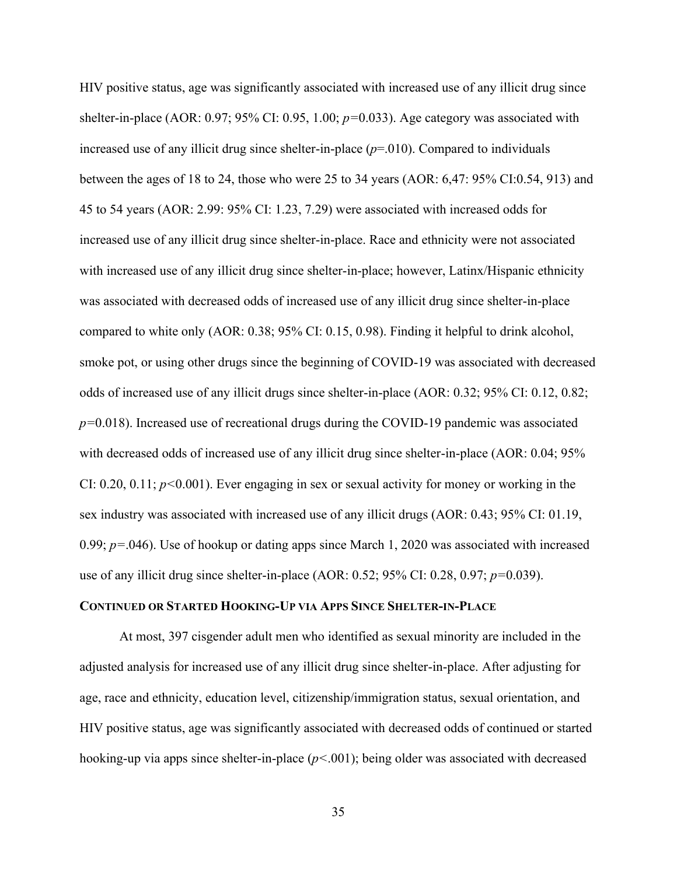HIV positive status, age was significantly associated with increased use of any illicit drug since shelter-in-place (AOR: 0.97; 95% CI: 0.95, 1.00; *p=*0.033). Age category was associated with increased use of any illicit drug since shelter-in-place (*p*=.010). Compared to individuals between the ages of 18 to 24, those who were 25 to 34 years (AOR: 6,47: 95% CI:0.54, 913) and 45 to 54 years (AOR: 2.99: 95% CI: 1.23, 7.29) were associated with increased odds for increased use of any illicit drug since shelter-in-place. Race and ethnicity were not associated with increased use of any illicit drug since shelter-in-place; however, Latinx/Hispanic ethnicity was associated with decreased odds of increased use of any illicit drug since shelter-in-place compared to white only (AOR: 0.38; 95% CI: 0.15, 0.98). Finding it helpful to drink alcohol, smoke pot, or using other drugs since the beginning of COVID-19 was associated with decreased odds of increased use of any illicit drugs since shelter-in-place (AOR: 0.32; 95% CI: 0.12, 0.82; *p=*0.018). Increased use of recreational drugs during the COVID-19 pandemic was associated with decreased odds of increased use of any illicit drug since shelter-in-place (AOR: 0.04; 95%) CI: 0.20, 0.11; *p<*0.001). Ever engaging in sex or sexual activity for money or working in the sex industry was associated with increased use of any illicit drugs (AOR: 0.43; 95% CI: 01.19, 0.99; *p=*.046). Use of hookup or dating apps since March 1, 2020 was associated with increased use of any illicit drug since shelter-in-place (AOR: 0.52; 95% CI: 0.28, 0.97; *p=*0.039).

# **CONTINUED OR STARTED HOOKING-UP VIA APPS SINCE SHELTER-IN-PLACE**

At most, 397 cisgender adult men who identified as sexual minority are included in the adjusted analysis for increased use of any illicit drug since shelter-in-place. After adjusting for age, race and ethnicity, education level, citizenship/immigration status, sexual orientation, and HIV positive status, age was significantly associated with decreased odds of continued or started hooking-up via apps since shelter-in-place (*p<*.001); being older was associated with decreased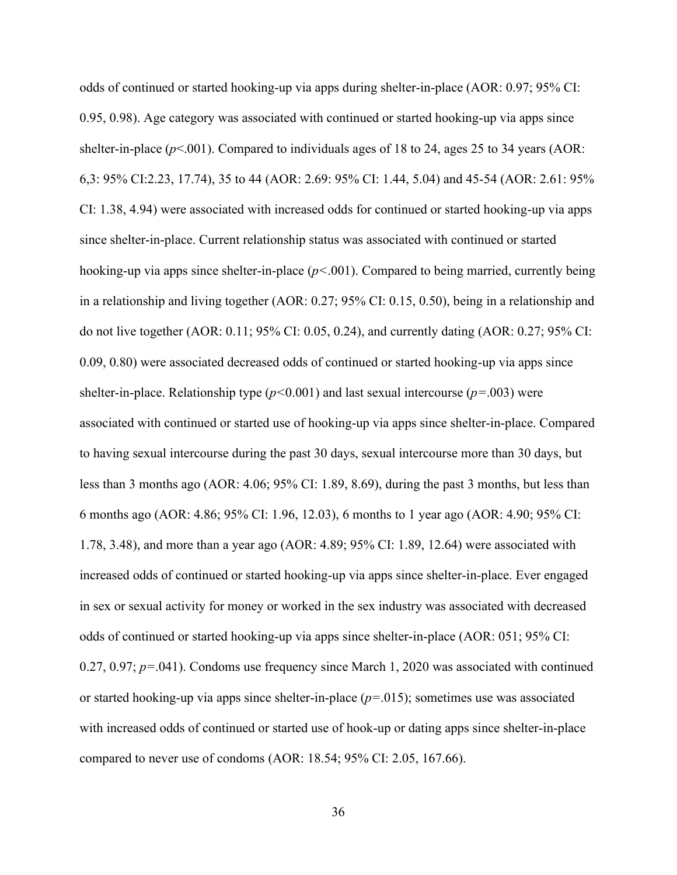odds of continued or started hooking-up via apps during shelter-in-place (AOR: 0.97; 95% CI: 0.95, 0.98). Age category was associated with continued or started hooking-up via apps since shelter-in-place  $(p<.001)$ . Compared to individuals ages of 18 to 24, ages 25 to 34 years (AOR: 6,3: 95% CI:2.23, 17.74), 35 to 44 (AOR: 2.69: 95% CI: 1.44, 5.04) and 45-54 (AOR: 2.61: 95% CI: 1.38, 4.94) were associated with increased odds for continued or started hooking-up via apps since shelter-in-place. Current relationship status was associated with continued or started hooking-up via apps since shelter-in-place (*p<*.001). Compared to being married, currently being in a relationship and living together (AOR: 0.27; 95% CI: 0.15, 0.50), being in a relationship and do not live together (AOR: 0.11; 95% CI: 0.05, 0.24), and currently dating (AOR: 0.27; 95% CI: 0.09, 0.80) were associated decreased odds of continued or started hooking-up via apps since shelter-in-place. Relationship type  $(p<0.001)$  and last sexual intercourse  $(p=.003)$  were associated with continued or started use of hooking-up via apps since shelter-in-place. Compared to having sexual intercourse during the past 30 days, sexual intercourse more than 30 days, but less than 3 months ago (AOR: 4.06; 95% CI: 1.89, 8.69), during the past 3 months, but less than 6 months ago (AOR: 4.86; 95% CI: 1.96, 12.03), 6 months to 1 year ago (AOR: 4.90; 95% CI: 1.78, 3.48), and more than a year ago (AOR: 4.89; 95% CI: 1.89, 12.64) were associated with increased odds of continued or started hooking-up via apps since shelter-in-place. Ever engaged in sex or sexual activity for money or worked in the sex industry was associated with decreased odds of continued or started hooking-up via apps since shelter-in-place (AOR: 051; 95% CI: 0.27, 0.97; *p=*.041). Condoms use frequency since March 1, 2020 was associated with continued or started hooking-up via apps since shelter-in-place (*p=*.015); sometimes use was associated with increased odds of continued or started use of hook-up or dating apps since shelter-in-place compared to never use of condoms (AOR: 18.54; 95% CI: 2.05, 167.66).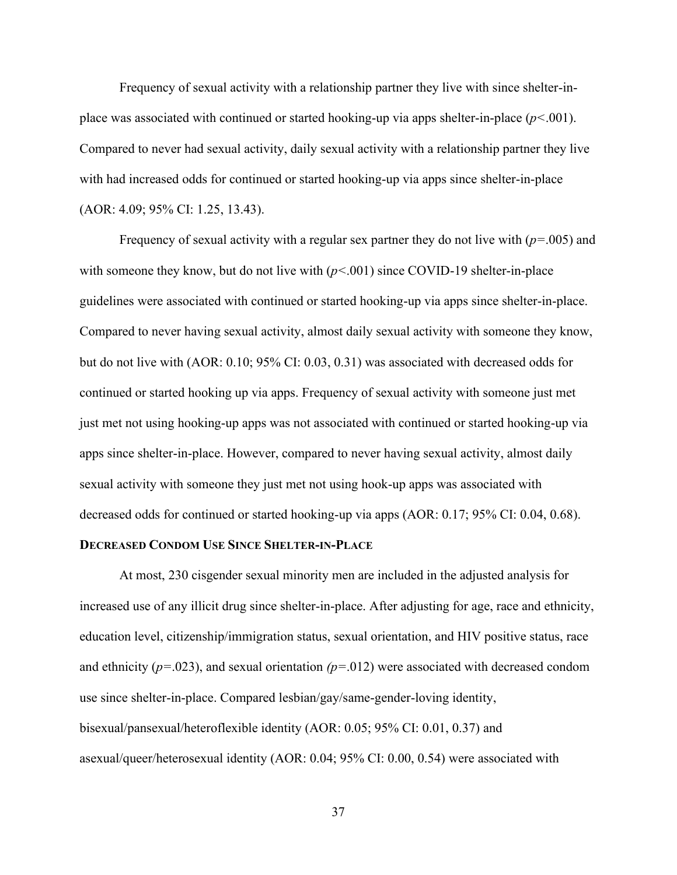Frequency of sexual activity with a relationship partner they live with since shelter-inplace was associated with continued or started hooking-up via apps shelter-in-place (*p<*.001). Compared to never had sexual activity, daily sexual activity with a relationship partner they live with had increased odds for continued or started hooking-up via apps since shelter-in-place (AOR: 4.09; 95% CI: 1.25, 13.43).

Frequency of sexual activity with a regular sex partner they do not live with (*p=*.005) and with someone they know, but do not live with  $(p<0.01)$  since COVID-19 shelter-in-place guidelines were associated with continued or started hooking-up via apps since shelter-in-place. Compared to never having sexual activity, almost daily sexual activity with someone they know, but do not live with (AOR: 0.10; 95% CI: 0.03, 0.31) was associated with decreased odds for continued or started hooking up via apps. Frequency of sexual activity with someone just met just met not using hooking-up apps was not associated with continued or started hooking-up via apps since shelter-in-place. However, compared to never having sexual activity, almost daily sexual activity with someone they just met not using hook-up apps was associated with decreased odds for continued or started hooking-up via apps (AOR: 0.17; 95% CI: 0.04, 0.68).

# **DECREASED CONDOM USE SINCE SHELTER-IN-PLACE**

At most, 230 cisgender sexual minority men are included in the adjusted analysis for increased use of any illicit drug since shelter-in-place. After adjusting for age, race and ethnicity, education level, citizenship/immigration status, sexual orientation, and HIV positive status, race and ethnicity (*p=*.023), and sexual orientation *(p=*.012) were associated with decreased condom use since shelter-in-place. Compared lesbian/gay/same-gender-loving identity, bisexual/pansexual/heteroflexible identity (AOR: 0.05; 95% CI: 0.01, 0.37) and asexual/queer/heterosexual identity (AOR: 0.04; 95% CI: 0.00, 0.54) were associated with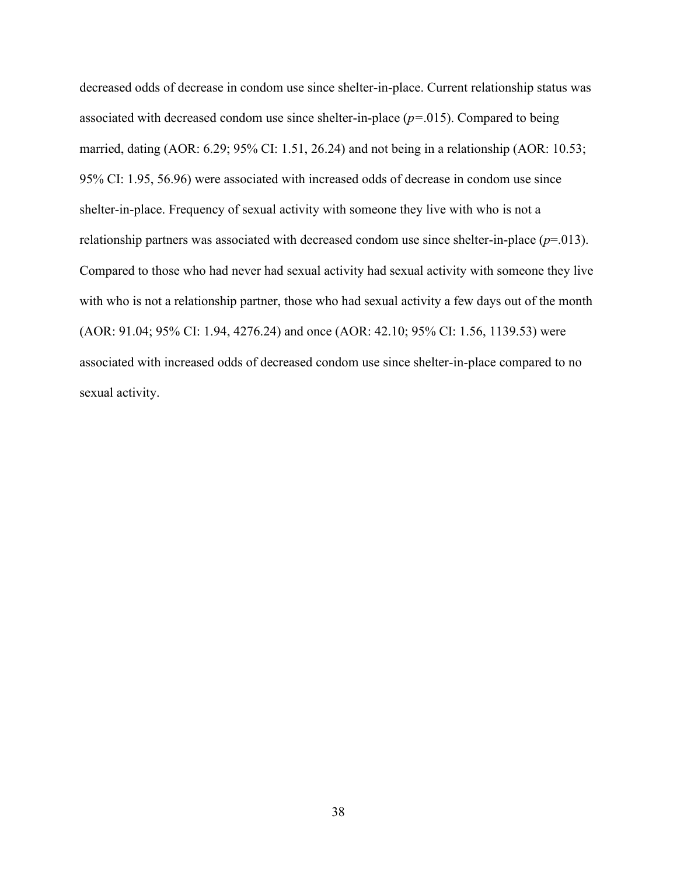decreased odds of decrease in condom use since shelter-in-place. Current relationship status was associated with decreased condom use since shelter-in-place (*p=*.015). Compared to being married, dating (AOR: 6.29; 95% CI: 1.51, 26.24) and not being in a relationship (AOR: 10.53; 95% CI: 1.95, 56.96) were associated with increased odds of decrease in condom use since shelter-in-place. Frequency of sexual activity with someone they live with who is not a relationship partners was associated with decreased condom use since shelter-in-place (*p*=.013). Compared to those who had never had sexual activity had sexual activity with someone they live with who is not a relationship partner, those who had sexual activity a few days out of the month (AOR: 91.04; 95% CI: 1.94, 4276.24) and once (AOR: 42.10; 95% CI: 1.56, 1139.53) were associated with increased odds of decreased condom use since shelter-in-place compared to no sexual activity.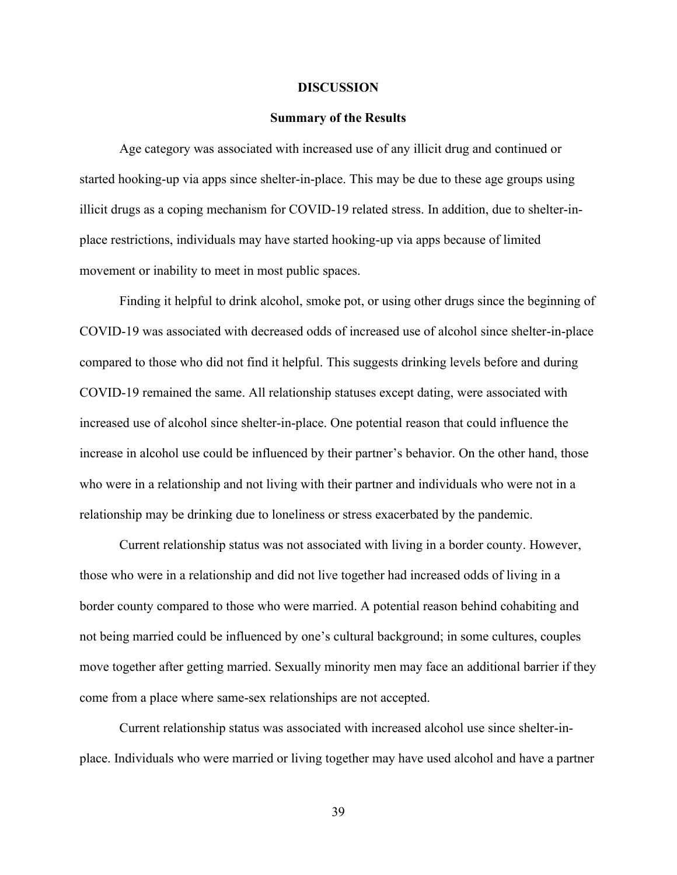#### **DISCUSSION**

# **Summary of the Results**

Age category was associated with increased use of any illicit drug and continued or started hooking-up via apps since shelter-in-place. This may be due to these age groups using illicit drugs as a coping mechanism for COVID-19 related stress. In addition, due to shelter-inplace restrictions, individuals may have started hooking-up via apps because of limited movement or inability to meet in most public spaces.

Finding it helpful to drink alcohol, smoke pot, or using other drugs since the beginning of COVID-19 was associated with decreased odds of increased use of alcohol since shelter-in-place compared to those who did not find it helpful. This suggests drinking levels before and during COVID-19 remained the same. All relationship statuses except dating, were associated with increased use of alcohol since shelter-in-place. One potential reason that could influence the increase in alcohol use could be influenced by their partner's behavior. On the other hand, those who were in a relationship and not living with their partner and individuals who were not in a relationship may be drinking due to loneliness or stress exacerbated by the pandemic.

Current relationship status was not associated with living in a border county. However, those who were in a relationship and did not live together had increased odds of living in a border county compared to those who were married. A potential reason behind cohabiting and not being married could be influenced by one's cultural background; in some cultures, couples move together after getting married. Sexually minority men may face an additional barrier if they come from a place where same-sex relationships are not accepted.

Current relationship status was associated with increased alcohol use since shelter-inplace. Individuals who were married or living together may have used alcohol and have a partner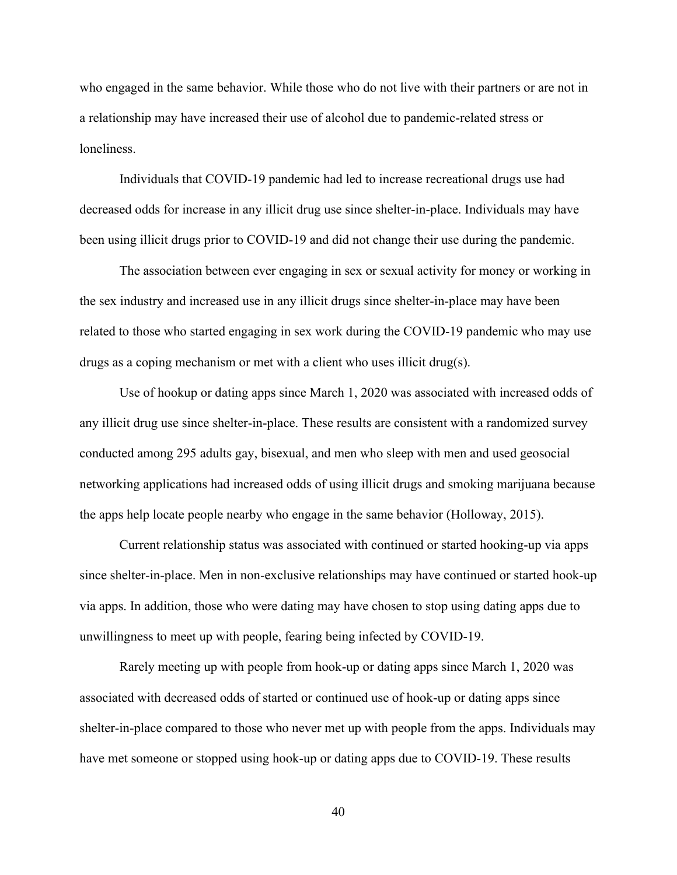who engaged in the same behavior. While those who do not live with their partners or are not in a relationship may have increased their use of alcohol due to pandemic-related stress or loneliness.

Individuals that COVID-19 pandemic had led to increase recreational drugs use had decreased odds for increase in any illicit drug use since shelter-in-place. Individuals may have been using illicit drugs prior to COVID-19 and did not change their use during the pandemic.

The association between ever engaging in sex or sexual activity for money or working in the sex industry and increased use in any illicit drugs since shelter-in-place may have been related to those who started engaging in sex work during the COVID-19 pandemic who may use drugs as a coping mechanism or met with a client who uses illicit drug(s).

Use of hookup or dating apps since March 1, 2020 was associated with increased odds of any illicit drug use since shelter-in-place. These results are consistent with a randomized survey conducted among 295 adults gay, bisexual, and men who sleep with men and used geosocial networking applications had increased odds of using illicit drugs and smoking marijuana because the apps help locate people nearby who engage in the same behavior (Holloway, 2015).

Current relationship status was associated with continued or started hooking-up via apps since shelter-in-place. Men in non-exclusive relationships may have continued or started hook-up via apps. In addition, those who were dating may have chosen to stop using dating apps due to unwillingness to meet up with people, fearing being infected by COVID-19.

Rarely meeting up with people from hook-up or dating apps since March 1, 2020 was associated with decreased odds of started or continued use of hook-up or dating apps since shelter-in-place compared to those who never met up with people from the apps. Individuals may have met someone or stopped using hook-up or dating apps due to COVID-19. These results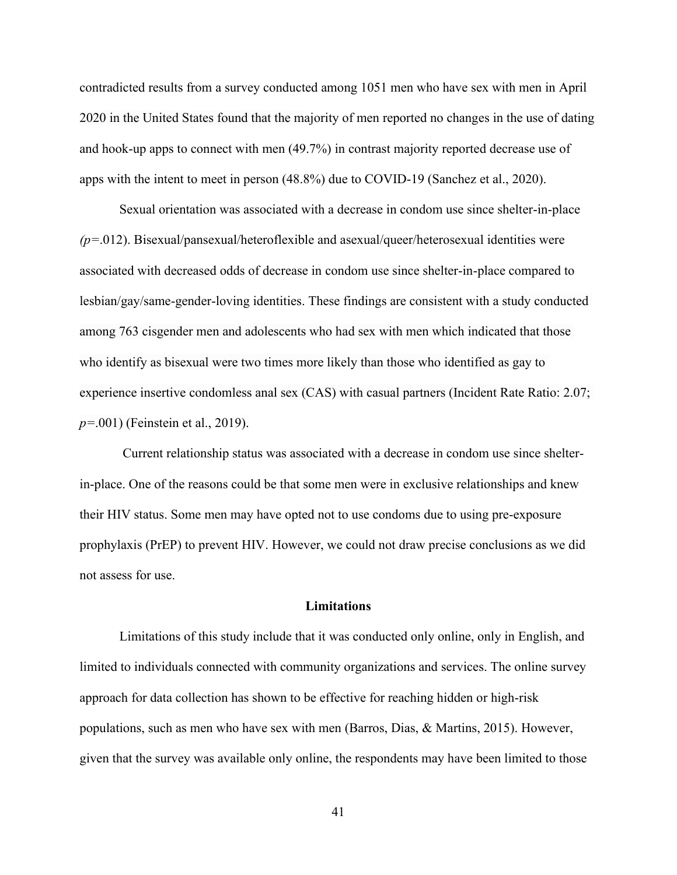contradicted results from a survey conducted among 1051 men who have sex with men in April 2020 in the United States found that the majority of men reported no changes in the use of dating and hook-up apps to connect with men (49.7%) in contrast majority reported decrease use of apps with the intent to meet in person (48.8%) due to COVID-19 (Sanchez et al., 2020).

Sexual orientation was associated with a decrease in condom use since shelter-in-place *(p=*.012). Bisexual/pansexual/heteroflexible and asexual/queer/heterosexual identities were associated with decreased odds of decrease in condom use since shelter-in-place compared to lesbian/gay/same-gender-loving identities. These findings are consistent with a study conducted among 763 cisgender men and adolescents who had sex with men which indicated that those who identify as bisexual were two times more likely than those who identified as gay to experience insertive condomless anal sex (CAS) with casual partners (Incident Rate Ratio: 2.07; *p=*.001) (Feinstein et al., 2019).

 Current relationship status was associated with a decrease in condom use since shelterin-place. One of the reasons could be that some men were in exclusive relationships and knew their HIV status. Some men may have opted not to use condoms due to using pre-exposure prophylaxis (PrEP) to prevent HIV. However, we could not draw precise conclusions as we did not assess for use.

# **Limitations**

Limitations of this study include that it was conducted only online, only in English, and limited to individuals connected with community organizations and services. The online survey approach for data collection has shown to be effective for reaching hidden or high-risk populations, such as men who have sex with men (Barros, Dias, & Martins, 2015). However, given that the survey was available only online, the respondents may have been limited to those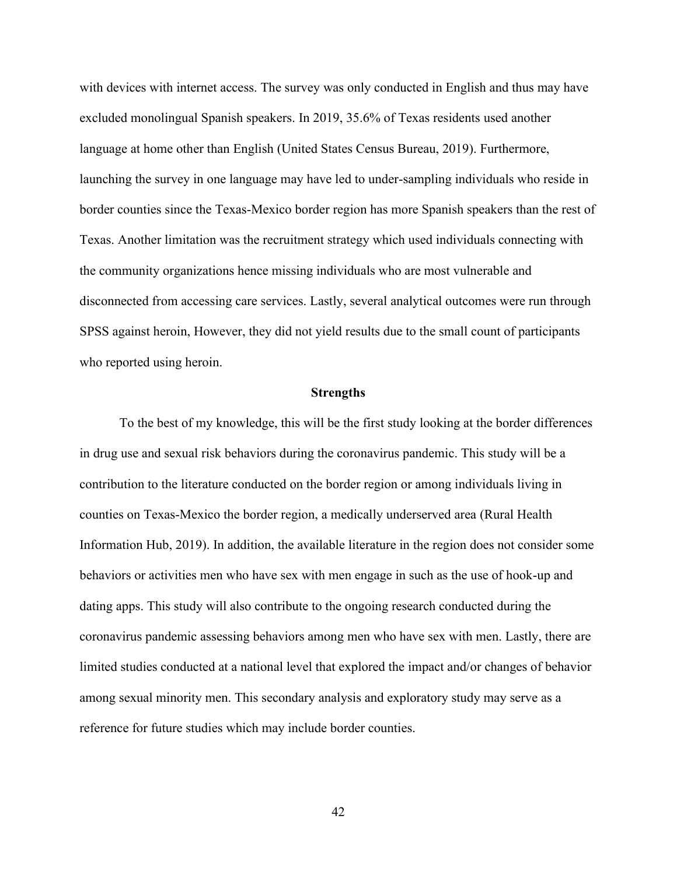with devices with internet access. The survey was only conducted in English and thus may have excluded monolingual Spanish speakers. In 2019, 35.6% of Texas residents used another language at home other than English (United States Census Bureau, 2019). Furthermore, launching the survey in one language may have led to under-sampling individuals who reside in border counties since the Texas-Mexico border region has more Spanish speakers than the rest of Texas. Another limitation was the recruitment strategy which used individuals connecting with the community organizations hence missing individuals who are most vulnerable and disconnected from accessing care services. Lastly, several analytical outcomes were run through SPSS against heroin, However, they did not yield results due to the small count of participants who reported using heroin.

# **Strengths**

To the best of my knowledge, this will be the first study looking at the border differences in drug use and sexual risk behaviors during the coronavirus pandemic. This study will be a contribution to the literature conducted on the border region or among individuals living in counties on Texas-Mexico the border region, a medically underserved area (Rural Health Information Hub, 2019). In addition, the available literature in the region does not consider some behaviors or activities men who have sex with men engage in such as the use of hook-up and dating apps. This study will also contribute to the ongoing research conducted during the coronavirus pandemic assessing behaviors among men who have sex with men. Lastly, there are limited studies conducted at a national level that explored the impact and/or changes of behavior among sexual minority men. This secondary analysis and exploratory study may serve as a reference for future studies which may include border counties.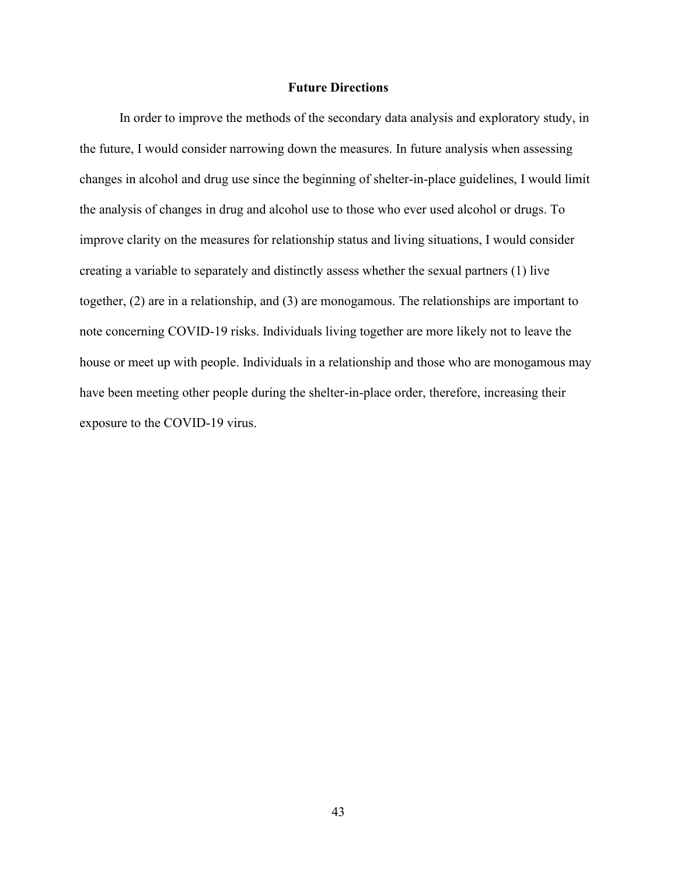# **Future Directions**

In order to improve the methods of the secondary data analysis and exploratory study, in the future, I would consider narrowing down the measures. In future analysis when assessing changes in alcohol and drug use since the beginning of shelter-in-place guidelines, I would limit the analysis of changes in drug and alcohol use to those who ever used alcohol or drugs. To improve clarity on the measures for relationship status and living situations, I would consider creating a variable to separately and distinctly assess whether the sexual partners (1) live together, (2) are in a relationship, and (3) are monogamous. The relationships are important to note concerning COVID-19 risks. Individuals living together are more likely not to leave the house or meet up with people. Individuals in a relationship and those who are monogamous may have been meeting other people during the shelter-in-place order, therefore, increasing their exposure to the COVID-19 virus.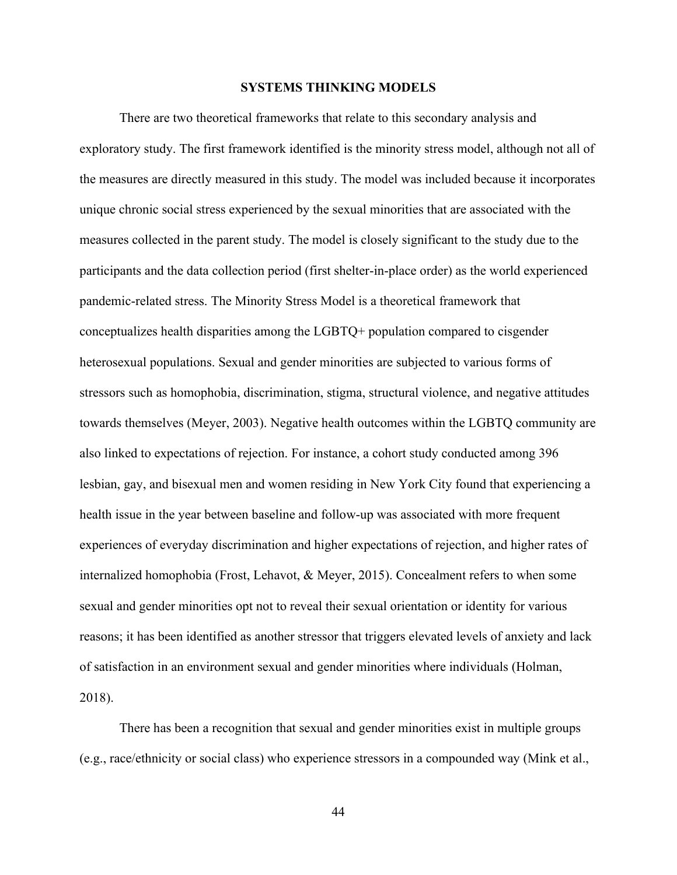# **SYSTEMS THINKING MODELS**

There are two theoretical frameworks that relate to this secondary analysis and exploratory study. The first framework identified is the minority stress model, although not all of the measures are directly measured in this study. The model was included because it incorporates unique chronic social stress experienced by the sexual minorities that are associated with the measures collected in the parent study. The model is closely significant to the study due to the participants and the data collection period (first shelter-in-place order) as the world experienced pandemic-related stress. The Minority Stress Model is a theoretical framework that conceptualizes health disparities among the LGBTQ+ population compared to cisgender heterosexual populations. Sexual and gender minorities are subjected to various forms of stressors such as homophobia, discrimination, stigma, structural violence, and negative attitudes towards themselves (Meyer, 2003). Negative health outcomes within the LGBTQ community are also linked to expectations of rejection. For instance, a cohort study conducted among 396 lesbian, gay, and bisexual men and women residing in New York City found that experiencing a health issue in the year between baseline and follow-up was associated with more frequent experiences of everyday discrimination and higher expectations of rejection, and higher rates of internalized homophobia (Frost, Lehavot, & Meyer, 2015). Concealment refers to when some sexual and gender minorities opt not to reveal their sexual orientation or identity for various reasons; it has been identified as another stressor that triggers elevated levels of anxiety and lack of satisfaction in an environment sexual and gender minorities where individuals (Holman, 2018).

There has been a recognition that sexual and gender minorities exist in multiple groups (e.g., race/ethnicity or social class) who experience stressors in a compounded way (Mink et al.,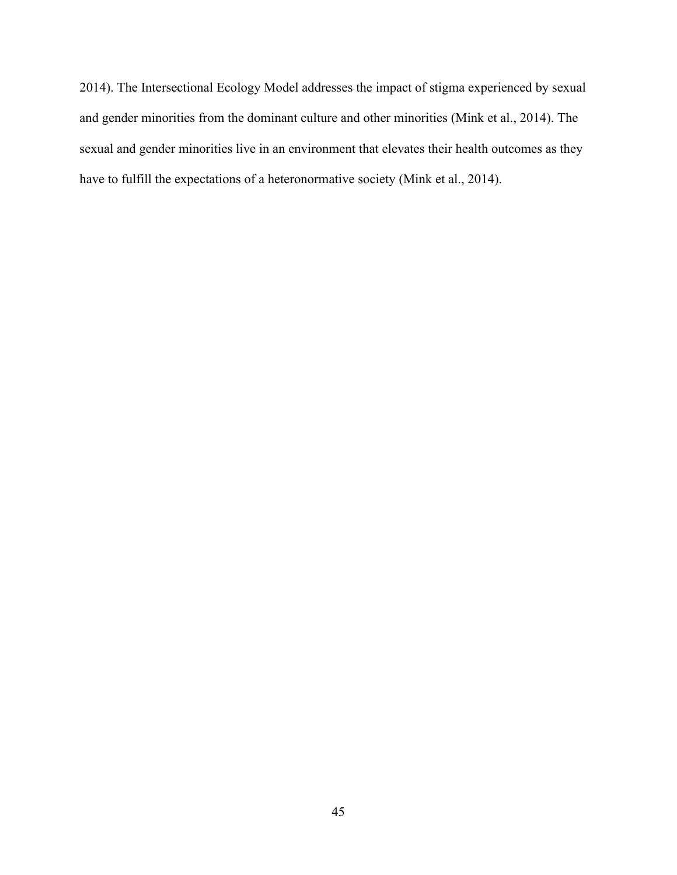2014). The Intersectional Ecology Model addresses the impact of stigma experienced by sexual and gender minorities from the dominant culture and other minorities (Mink et al., 2014). The sexual and gender minorities live in an environment that elevates their health outcomes as they have to fulfill the expectations of a heteronormative society (Mink et al., 2014).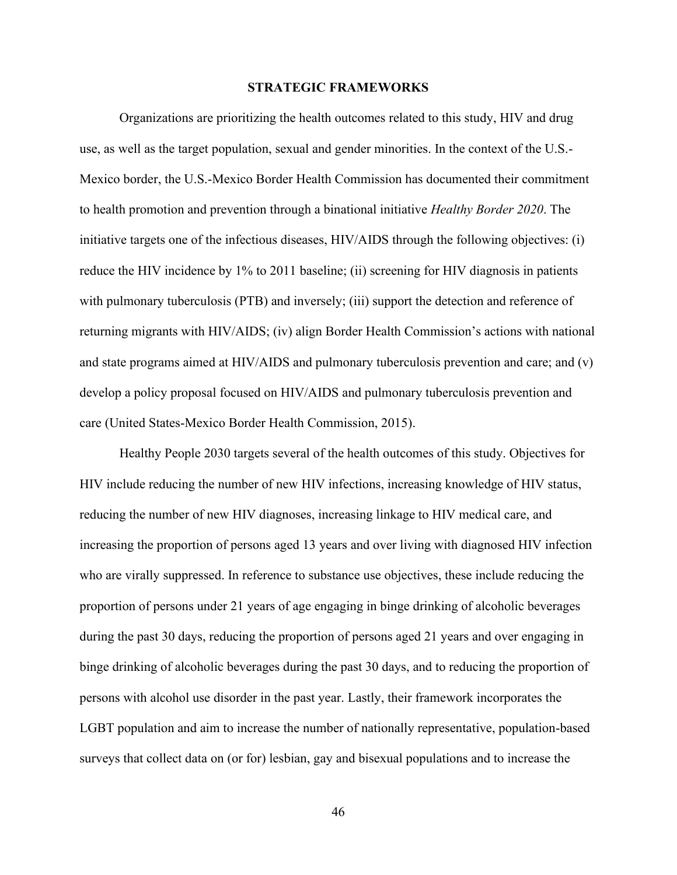## **STRATEGIC FRAMEWORKS**

Organizations are prioritizing the health outcomes related to this study, HIV and drug use, as well as the target population, sexual and gender minorities. In the context of the U.S.- Mexico border, the U.S.-Mexico Border Health Commission has documented their commitment to health promotion and prevention through a binational initiative *Healthy Border 2020*. The initiative targets one of the infectious diseases, HIV/AIDS through the following objectives: (i) reduce the HIV incidence by 1% to 2011 baseline; (ii) screening for HIV diagnosis in patients with pulmonary tuberculosis (PTB) and inversely; (iii) support the detection and reference of returning migrants with HIV/AIDS; (iv) align Border Health Commission's actions with national and state programs aimed at HIV/AIDS and pulmonary tuberculosis prevention and care; and (v) develop a policy proposal focused on HIV/AIDS and pulmonary tuberculosis prevention and care (United States-Mexico Border Health Commission, 2015).

Healthy People 2030 targets several of the health outcomes of this study. Objectives for HIV include reducing the number of new HIV infections, increasing knowledge of HIV status, reducing the number of new HIV diagnoses, increasing linkage to HIV medical care, and increasing the proportion of persons aged 13 years and over living with diagnosed HIV infection who are virally suppressed. In reference to substance use objectives, these include reducing the proportion of persons under 21 years of age engaging in binge drinking of alcoholic beverages during the past 30 days, reducing the proportion of persons aged 21 years and over engaging in binge drinking of alcoholic beverages during the past 30 days, and to reducing the proportion of persons with alcohol use disorder in the past year. Lastly, their framework incorporates the LGBT population and aim to increase the number of nationally representative, population-based surveys that collect data on (or for) lesbian, gay and bisexual populations and to increase the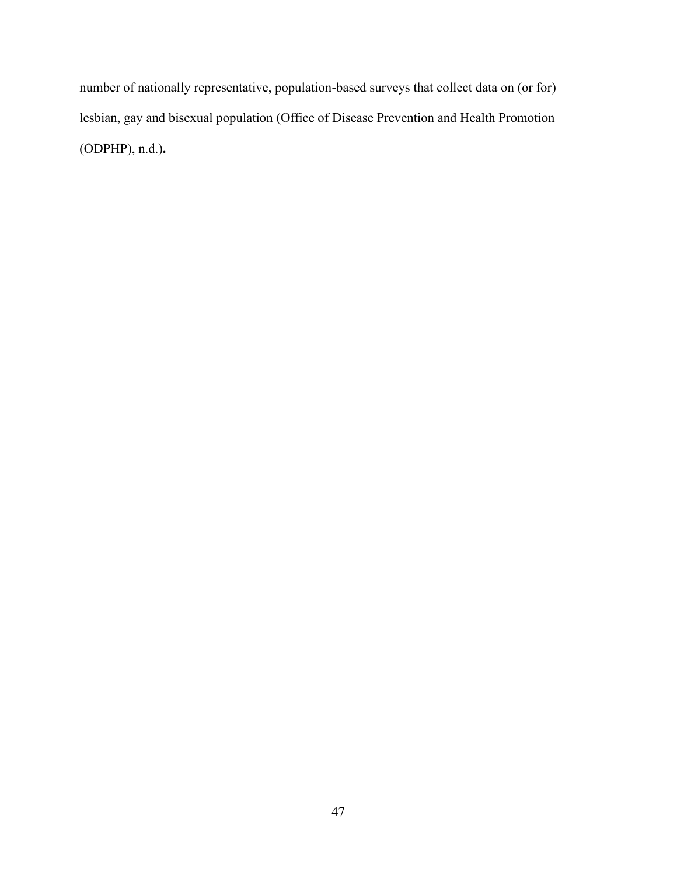number of nationally representative, population-based surveys that collect data on (or for) lesbian, gay and bisexual population (Office of Disease Prevention and Health Promotion (ODPHP), n.d.)**.**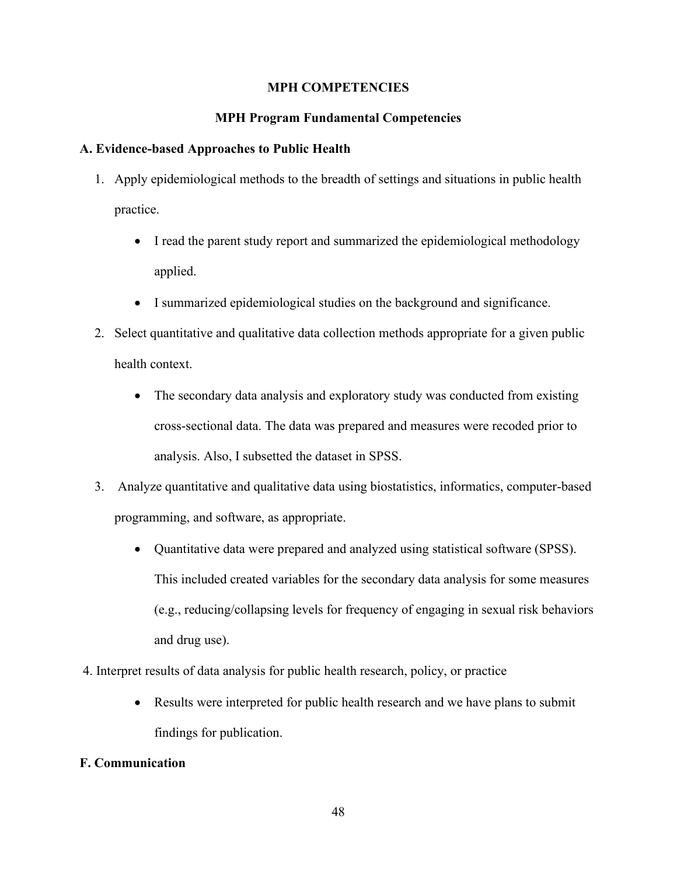# **MPH COMPETENCIES**

# **MPH Program Fundamental Competencies**

# **A. Evidence-based Approaches to Public Health**

- 1. Apply epidemiological methods to the breadth of settings and situations in public health practice.
	- I read the parent study report and summarized the epidemiological methodology applied.
	- I summarized epidemiological studies on the background and significance.
- 2. Select quantitative and qualitative data collection methods appropriate for a given public health context.
	- The secondary data analysis and exploratory study was conducted from existing cross-sectional data. The data was prepared and measures were recoded prior to analysis. Also, I subsetted the dataset in SPSS.
- 3. Analyze quantitative and qualitative data using biostatistics, informatics, computer-based programming, and software, as appropriate.
	- Quantitative data were prepared and analyzed using statistical software (SPSS). This included created variables for the secondary data analysis for some measures (e.g., reducing/collapsing levels for frequency of engaging in sexual risk behaviors and drug use).
- 4. Interpret results of data analysis for public health research, policy, or practice
	- Results were interpreted for public health research and we have plans to submit findings for publication.

# **F. Communication**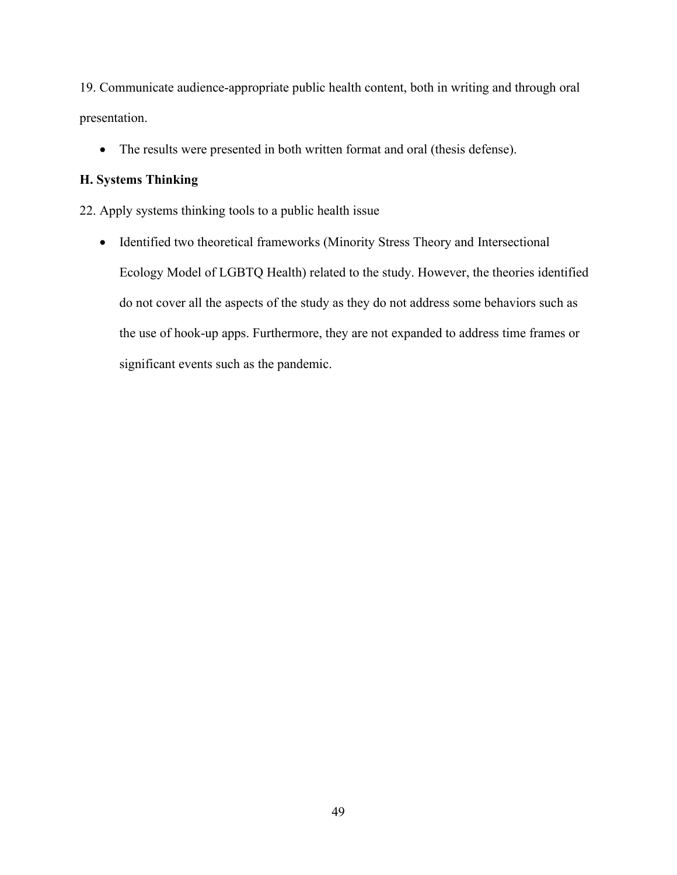19. Communicate audience-appropriate public health content, both in writing and through oral presentation.

• The results were presented in both written format and oral (thesis defense).

# **H. Systems Thinking**

22. Apply systems thinking tools to a public health issue

• Identified two theoretical frameworks (Minority Stress Theory and Intersectional Ecology Model of LGBTQ Health) related to the study. However, the theories identified do not cover all the aspects of the study as they do not address some behaviors such as the use of hook-up apps. Furthermore, they are not expanded to address time frames or significant events such as the pandemic.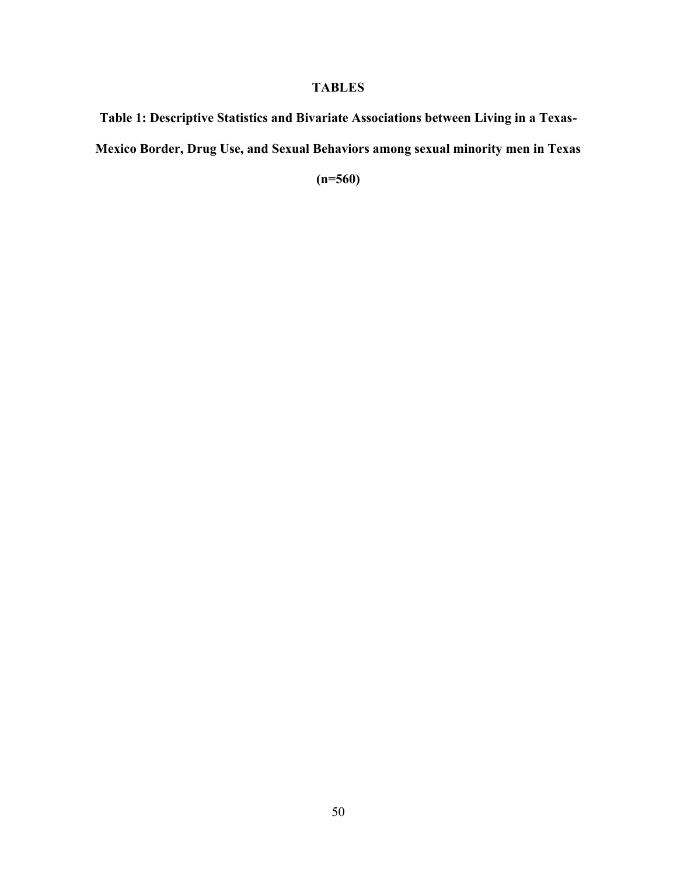# **TABLES**

**Table 1: Descriptive Statistics and Bivariate Associations between Living in a Texas-Mexico Border, Drug Use, and Sexual Behaviors among sexual minority men in Texas** 

**(n=560)**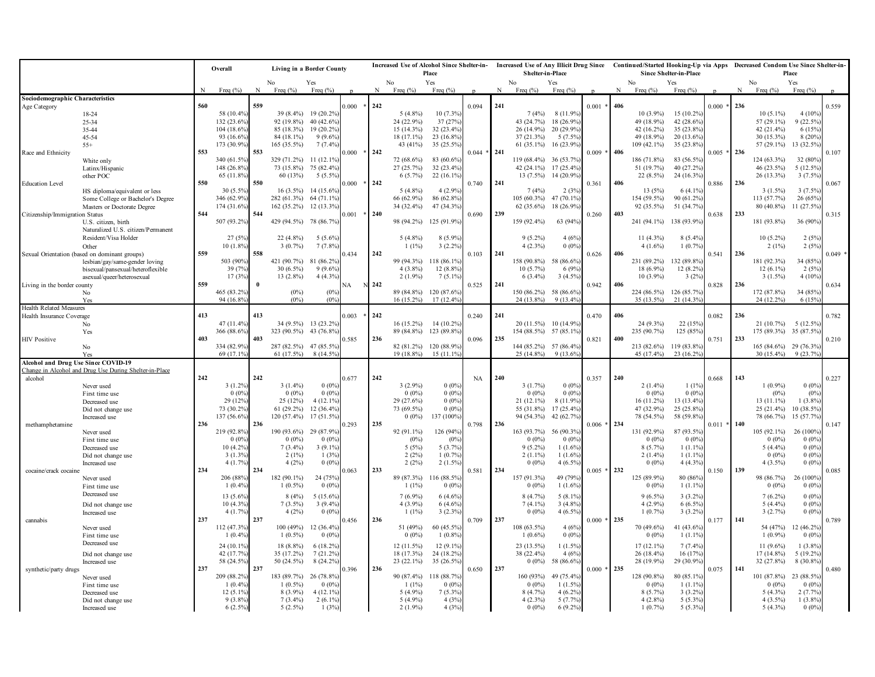|                                     |                                                           |     | Overall<br><b>Living in a Border County</b> |              |                        | <b>Increased Use of Alcohol Since Shelter-in-</b><br>Place<br>No |       |     | Shelter-in-Place         |                        |               |     | Increased Use of Any Illicit Drug Since Continued/Started Hooking-Up via Apps Decreased Condom Use Since Shelter-in-<br>Since Shelter-in-Place |                        |                      |     | Place                       |                        |               |     |                          |                        |           |
|-------------------------------------|-----------------------------------------------------------|-----|---------------------------------------------|--------------|------------------------|------------------------------------------------------------------|-------|-----|--------------------------|------------------------|---------------|-----|------------------------------------------------------------------------------------------------------------------------------------------------|------------------------|----------------------|-----|-----------------------------|------------------------|---------------|-----|--------------------------|------------------------|-----------|
|                                     |                                                           |     | Freq $(%$                                   | N            | No<br>Freq $(%$        | Yes<br>Freq $(%$                                                 |       | N   | Freq $(%$                | Yes<br>Freq $(%$       |               | N   | No<br>Freq $(%$                                                                                                                                | Yes<br>Freq $(% )$     |                      | N   | No<br>Freq $(\%)$           | Yes<br>Freq $(\%)$     |               |     | No<br>Freq $(%$          | Yes<br>Freq $(% )$     |           |
| Sociodemographic Characteristics    |                                                           |     |                                             |              |                        |                                                                  |       |     |                          |                        |               |     |                                                                                                                                                |                        |                      |     |                             |                        |               |     |                          |                        |           |
| Age Category                        |                                                           | 560 |                                             | 559          |                        |                                                                  | 0.000 | 242 |                          |                        | 0.094         | 241 |                                                                                                                                                |                        | $0.001$ *            | 406 |                             |                        | 0.000         | 236 |                          |                        | 0.559     |
|                                     | 18-24                                                     |     | 58 (10.4%                                   |              | 39 (8.4%)              | 19 (20.2%)                                                       |       |     | $5(4.8\%)$               | 10 (7.3%)              |               |     | 7(4%)                                                                                                                                          | $8(11.9\%)$            |                      |     | $10(3.9\%)$                 | 15 (10.2%)             |               |     | $10(5.1\%)$              | 4(10%                  |           |
|                                     | 25-34                                                     |     | 132 (23.6%                                  |              | 92 (19.8%)             | 40 (42.6%)                                                       |       |     | 24 (22.9%)               | 37 (27%)               |               |     | 43 (24.7%)                                                                                                                                     | 18 (26.9%)             |                      |     | 49 (18.9%)                  | 42 (28.6%)             |               |     | 57 (29.1%)               | $9(22.5\%)$            |           |
|                                     | 35-44                                                     |     | 104 (18.6%                                  |              | 85 (18.3%)             | 19 (20.2%)                                                       |       |     | 15 (14.3%)               | 32 (23.4%)             |               |     | 26 (14.9%)                                                                                                                                     | 20 (29.9%)             |                      |     | 42 $(16.2\%)$               | 35 (23.8%)             |               |     | 42 (21.4%)               | 6 (15%)                |           |
|                                     | 45-54                                                     |     | 93 (16.6%)                                  |              | 84 (18.1%)             | $9(9.6\%)$                                                       |       |     | 18 (17.1%)               | 23 (16.8%)             |               |     | 37 (21.3%)                                                                                                                                     | $5(7.5\%)$             |                      |     | 49 (18.9%)<br>$109(42.1\%)$ | 20 (13.6%)             |               |     | 30 (15.3%)               | 8 (20%)                |           |
| Race and Ethnicity                  | $55+$                                                     | 553 | 173 (30.9%                                  | 553          | 165 (35.5%)            | 7(7.4%                                                           | 0.000 | 242 | 43 (41%)                 | 35 (25.5%)             | $0.044 * 241$ |     | $61(35.1\%)$                                                                                                                                   | 16 (23.9%)             | 0.009                | 406 |                             | 35 (23.8%)             | $0.005 * 236$ |     | 57 (29.1%)               | 13 (32.5%)             | 0.107     |
|                                     | White only                                                |     | 340 (61.5%)                                 |              | 329 (71.2%)            | 11 (12.1%)                                                       |       |     | 72 (68.6%)               | 83 (60.6%              |               |     | 119 (68.4%) 36 (53.7%                                                                                                                          |                        |                      |     | 186 (71.8%)                 | 83 (56.5%)             |               |     | 124 (63.3%)              | 32 (80%                |           |
|                                     | Latinx/Hispanic                                           |     | 148 (26.8%                                  |              | 73 (15.8%)             | 75 (82.4%)                                                       |       |     | 27 (25.7%)               | 32 (23.4%)             |               |     | 42 $(24.1\%)$                                                                                                                                  | 17 (25.4%)             |                      |     | 51 (19.7%)                  | 40 (27.2%)             |               |     | 46 (23.5%)               | 5 (12.5%)              |           |
|                                     | other POC                                                 |     | 65 (11.8%)                                  |              | 60 (13%)               | $5(5.5\%)$                                                       |       |     | $6(5.7\%)$               | 22 (16.1%)             |               |     | $13(7.5\%)$                                                                                                                                    | 14 (20.9%)             |                      |     | $22(8.5\%)$                 | 24 (16.3%)             |               |     | $26(13.3\%)$             | $3(7.5\%)$             |           |
| <b>Education Level</b>              |                                                           | 550 |                                             | 550          |                        |                                                                  | 0.000 | 242 |                          |                        | 0.740         | 241 |                                                                                                                                                |                        | 0.361                | 406 |                             |                        | 0.886         | 236 |                          |                        | 0.067     |
|                                     | HS diploma/equivalent or less                             |     | 30 (5.5%                                    |              | $16(3.5\%)$            | 14 (15.6%)                                                       |       |     | $5(4.8\%)$               | 4(2.9%                 |               |     | 7(4%)                                                                                                                                          | 2(3%                   |                      |     | 13(5%)                      | $6(4.1\%)$             |               |     | $3(1.5\%)$               | 3(7.5%                 |           |
|                                     | Some College or Bachelor's Degree                         |     | 346 (62.9%                                  |              | 282 (61.3%)            | 64 (71.1%)                                                       |       |     | 66 (62.9%)               | 86 (62.8%              |               |     | $105(60.3\%)$                                                                                                                                  | 47 (70.1%)             |                      |     | 154 (59.5%)                 | 90 (61.2%)             |               |     | 113 (57.7%)              | 26 (65%                |           |
|                                     | Masters or Doctorate Degree                               |     | 174 (31.6%                                  |              | 162 (35.2%)            | 12 (13.3%)                                                       |       |     | 34 (32.4%)               | 47 (34.3%)             |               |     | $62(35.6\%)$                                                                                                                                   | 18 (26.9%)             |                      |     | 92 (35.5%)                  | 51 (34.7%)             |               |     | 80 (40.8%)               | 11 (27.5%)             |           |
| Citizenship/Immigration Status      |                                                           | 544 |                                             | 544          |                        |                                                                  | 0.001 | 240 |                          |                        | 0.690         | 239 |                                                                                                                                                |                        | 0.260                | 403 |                             |                        | 0.638         | 233 |                          |                        | 0.315     |
|                                     | U.S. citizen, birth<br>Naturalized U.S. citizen/Permanent |     | 507 (93.2%                                  |              | 429 (94.5%)            | 78 (86.7%)                                                       |       |     | 98 (94.2%)               | 125 (91.9%)            |               |     | 159 (92.4%)                                                                                                                                    | 63 (94%)               |                      |     | 241 (94.1%)                 | 138 (93.9%)            |               |     | 181 (93.8%)              | 36 (90%)               |           |
|                                     | Resident/Visa Holder                                      |     | 27 (5%                                      |              | 22 (4.8%)              | $5(5.6\%$                                                        |       |     | $5(4.8\%)$               | 8 (5.9%)               |               |     | $9(5.2\%)$                                                                                                                                     | 4(6%)                  |                      |     | $11(4.3\%)$                 | $8(5.4\%)$             |               |     | $10(5.2\%)$              | 2(5%                   |           |
|                                     | Other                                                     |     | 10 (1.8%                                    |              | $3(0.7\%)$             | 7(7.8%                                                           |       |     | $1(1\%)$                 | $3(2.2\%)$             |               |     | $4(2.3\%)$                                                                                                                                     | $0(0\%)$               |                      |     | $4(1.6\%)$                  | $1(0.7\%)$             |               |     | $2(1\%)$                 | 2(5%)                  |           |
|                                     | Sexual Orientation (based on dominant groups)             | 559 |                                             | 558          |                        |                                                                  | 0.434 | 242 |                          |                        | 0.103         | 241 |                                                                                                                                                |                        | 0.626                | 406 |                             |                        | 0.541         | 236 |                          |                        | $0.049$ * |
|                                     | lesbian/gay/same-gender loving                            |     | 503 (90%                                    |              | 421 (90.7%)            | 81 (86.2%)                                                       |       |     |                          | 99 (94.3%) 118 (86.1%  |               |     | 158 (90.8%)                                                                                                                                    | 58 (86.6%)             |                      |     | 231 (89.2%)                 | 132 (89.8%)            |               |     | 181 (92.3%)              | 34 (85%                |           |
|                                     | bisexual/pansexual/heteroflexible                         |     | 39 (7%)                                     |              | 30 (6.5%)              | 9(9.6%                                                           |       |     | $4(3.8\%)$               | 12 (8.8%)              |               |     | $10(5.7\%)$                                                                                                                                    | 6(9%)                  |                      |     | 18 (6.9%)                   | 12 (8.2%)              |               |     | $12(6.1\%)$              | 2(5%                   |           |
|                                     | asexual/queer/heterosexual                                |     | 17 (3%                                      |              | 13 (2.8%)              | $4(4.3\%)$                                                       |       |     | $2(1.9\%)$               | $7(5.1\%)$             |               |     | $6(3.4\%)$                                                                                                                                     | $3(4.5\%)$             |                      |     | $10(3.9\%)$                 | 3(2%)                  |               |     | $3(1.5\%)$               | $4(10\%)$              |           |
| Living in the border county         |                                                           | 559 |                                             | $\mathbf{0}$ |                        |                                                                  | √А    | 242 |                          |                        | 0.525         | 241 |                                                                                                                                                |                        | 0.942                | 406 |                             |                        | 0.828         | 236 |                          |                        | 0.634     |
|                                     | No                                                        |     | 465 (83.2%                                  |              | $(0\%)$                | (0%                                                              |       |     |                          | 89 (84.8%) 120 (87.6%) |               |     |                                                                                                                                                | 150 (86.2%) 58 (86.6%) |                      |     | 224 (86.5%)                 | 126 (85.7%)            |               |     | 172 (87.8%)              | 34 (85%)               |           |
|                                     | Yes                                                       |     | 94 (16.8%)                                  |              | (0%)                   | $(0\%)$                                                          |       |     | $16(15.2\%)$             | 17 (12.4%)             |               |     | 24 (13.8%)                                                                                                                                     | $9(13.4\%)$            |                      |     | 35 (13.5%)                  | 21 (14.3%)             |               |     | 24 (12.2%)               | 6 (15%)                |           |
| <b>Health Related Measures</b>      |                                                           | 413 |                                             | 413          |                        |                                                                  |       |     |                          |                        |               |     |                                                                                                                                                |                        |                      |     |                             |                        |               |     |                          |                        |           |
| Health Insurance Coverage           |                                                           |     | 47 (11.4%                                   |              |                        | 34 (9.5%) 13 (23.2%)                                             | 0.003 | 242 |                          | 16 (15.2%) 14 (10.2%)  | 0.240         | 241 |                                                                                                                                                | 20 (11.5%) 10 (14.9%)  | 0.470                | 406 | $24(9.3\%)$                 | 22 (15%)               | 0.082         | 236 | 21(10.7%)                | 5 (12.5%)              | 0.782     |
|                                     | No<br>Yes                                                 |     | 366 (88.6%                                  |              | 323 (90.5%)            | 43 (76.8%)                                                       |       |     |                          | 89 (84.8%) 123 (89.8%) |               |     | 154 (88.5%)                                                                                                                                    | 57 (85.1%)             |                      |     | 235 (90.7%)                 | 125 (85%)              |               |     | 175 (89.3%) 35 (87.5%)   |                        |           |
| <b>HIV Positive</b>                 |                                                           | 403 |                                             | 403          |                        |                                                                  | 0.585 | 236 |                          |                        | 0.096         | 235 |                                                                                                                                                |                        | 0.821                | 400 |                             |                        | 0.751         | 233 |                          |                        | 0.210     |
|                                     | No                                                        |     | 334 (82.9%                                  |              | 287 (82.5%) 47 (85.5%) |                                                                  |       |     |                          | 82 (81.2%) 120 (88.9%) |               |     |                                                                                                                                                | 144 (85.2%) 57 (86.4%) |                      |     | 213 (82.6%) 119 (83.8%)     |                        |               |     | 165 (84.6%) 29 (76.3%)   |                        |           |
|                                     | Yes                                                       |     | 69 (17.1%)                                  |              | 61 (17.5%)             | 8 (14.5%)                                                        |       |     | 19 (18.8%)               | $15(11.1\%$            |               |     | 25 (14.8%)                                                                                                                                     | $9(13.6\%)$            |                      |     | 45 (17.4%)                  | $23(16.2\%)$           |               |     | $30(15.4\%)$             | 9 (23.7%)              |           |
| Alcohol and Drug Use Since COVID-19 |                                                           |     |                                             |              |                        |                                                                  |       |     |                          |                        |               |     |                                                                                                                                                |                        |                      |     |                             |                        |               |     |                          |                        |           |
|                                     | Change in Alcohol and Drug Use During Shelter-in-Place    |     |                                             |              |                        |                                                                  |       |     |                          |                        |               |     |                                                                                                                                                |                        |                      |     |                             |                        |               |     |                          |                        |           |
| alcohol                             |                                                           | 242 |                                             | 242          |                        |                                                                  | 0.677 | 242 |                          |                        | <b>NA</b>     | 240 |                                                                                                                                                |                        | 0.357                | 240 |                             |                        | 0.668         | 143 |                          |                        | 0.227     |
|                                     | Never used                                                |     | 3(1.2%<br>0(0%                              |              | $3(1.4\%)$<br>$0(0\%)$ | 0(0%<br>$0(0\%)$                                                 |       |     | $3(2.9\%)$<br>$0(0\%)$   | 0(0%<br>$0(0\%)$       |               |     | 3(1.7%)<br>$0(0\%)$                                                                                                                            | $0(0\%)$<br>$0(0\%)$   |                      |     | $2(1.4\%)$<br>$0(0\%)$      | $1(1\%)$<br>$0(0\%)$   |               |     | $1(0.9\%)$<br>$(0\%)$    | $0(0\%)$<br>(0%        |           |
|                                     | First time use<br>Decreased use                           |     | 29 (12%                                     |              | 25(12%)                | 4(12.1%                                                          |       |     | 29 (27.6%)               | 0(0%                   |               |     | $21(12.1\%)$                                                                                                                                   | $8(11.9\%)$            |                      |     | $16(11.2\%)$                | 13 (13.4%)             |               |     | $13(11.1\%)$             | 1(3.8%                 |           |
|                                     | Did not change use                                        |     | 73 (30.2%                                   |              | $61(29.2\%)$           | 12 (36.4%)                                                       |       |     | 73 (69.5%)               | $0(0\%)$               |               |     | 55 (31.8%)                                                                                                                                     | 17 (25.4%)             |                      |     | 47 (32.9%)                  | 25 (25.8%)             |               |     | $25(21.4\%)$             | 10 (38.5%)             |           |
|                                     | Increased use                                             |     | 137 (56.6%                                  |              | $120(57.4\%)$          | $17(51.5\%)$                                                     |       |     | $0(0\%)$                 | 137 (100%)             |               |     | 94 (54.3%)                                                                                                                                     | 42 (62.7%)             |                      |     | 78 (54.5%)                  | 58 (59.8%)             |               |     | 78 (66.7%)               | 15 (57.7%)             |           |
| methamphetamine                     |                                                           | 236 |                                             | 236          |                        |                                                                  | 0.293 | 235 |                          |                        | 0.798         | 236 |                                                                                                                                                |                        | $0.006 * 234$        |     |                             |                        | $0.011 * 140$ |     |                          |                        | 0.147     |
|                                     | Never used                                                |     | 219 (92.8%                                  |              | 190 (93.6%)            | 29 (87.9%)                                                       |       |     | 92 (91.1%)               | 126 (94%               |               |     | 163 (93.7%)                                                                                                                                    | 56 (90.3%)             |                      |     | 131 (92.9%)                 | 87 (93.5%)             |               |     | 105 (92.1%)              | 26 (100%               |           |
|                                     | First time use                                            |     | 0(0%                                        |              | $0(0\%)$               | 0(0%                                                             |       |     | $(0\%)$                  | (0%                    |               |     | $0(0\%)$                                                                                                                                       | $0(0\%)$               |                      |     | $0(0\%)$                    | 0(0%                   |               |     | $0(0\%)$                 | 0(0%                   |           |
|                                     | Decreased use                                             |     | 10 (4.2%                                    |              | $7(3.4\%)$             | 3(9.1%                                                           |       |     | 5(5%)                    | 5 (3.7%)               |               |     | $9(5.2\%)$                                                                                                                                     | $1(1.6\%)$             |                      |     | $8(5.7\%)$                  | $1(1.1\%)$             |               |     | $5(4.4\%)$               | 0(0%                   |           |
|                                     | Did not change use                                        |     | 3(1.3%                                      |              | $2(1\%)$               | 1(3%                                                             |       |     | 2(2%)                    | 1(0.7%                 |               |     | $2(1.1\%)$                                                                                                                                     | $1(1.6\%)$             |                      |     | $2(1.4\%)$                  | $1(1.1\%)$             |               |     | $0(0\%)$                 | $0(0\%)$               |           |
| cocaine/crack cocaine               | Increased use                                             | 234 | 4(1.7%                                      | 234          | 4(2%)                  | $0(0\%)$                                                         | 0.063 | 233 | 2(2%)                    | $2(1.5\%)$             | 0.581         | 234 | $0(0\%)$                                                                                                                                       | $4(6.5\%)$             | $0.005$ <sup>3</sup> | 232 | $0(0\%)$                    | $4(4.3\%)$             | 0.150         | 139 | $4(3.5\%)$               | $0(0\%)$               | 0.085     |
|                                     | Never used                                                |     | 206 (88%                                    |              | 182 (90.1%)            | 24 (75%)                                                         |       |     | 89 (87.3%)               | 116 (88.5%)            |               |     | 157 (91.3%)                                                                                                                                    | 49 (79%)               |                      |     | 125 (89.9%)                 | 80 (86%)               |               |     | 98 (86.7%)               | 26 (100%               |           |
|                                     | First time use                                            |     | 1(0.4%                                      |              | $1(0.5\%)$             | 0(0%                                                             |       |     | $1(1\%)$                 | 0(0%                   |               |     | $0(0\%)$                                                                                                                                       | $1(1.6\%)$             |                      |     | $0(0\%)$                    | $1(1.1\%)$             |               |     | $0(0\%)$                 | 0(0%                   |           |
|                                     | Decreased use                                             |     | 13 (5.6%                                    |              | 8(4%)                  | $5(15.6\%)$                                                      |       |     | $7(6.9\%)$               | $6(4.6\%)$             |               |     | 8 (4.7%)                                                                                                                                       | $5(8.1\%)$             |                      |     | $9(6.5\%)$                  | $3(3.2\%)$             |               |     | $7(6.2\%)$               | $0(0\%)$               |           |
|                                     | Did not change use                                        |     | 10 (4.3%                                    |              | $7(3.5\%)$             | 3(9.4%                                                           |       |     | $4(3.9\%)$               | 6(4.6%                 |               |     | $7(4.1\%)$                                                                                                                                     | $3(4.8\%)$             |                      |     | $4(2.9\%)$                  | $6(6.5\%)$             |               |     | $5(4.4\%)$               | $0(0\%)$               |           |
|                                     | Increased use                                             |     | 4(1.7%                                      |              | 4(2%)                  | $0(0\%)$                                                         |       |     | $1(1\%)$                 | $3(2.3\%)$             |               |     | $0(0\%)$                                                                                                                                       | $4(6.5\%)$             |                      |     | $1(0.7\%)$                  | $3(3.2\%)$             |               |     | 3(2.7%)                  | $0(0\%)$               |           |
| cannabis                            |                                                           | 237 |                                             | 237          |                        |                                                                  | 0.456 | 236 |                          |                        | 0.709         | 237 |                                                                                                                                                |                        | $0.000 * 235$        |     |                             |                        | 0.177         | 141 |                          |                        | 0.789     |
|                                     | Never used                                                |     | 112 (47.3%                                  |              | 100(49%)               | 12 (36.4%)                                                       |       |     | 51 (49%)                 | 60 (45.5%)             |               |     | 108 (63.5%)                                                                                                                                    | 4(6%)                  |                      |     | 70 (49.6%)                  | 41 (43.6%)             |               |     | 54 (47%)                 | 12 (46.2%)             |           |
|                                     | First time use                                            |     | 1(0.4%                                      |              | $1(0.5\%)$             | 0(0%                                                             |       |     | $0(0\%)$                 | $1(0.8\%)$             |               |     | $1(0.6\%)$                                                                                                                                     | $0(0\%)$               |                      |     | $0(0\%)$                    | $1(1.1\%)$             |               |     | $1(0.9\%)$               | 0(0%                   |           |
|                                     | Decreased use                                             |     | 24 (10.1%)                                  |              | 18 (8.8%)              | 6 (18.2%)                                                        |       |     | 12 (11.5%)               | 12 (9.1%)              |               |     | 23 (13.5%)                                                                                                                                     | $1(1.5\%)$             |                      |     | $17(12.1\%)$                | $7(7.4\%)$             |               |     | $11(9.6\%)$              | $1(3.8\%)$             |           |
|                                     | Did not change use                                        |     | 42 (17.7%)                                  |              | 35 (17.2%)             | 7(21.2%                                                          |       |     | 18 (17.3%)               | 24 (18.2%)             |               |     | 38 (22.4%)                                                                                                                                     | 4(6%)                  |                      |     | $26(18.4\%)$                | 16 (17%)               |               |     | $17(14.8\%)$             | $5(19.2\%)$            |           |
|                                     | Increased use                                             |     | 58 (24.5%                                   |              | 50 (24.5%)             | 8 (24.2%)                                                        |       |     | 23 (22.1%)               | 35 (26.5%)             |               |     | $0(0\%)$                                                                                                                                       | 58 (86.6%)             |                      |     | 28 (19.9%)                  | 29 (30.9%)             |               |     | 32 (27.8%)               | 8 (30.8%)              |           |
| synthetic/party drugs               |                                                           | 237 |                                             | 237          |                        |                                                                  | 0.396 | 236 |                          |                        | 0.650         | 237 |                                                                                                                                                |                        | $0.000 * 235$        |     |                             |                        | 0.075         | 141 |                          |                        | 0.480     |
|                                     | Never used                                                |     | 209 (88.2%                                  |              | 183 (89.7%)            | 26 (78.8%)                                                       |       |     | 90 (87.4%)               | 118 (88.7%             |               |     | 160 (93%)                                                                                                                                      | 49 (75.4%)             |                      |     | 128 (90.8%)                 | 80 (85.1%)             |               |     | 101 (87.8%)              | 23 (88.5%              |           |
|                                     | First time use                                            |     | 1(0.49)                                     |              | $1(0.5\%)$             | 0(0%                                                             |       |     | $1(1\%)$                 | 0(0%                   |               |     | $0(0\%)$                                                                                                                                       | $1(1.5\%$              |                      |     | $0(0\%)$                    | 1(1.1%                 |               |     | $0(0\%)$                 | 0(0%                   |           |
|                                     | Decreased use                                             |     | 12 (5.1%)                                   |              | 8 (3.9%)<br>$7(3.4\%)$ | 4 (12.1%)                                                        |       |     | $5(4.9\%)$<br>$5(4.9\%)$ | 7(5.3%                 |               |     | 8(4.7%)                                                                                                                                        | $4(6.2\%)$             |                      |     | $8(5.7\%)$<br>$4(2.8\%)$    | $3(3.2\%)$             |               |     | $5(4.3\%)$               | 2(7.7%                 |           |
|                                     | Did not change use<br>Increased use                       |     | 9(3.8%<br>$6(2.5\%)$                        |              | $5(2.5\%)$             | $2(6.1\%$<br>1(3%)                                               |       |     | $2(1.9\%)$               | 4(3%<br>4(3%)          |               |     | $4(2.3\%)$<br>$0(0\%)$                                                                                                                         | 5(7.7%<br>$6(9.2\%)$   |                      |     | $1(0.7\%)$                  | 5 (5.3%)<br>$5(5.3\%)$ |               |     | $4(3.5\%)$<br>$5(4.3\%)$ | $1(3.8\%)$<br>$0(0\%)$ |           |
|                                     |                                                           |     |                                             |              |                        |                                                                  |       |     |                          |                        |               |     |                                                                                                                                                |                        |                      |     |                             |                        |               |     |                          |                        |           |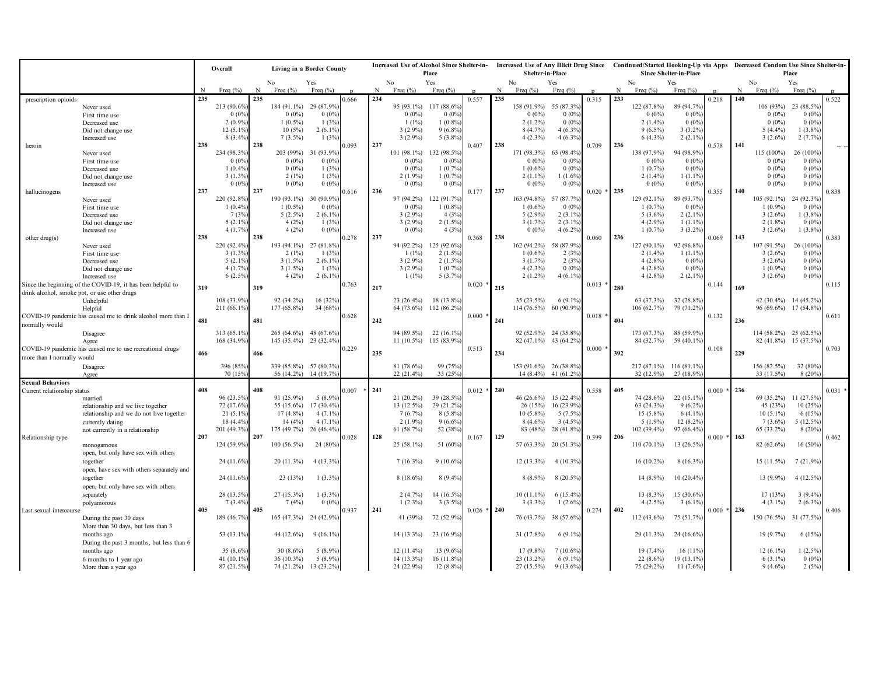|                                              |                                                                    | Living in a Border County<br>Overall |                            |     |                                         |              | <b>Increased Use of Alcohol Since Shelter-in-</b> |     |              |                                        |               | <b>Increased Use of Any Illicit Drug Since</b> |                                                |                      |               |     |                           |                               |               | Continued/Started Hooking-Up via Apps Decreased Condom Use Since Shelter-in- |                                                 |              |           |  |
|----------------------------------------------|--------------------------------------------------------------------|--------------------------------------|----------------------------|-----|-----------------------------------------|--------------|---------------------------------------------------|-----|--------------|----------------------------------------|---------------|------------------------------------------------|------------------------------------------------|----------------------|---------------|-----|---------------------------|-------------------------------|---------------|------------------------------------------------------------------------------|-------------------------------------------------|--------------|-----------|--|
|                                              |                                                                    |                                      |                            |     |                                         |              |                                                   |     |              | Place                                  |               |                                                | Shelter-in-Place                               |                      |               |     |                           | <b>Since Shelter-in-Place</b> |               | Place                                                                        |                                                 |              |           |  |
|                                              |                                                                    |                                      |                            |     | No                                      | Yes          |                                                   |     | No           | Yes                                    |               |                                                | No                                             | Yes                  |               |     | No                        | Yes                           |               |                                                                              | No                                              | Yes          |           |  |
|                                              |                                                                    |                                      | Freq $(\% )$               | N   | Freq $(\% )$                            | Freq $(\% )$ |                                                   | N   | Freq $(\% )$ | Freq $(\% )$                           |               | N                                              | Freq $(\% )$                                   | Freq $(\% )$         |               | N   | Freq $(\% )$              | Freq $(\% )$                  |               | N                                                                            | Freq $(\% )$                                    | Freq $(\% )$ |           |  |
| prescription opioids                         |                                                                    | 235                                  |                            | 235 |                                         |              | .666                                              | 234 |              |                                        | 0.557         | 235                                            |                                                |                      | 0.315         | 233 |                           |                               | 0.218         | 140                                                                          |                                                 |              | 0.522     |  |
|                                              | Never used                                                         |                                      | 213 (90.6%                 |     | 184 (91.1%)                             | 29 (87.9%)   |                                                   |     | 95 (93.1%)   | 117 (88.6%                             |               |                                                | 158 (91.9%)                                    | 55 (87.3%)           |               |     | 122 (87.8%)               | 89 (94.7%)                    |               |                                                                              | 106 (93%)                                       | 23 (88.5%)   |           |  |
|                                              | First time use                                                     |                                      | 0(0%                       |     | $0(0\%)$                                | 0(0%         |                                                   |     | $0(0\%)$     | 0(0%                                   |               |                                                | $0(0\%)$                                       | $0(0\%)$             |               |     | $0(0\%)$                  | 0(0%                          |               |                                                                              | $0(0\%)$                                        | $0(0\%)$     |           |  |
|                                              | Decreased use                                                      |                                      | $2(0.9\%$                  |     | $1(0.5\%)$                              | 1(3%)        |                                                   |     | $1(1\%)$     | $1(0.8\%)$                             |               |                                                | $2(1.2\%)$                                     | $0(0\%)$             |               |     | $2(1.4\%)$                | $0.0\%$                       |               |                                                                              | $0(0\%)$                                        | $0(0\%)$     |           |  |
|                                              | Did not change use                                                 |                                      | 12 (5.1%                   |     | 10(5%)                                  | $2(6.1\%)$   |                                                   |     | $3(2.9\%)$   | $9(6.8\%)$                             |               |                                                | 8 (4.7%)                                       | 4(6.3%               |               |     | $9(6.5\%)$                | 3(3.2%                        |               |                                                                              | $5(4.4\%)$                                      | $1(3.8\%$    |           |  |
|                                              | Increased use                                                      | 238                                  | 8(3.4%                     | 238 | $7(3.5\%)$                              | 1(3%)        |                                                   | 237 | $3(2.9\%)$   | $5(3.8\%)$                             |               | 238                                            | $4(2.3\%)$                                     | $4(6.3\%)$           |               | 236 | $6(4.3\%)$                | 2(2.1%                        |               | 141                                                                          | $3(2.6\%)$                                      | 2(7.7%       |           |  |
| heroin                                       |                                                                    |                                      | 234 (98.3%                 |     | 203 (99%)                               | 31 (93.9%)   | 0.093                                             |     | 101 (98.1%)  | 132 (98.5%)                            | 0.407         |                                                | 171 (98.3%)                                    | 63 (98.4%            | 0.709         |     | 138 (97.9%)               | 94 (98.9%                     | 0.578         |                                                                              | 115 (100%)                                      | 26 (100%)    |           |  |
|                                              | Never used<br>First time use                                       |                                      | 0(0%                       |     | $0(0\%)$                                | $0.0\%$      |                                                   |     | $0(0\%)$     | 0(0%                                   |               |                                                | $0(0\%)$                                       | 0(0%                 |               |     | $0(0\%)$                  | 0(0%                          |               |                                                                              | $0(0\%)$                                        | 0(0%         |           |  |
|                                              | Decreased use                                                      |                                      | 1(0.4%                     |     | $0(0\%)$                                | 1(3%         |                                                   |     | $0(0\%)$     | 1(0.7%                                 |               |                                                | $1(0.6\%)$                                     | 0(0%                 |               |     | $1(0.7\%)$                | 0(0%                          |               |                                                                              | $0(0\%)$                                        | $0(0\%)$     |           |  |
|                                              | Did not change use                                                 |                                      | 3(1.3%                     |     | 2(1%)                                   | 1(3%)        |                                                   |     | $2(1.9\%)$   | 1(0.7%                                 |               |                                                | $2(1.1\%)$                                     | 1(1.6%               |               |     | $2(1.4\%)$                | 1(1.1%                        |               |                                                                              | $0(0\%)$                                        | 0(0%         |           |  |
|                                              | Increased use                                                      |                                      | 0(0%                       |     | $0(0\%)$                                | 0(0%         |                                                   |     | $0(0\%)$     | $0(0\%)$                               |               |                                                | $0(0\%)$                                       | 0(0%                 |               |     | $0(0\%)$                  | 0(0%                          |               |                                                                              | $0(0\%)$                                        | $0(0\%)$     |           |  |
| hallucinogens                                |                                                                    | 237                                  |                            | 237 |                                         |              | 0.616                                             | 236 |              |                                        | 0.177         | 237                                            |                                                |                      | $0.020 * 235$ |     |                           |                               | 0.355         | 140                                                                          |                                                 |              | 0.838     |  |
|                                              | Never used                                                         |                                      | 220 (92.8%                 |     | 190 (93.1%)                             | 30 (90.9%)   |                                                   |     | 97 (94.2%)   | 122 (91.7%                             |               |                                                | 163 (94.8%)                                    | 57 (87.7%)           |               |     | 129 (92.1%)               | 89 (93.7%                     |               |                                                                              | 105 (92.1%)                                     | 24 (92.3%)   |           |  |
|                                              | First time use                                                     |                                      | 1(0.4%                     |     | $1(0.5\%)$                              | $0(0\%)$     |                                                   |     | $0(0\%)$     | $1(0.8\%)$                             |               |                                                | $1(0.6\%)$                                     | 0(0%                 |               |     | 1(0.7%)                   | 0(0%                          |               |                                                                              | $1(0.9\%)$                                      | $0(0\%)$     |           |  |
|                                              | Decreased use                                                      |                                      | 7(3%                       |     | $5(2.5\%)$                              | $2(6.1\%)$   |                                                   |     | $3(2.9\%)$   | 4(3%)                                  |               |                                                | $5(2.9\%)$                                     | $2(3.1\%$            |               |     | $5(3.6\%)$                | 2(2.1%                        |               |                                                                              | $3(2.6\%)$                                      | $1(3.8\%)$   |           |  |
|                                              | Did not change use                                                 |                                      | 5(2.1%                     |     | 4(2%)                                   | 1(3%         |                                                   |     | $3(2.9\%)$   | $2(1.5\%)$                             |               |                                                | 3(1.7%)                                        | 2(3.1%               |               |     | $4(2.9\%)$                | 1(1.1%                        |               |                                                                              | $2(1.8\%)$                                      | 0(0%         |           |  |
|                                              | Increased use                                                      | 238                                  | 4(1.7%                     | 238 | 4(2%)                                   | 0(0%         | 0.278                                             | 237 | $0(0\%)$     | 4(3%)                                  |               | 238                                            | $0(0\%)$                                       | 4(6.2%               |               | 236 | $1(0.7\%)$                | $3(3.2\%)$                    |               | 143                                                                          | $3(2.6\%)$                                      | $1(3.8\%)$   |           |  |
| other $drug(s)$                              | Never used                                                         |                                      | 220 (92.4%                 |     | 193 (94.1%)                             | 27 (81.8%)   |                                                   |     | 94 (92.2%)   | 125 (92.6%)                            | 0.368         |                                                | 162 (94.2%)                                    | 58 (87.9%)           | 0.060         |     | 127 (90.1%)               | 92 (96.8%)                    | 0.069         |                                                                              | 107 (91.5%)                                     | 26 (100%)    | 0.383     |  |
|                                              | First time use                                                     |                                      | 3(1.3%                     |     | 2(1%)                                   | 1(3%         |                                                   |     | $1(1\%)$     | $2(1.5\%)$                             |               |                                                | $1(0.6\%)$                                     | 2(3%                 |               |     | $2(1.4\%)$                | 1(1.1%                        |               |                                                                              | $3(2.6\%)$                                      | $0(0\%)$     |           |  |
|                                              | Decreased use                                                      |                                      | $5(2.1\%)$                 |     | $3(1.5\%)$                              | $2(6.1\%)$   |                                                   |     | $3(2.9\%)$   | $2(1.5\%)$                             |               |                                                | 3(1.7%)                                        | 2(3%                 |               |     | $4(2.8\%)$                | 0(0%                          |               |                                                                              | $3(2.6\%)$                                      | $0(0\%)$     |           |  |
|                                              | Did not change use                                                 |                                      | 4(1.7%                     |     | $3(1.5\%)$                              | 1(3%)        |                                                   |     | $3(2.9\%)$   | $1(0.7\%)$                             |               |                                                | $4(2.3\%)$                                     | 0(0%                 |               |     | $4(2.8\%)$                | $0(0\%)$                      |               |                                                                              | $1(0.9\%)$                                      | $0(0\%)$     |           |  |
|                                              | Increased use                                                      |                                      | $6(2.5\%)$                 |     | 4(2%)                                   | $2(6.1\%)$   |                                                   |     | $1(1\%)$     | 5(3.7%)                                |               |                                                | $2(1.2\%)$                                     | $4(6.1\%)$           |               |     | $4(2.8\%)$                | $2(2.1\%)$                    |               |                                                                              | $3(2.6\%)$                                      | $0(0\%)$     |           |  |
|                                              | Since the beginning of the COVID-19, it has been helpful to        | 319                                  |                            | 319 |                                         |              | 0.763                                             | 217 |              |                                        | 0.020         | 215                                            |                                                |                      | 0.013         | 280 |                           |                               | 0.144         | 169                                                                          |                                                 |              | 0.115     |  |
| drink alcohol, smoke pot, or use other drugs |                                                                    |                                      |                            |     |                                         |              |                                                   |     |              |                                        |               |                                                |                                                |                      |               |     |                           |                               |               |                                                                              |                                                 |              |           |  |
|                                              | Unhelpful                                                          |                                      | 108 (33.9%                 |     | 92 (34.2%)                              | 16 (32%)     |                                                   |     | $23(26.4\%)$ | 18 (13.8%)                             |               |                                                | 35 (23.5%)                                     | $6(9.1\%)$           |               |     | 63 (37.3%)                | 32 (28.8%)                    |               |                                                                              | 42 (30.4%) 14 (45.2%)                           |              |           |  |
|                                              | Helpful                                                            |                                      | 211 (66.1%)                |     | 177 (65.8%)                             | 34 (68%)     |                                                   |     |              | 64 (73.6%) 112 (86.2%)                 |               |                                                | $114(76.5\%)$                                  | 60 (90.9%)           |               |     | 106 (62.7%)               | 79 (71.2%)                    |               |                                                                              | 96 (69.6%) 17 (54.8%)                           |              |           |  |
|                                              | COVID-19 pandemic has caused me to drink alcohol more than I       | 481                                  |                            | 481 |                                         |              | 0.628                                             | 242 |              |                                        | 0.000         | 241                                            |                                                |                      | $0.018$ *     | 404 |                           |                               | 0.132         | 236                                                                          |                                                 |              | 0.611     |  |
| ormally would                                |                                                                    |                                      |                            |     |                                         |              |                                                   |     |              |                                        |               |                                                |                                                |                      |               |     |                           |                               |               |                                                                              |                                                 |              |           |  |
|                                              | Disagree                                                           |                                      | 313 (65.1%)<br>168 (34.9%) |     | $265(64.6\%)$<br>145 (35.4%) 23 (32.4%) | 48 (67.6%)   |                                                   |     | 94 (89.5%)   | $22(16.1\%)$<br>11 (10.5%) 115 (83.9%) |               |                                                | 92 (52.9%) 24 (35.8%)<br>82 (47.1%) 43 (64.2%) |                      |               |     | 173 (67.3%)<br>84 (32.7%) | 88 (59.9%)<br>59 (40.1%)      |               |                                                                              | 114 (58.2%) 25 (62.5%)<br>82 (41.8%) 15 (37.5%) |              |           |  |
|                                              | Agree<br>COVID-19 pandemic has caused me to use recreational drugs |                                      |                            |     |                                         |              | 0.229                                             |     |              |                                        | 0.513         |                                                |                                                |                      | 0.000         |     |                           |                               | 0.108         |                                                                              |                                                 |              | 0.703     |  |
| more than I normally would                   |                                                                    | 466                                  |                            | 466 |                                         |              |                                                   | 235 |              |                                        |               | 234                                            |                                                |                      |               | 392 |                           |                               |               | 229                                                                          |                                                 |              |           |  |
|                                              |                                                                    |                                      | 396 (85%                   |     | 339 (85.8%) 57 (80.3%)                  |              |                                                   |     | 81 (78.6%)   | 99 (75%)                               |               |                                                | 153 (91.6%) 26 (38.8%)                         |                      |               |     | 217 (87.1%)               | 116 (81.1%)                   |               |                                                                              | 156 (82.5%)                                     | 32 (80%)     |           |  |
|                                              | Disagree<br>Agree                                                  |                                      | 70 (15%                    |     | 56 (14.2%)                              | 14 (19.7%)   |                                                   |     | $22(21.4\%)$ | 33 (25%)                               |               |                                                |                                                | 14 (8.4%) 41 (61.2%) |               |     | $32(12.9\%)$              | 27 (18.9%)                    |               |                                                                              | 33 (17.5%)                                      | 8 (20%       |           |  |
| <b>Sexual Behaviors</b>                      |                                                                    |                                      |                            |     |                                         |              |                                                   |     |              |                                        |               |                                                |                                                |                      |               |     |                           |                               |               |                                                                              |                                                 |              |           |  |
| Current relationship status                  |                                                                    | 408                                  |                            | 408 |                                         |              | 0.007                                             | 241 |              |                                        | $0.012$ *     | 240                                            |                                                |                      | 0.558         | 405 |                           |                               | $0.000 * 236$ |                                                                              |                                                 |              | $0.031$ * |  |
|                                              | married                                                            |                                      | 96 (23.5%                  |     | 91 (25.9%)                              | 5(8.9%       |                                                   |     | $21(20.2\%)$ | 39 (28.5%)                             |               |                                                | 46 (26.6%) 15 (22.4%                           |                      |               |     | 74 (28.6%)                | 22 (15.1%)                    |               |                                                                              | 69 (35.2%)                                      | 11 (27.5%)   |           |  |
|                                              | relationship and we live together                                  |                                      | 72 (17.6%)                 |     | 55 (15.6%)                              | $17(30.4\%)$ |                                                   |     | 13 (12.5%)   | 29 (21.2%)                             |               |                                                | 26(15%)                                        | 16 (23.9%)           |               |     | 63 (24.3%)                | $9(6.2\%)$                    |               |                                                                              | 45 (23%)                                        | 10(25%       |           |  |
|                                              | relationship and we do not live together                           |                                      | 21 (5.1%)                  |     | $17(4.8\%)$                             | 4(7.1%       |                                                   |     | $7(6.7\%)$   | 8 (5.8%)                               |               |                                                | $10(5.8\%)$                                    | $5(7.5\%$            |               |     | $15(5.8\%)$               | 6 (4.1%)                      |               |                                                                              | $10(5.1\%)$                                     | 6 (15%)      |           |  |
|                                              | currently dating                                                   |                                      | 18 (4.4%                   |     | 14(4%)                                  | 4(7.1%       |                                                   |     | $2(1.9\%)$   | $9(6.6\%)$                             |               |                                                | $8(4.6\%)$                                     | 3(4.5%               |               |     | $5(1.9\%)$                | 12(8.2%                       |               |                                                                              | $7(3.6\%)$                                      | $5(12.5\%)$  |           |  |
| Relationship type                            | not currently in a relationship                                    | 207                                  | 201 (49.3%                 | 207 | 175(49.7%)                              | 26 (46.4%)   | 0.028                                             | 128 | 61 (58.7%)   | 52 (38%)                               | 0.167         | 129                                            | 83 (48%)                                       | 28 (41.8%)           | 0.399         | 206 | 102 (39.4%)               | 97 (66.4%)                    | $0.000 * 163$ |                                                                              | 65 (33.2%)                                      | 8(20%        | 0.462     |  |
|                                              | monogamous                                                         |                                      | 124 (59.9%                 |     | $100(56.5\%)$                           | 24 (80%)     |                                                   |     | 25 (58.1%)   | 51 (60%)                               |               |                                                | 57 (63.3%) 20 (51.3%)                          |                      |               |     | 110 (70.1%)               | 13 (26.5%)                    |               |                                                                              | 82 (62.6%)                                      | $16(50\%)$   |           |  |
|                                              | open, but only have sex with others                                |                                      |                            |     |                                         |              |                                                   |     |              |                                        |               |                                                |                                                |                      |               |     |                           |                               |               |                                                                              |                                                 |              |           |  |
|                                              | together                                                           |                                      | 24 (11.6%)                 |     | 20 (11.3%)                              | $4(13.3\%)$  |                                                   |     | $7(16.3\%)$  | $9(10.6\%)$                            |               |                                                | $12(13.3\%)$                                   | $4(10.3\%)$          |               |     | $16(10.2\%)$              | 8 (16.3%)                     |               |                                                                              | 15 (11.5%)                                      | 7(21.9%)     |           |  |
|                                              | open, have sex with others separately and                          |                                      |                            |     |                                         |              |                                                   |     |              |                                        |               |                                                |                                                |                      |               |     |                           |                               |               |                                                                              |                                                 |              |           |  |
|                                              | together                                                           |                                      | 24 (11.6%)                 |     | 23 (13%)                                | $1(3.3\%)$   |                                                   |     | $8(18.6\%)$  | $8(9.4\%)$                             |               |                                                | $8(8.9\%)$                                     | 8 (20.5%)            |               |     | 14 (8.9%)                 | $10(20.4\%)$                  |               |                                                                              | 13 (9.9%)                                       | $4(12.5\%)$  |           |  |
|                                              | open, but only have sex with others                                |                                      |                            |     |                                         |              |                                                   |     |              |                                        |               |                                                |                                                |                      |               |     |                           |                               |               |                                                                              |                                                 |              |           |  |
|                                              | separately                                                         |                                      | 28 (13.5%)                 |     | 27 (15.3%)                              | $1(3.3\%)$   |                                                   |     | $2(4.7\%)$   | 14 (16.5%)                             |               |                                                | $10(11.1\%)$                                   | 6 (15.4%)            |               |     | 13 (8.3%)                 | 15 (30.6%)                    |               |                                                                              | 17(13%)                                         | $3(9.4\%)$   |           |  |
|                                              | polyamorous                                                        |                                      | 7(3.4%                     |     | 7(4%)                                   | 0(0%         |                                                   |     | $1(2.3\%)$   | $3(3.5\%)$                             |               |                                                | $3(3.3\%)$                                     | 1(2.6%               |               |     | $4(2.5\%)$                | 3(6.1%                        |               |                                                                              | $4(3.1\%)$                                      | $2(6.3\%)$   |           |  |
| Last sexual intercours                       |                                                                    | 405                                  |                            | 405 |                                         |              | 0.937                                             | 241 |              |                                        | $0.026 * 240$ |                                                |                                                |                      | 0.274         | 402 |                           |                               | $0.000 * 236$ |                                                                              |                                                 |              | 0.406     |  |
|                                              | During the past 30 days                                            |                                      | 189 (46.7%                 |     | 165(47.3%)                              | 24 (42.9%)   |                                                   |     | 41 (39%)     | 72 (52.9%)                             |               |                                                | 76 (43.7%)                                     | 38 (57.6%)           |               |     | 112 (43.6%)               | 75 (51.7%)                    |               |                                                                              | 150 (76.5%) 31 (77.5%)                          |              |           |  |
|                                              | More than 30 days, but less than 3                                 |                                      |                            |     |                                         |              |                                                   |     |              |                                        |               |                                                |                                                |                      |               |     |                           |                               |               |                                                                              |                                                 |              |           |  |
|                                              | months ago                                                         |                                      | 53 (13.1%)                 |     | 44 (12.6%)                              | $9(16.1\%)$  |                                                   |     | 14 (13.3%)   | 23 (16.9%)                             |               |                                                | 31 (17.8%)                                     | $6(9.1\%)$           |               |     | 29 (11.3%)                | 24 $(16.6\%)$                 |               |                                                                              | 19 (9.7%)                                       | 6(15%)       |           |  |
|                                              | During the past 3 months, but less than 6                          |                                      |                            |     |                                         |              |                                                   |     |              |                                        |               |                                                |                                                |                      |               |     |                           |                               |               |                                                                              |                                                 |              |           |  |
|                                              | months ago                                                         |                                      | 35 (8.6%)                  |     | $30(8.6\%)$                             | 5 (8.9%)     |                                                   |     | 12 (11.4%)   | 13 (9.6%)                              |               |                                                | $17(9.8\%)$                                    | 7 (10.6%)            |               |     | 19 (7.4%)                 | 16 (11%)                      |               |                                                                              | 12 (6.1%)                                       | $1(2.5\%)$   |           |  |
|                                              | 6 months to 1 year ago                                             |                                      | 41 (10.1%)<br>87 (21.5%)   |     | 36 (10.3%)                              | $5(8.9\%)$   |                                                   |     | 14 (13.3%)   | $16(11.8\%)$                           |               |                                                | 23 (13.2%)                                     | $6(9.1\%)$           |               |     | $22(8.6\%)$               | 19 (13.1%)                    |               |                                                                              | $6(3.1\%)$                                      | $0(0\%)$     |           |  |
|                                              | More than a year ago                                               |                                      |                            |     | 74 (21.2%)                              | 13 (23.2%)   |                                                   |     | 24 (22.9%)   | $12(8.8\%)$                            |               |                                                | 27 (15.5%)                                     | $9(13.6\%)$          |               |     | 75 (29.2%)                | $11(7.6\%)$                   |               |                                                                              | $9(4.6\%)$                                      | 2(5%)        |           |  |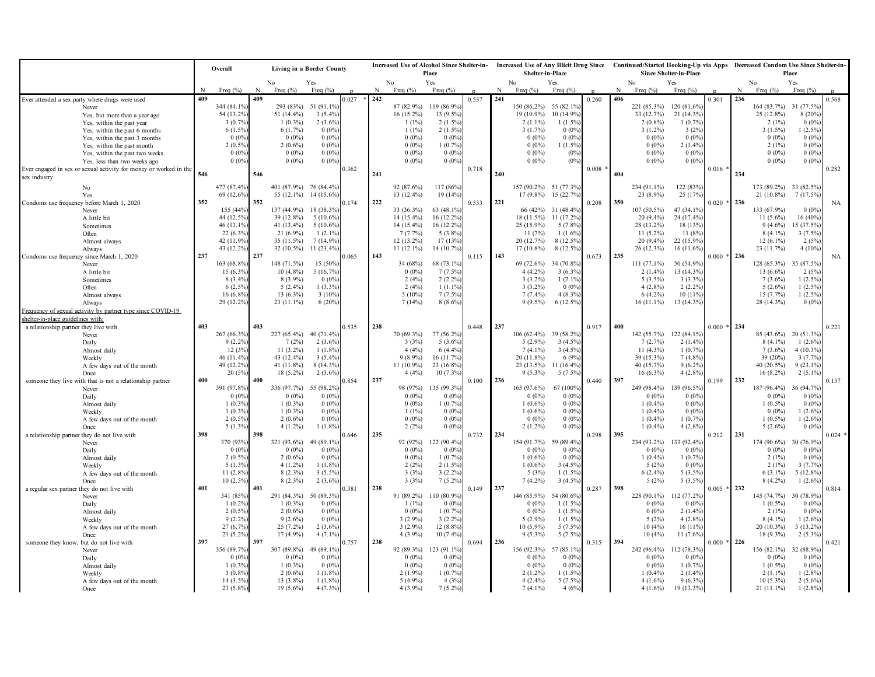|                                                                   |     | Overall<br>Living in a Border County |     |                             |                           |       | <b>Increased Use of Alcohol Since Shelter-in-</b><br>Place |                          |                          | Shelter-in-Place |     |                            |                                   | Increased Use of Any Illicit Drug Since Continued/Started Hooking-Up via Apps Decreased Condom Use Since Shelter-in-<br><b>Since Shelter-in-Place</b> |     |                              |                          | Place         |     |                            |                          |           |
|-------------------------------------------------------------------|-----|--------------------------------------|-----|-----------------------------|---------------------------|-------|------------------------------------------------------------|--------------------------|--------------------------|------------------|-----|----------------------------|-----------------------------------|-------------------------------------------------------------------------------------------------------------------------------------------------------|-----|------------------------------|--------------------------|---------------|-----|----------------------------|--------------------------|-----------|
|                                                                   |     |                                      |     | No                          | Yes                       |       |                                                            | No                       | Yes                      |                  |     | No                         | Yes                               |                                                                                                                                                       |     | No                           | Yes                      |               |     | No                         | Yes                      |           |
|                                                                   |     | Freq $(\% )$                         | N   | Freq $(\% )$                | Freq $(%)$                |       | $\mathbf{N}$                                               | Freq $(\%)$              | Freq $(\% )$             |                  |     | Freq $(\% )$               | Freq $(%)$                        |                                                                                                                                                       | N   | Freq $(\% )$                 | Freq $(\% )$             |               | N   | Freq $(\% )$               | Freq $(\% )$             |           |
| Ever attended a sex party where drugs were used                   | 409 |                                      | 409 |                             |                           | 0.027 | 242                                                        |                          |                          | 0.537            | 241 |                            |                                   | 0.260                                                                                                                                                 | 406 |                              |                          | 0.301         | 236 |                            |                          | 0.568     |
| Never                                                             |     | 344 (84.1%                           |     | 293 (83%)                   | 51 (91.1%)                |       |                                                            | 87 (82.9%)               | 119 (86.9%)              |                  |     | 150 (86.2%)                | 55 (82.1%)                        |                                                                                                                                                       |     | 221 (85.3%)                  | 120 (81.6%)              |               |     | 164(83.7%)                 | 31 (77.5%)               |           |
| Yes, but more than a year ago                                     |     | 54 (13.2%)<br>3(0.7%                 |     | 51 $(14.4\%)$<br>$1(0.3\%)$ | $3(5.4\%)$<br>$2(3.6\%)$  |       |                                                            | 16 (15.2%)<br>$1(1\%)$   | 13 (9.5%)<br>$2(1.5\%)$  |                  |     | $19(10.9\%)$<br>$2(1.1\%)$ | 10 (14.9%)<br>1(1.5%              |                                                                                                                                                       |     | 33 (12.7%)<br>$2(0.8\%)$     | $21(14.3\%)$<br>1(0.7%   |               |     | 25 (12.8%)<br>$2(1\%)$     | 8(20%<br>$0(0\%)$        |           |
| Yes, within the past year<br>Yes, within the past 6 months        |     | 6 (1.5%)                             |     | 6(1.7%)                     | $0(0\%)$                  |       |                                                            | 1(1%)                    | 2(1.5%                   |                  |     | 3(1.7%)                    | $0.0\%$                           |                                                                                                                                                       |     | $3(1.2\%)$                   | 3(2%                     |               |     | $3(1.5\%)$                 | $1(2.5\%)$               |           |
| Yes, within the past 3 months                                     |     | 0(0%                                 |     | $0(0\%)$                    | $0(0\%)$                  |       |                                                            | $0(0\%)$                 | 0(0%                     |                  |     | $0(0\%)$                   | 0(0%                              |                                                                                                                                                       |     | $0(0\%)$                     | $0(0\%)$                 |               |     | $0(0\%)$                   | 0(0%                     |           |
| Yes, within the past month                                        |     | 2(0.5%                               |     | $2(0.6\%)$                  | $0(0\%)$                  |       |                                                            | $0(0\%)$                 | 1(0.7%                   |                  |     | $0(0\%)$                   | $1(1.5\%$                         |                                                                                                                                                       |     | $0(0\%)$                     | 2(1.4%                   |               |     | 2(1%)                      | 0(0%                     |           |
| Yes, within the past two weeks                                    |     | 0(0%                                 |     | $0(0\%)$                    | $0(0\%)$                  |       |                                                            | $0(0\%)$                 | $0(0\%)$                 |                  |     | $0(0\%)$                   | (0%                               |                                                                                                                                                       |     | $0(0\%)$                     | $0(0\%)$                 |               |     | $0(0\%)$                   | 0(0%                     |           |
| Yes, less than two weeks ago                                      |     | $0(0\%)$                             |     | $0(0\%)$                    | $0(0\%)$                  |       |                                                            | $0(0\%)$                 | $0(0\%)$                 |                  |     | $0(0\%)$                   | $(0\%)$                           |                                                                                                                                                       |     | $0(0\%)$                     | $0(0\%)$                 |               |     | $0(0\%)$                   | $0(0\%)$                 |           |
| Ever engaged in sex or sexual activity for money or worked in the | 546 |                                      | 546 |                             |                           | 0.362 | 241                                                        |                          |                          | 0.718            | 240 |                            |                                   | 0.008                                                                                                                                                 | 404 |                              |                          | $0.016$ *     | 234 |                            |                          | 0.282     |
| sex industry                                                      |     |                                      |     |                             |                           |       |                                                            |                          |                          |                  |     |                            |                                   |                                                                                                                                                       |     |                              |                          |               |     |                            |                          |           |
| No                                                                |     | 477 (87.4%)                          |     | 401 (87.9%) 76 (84.4%)      |                           |       |                                                            | 92 (87.6%)               | 117 (86%                 |                  |     | 157 (90.2%) 51 (77.3%      |                                   |                                                                                                                                                       |     | 234 (91.1%)                  | 122 (83%)                |               |     | 173 (89.2%) 33 (82.5%      |                          |           |
| Yes                                                               |     | 69 (12.6%)                           |     | 55 (12.1%)                  | 14 (15.6%)                |       |                                                            | 13 (12.4%)               | 19 (14%)                 |                  |     |                            | 17 (9.8%) 15 (22.7%)              |                                                                                                                                                       |     | 23 (8.9%)                    | 25 (17%)                 |               |     | 21 (10.8%)                 | 7 (17.5%)                |           |
| Condoms use frequency before March 1, 2020                        | 352 |                                      | 352 |                             |                           | 0.174 | 222                                                        |                          |                          | 0.533            | 221 |                            |                                   | 0.208                                                                                                                                                 | 350 |                              |                          | $0.020 * 236$ |     |                            |                          | <b>NA</b> |
| Never<br>A little bit                                             |     | 155 (44%<br>44 (12.5%)               |     | 137 (44.9%)<br>39 (12.8%)   | 18 (38.3%)<br>$5(10.6\%)$ |       |                                                            | 33 (36.3%)<br>14 (15.4%) | 63 (48.1%)<br>16 (12.2%) |                  |     | 18 (11.5%)                 | 66 (42%) 31 (48.4%)<br>11 (17.2%) |                                                                                                                                                       |     | $107(50.5\%)$<br>$20(9.4\%)$ | 47 (34.1%)<br>24 (17.4%) |               |     | 133 (67.9%)<br>$11(5.6\%)$ | 0(0%<br>16 (40%)         |           |
| Sometimes                                                         |     | 46 (13.1%)                           |     | 41 (13.4%)                  | $5(10.6\%)$               |       |                                                            | 14 (15.4%)               | 16 (12.2%)               |                  |     | 25 (15.9%)                 | 5 (7.8%)                          |                                                                                                                                                       |     | 28 (13.2%)                   | 18 (13%)                 |               |     | $9(4.6\%)$                 | 15 (37.5%)               |           |
| Often                                                             |     | 22 (6.3%)                            |     | $21(6.9\%)$                 | $1(2.1\%)$                |       |                                                            | 7(7.7%)                  | 5 (3.8%)                 |                  |     | 11(7%)                     | 1(1.6%                            |                                                                                                                                                       |     | $11(5.2\%)$                  | 11(8%                    |               |     | $8(4.1\%)$                 | 3(7.5%                   |           |
| Almost always                                                     |     | 42 (11.9%                            |     | 35(11.5%)                   | $7(14.9\%)$               |       |                                                            | 12 (13.2%)               | 17 (13%)                 |                  |     | 20 (12.7%)                 | 8 (12.5%)                         |                                                                                                                                                       |     | $20(9.4\%)$                  | 22 (15.9%)               |               |     | $12(6.1\%)$                | 2(5%                     |           |
| Always                                                            |     | 43 (12.2%)                           |     | 32 (10.5%)                  | $11(23.4\%)$              |       |                                                            | $11(12.1\%)$             | 14 (10.7%)               |                  |     | 17 (10.8%)                 | $8(12.5\%)$                       |                                                                                                                                                       |     | 26 (12.3%)                   | $16(11.6\%)$             |               |     | 23 (11.7%)                 | 4(10%)                   |           |
| Condoms use frequency since March 1, 2020                         | 237 |                                      | 237 |                             |                           | 0.065 | 143                                                        |                          |                          | 0.115            | 143 |                            |                                   | 0.673                                                                                                                                                 | 235 |                              |                          | $0.000 * 236$ |     |                            |                          | <b>NA</b> |
| Never                                                             |     | 163 (68.8%                           |     | 148 (71.5%)                 | 15 (50%)                  |       |                                                            | 34 (68%)                 | 68 (73.1%)               |                  |     | 69 (72.6%)                 | 34 (70.8%)                        |                                                                                                                                                       |     | 111 (77.1%)                  | 50 (54.9%)               |               |     | 128 (65.3%)                | 35 (87.5%)               |           |
| A little bit                                                      |     | 15 (6.3%                             |     | $10(4.8\%)$                 | 5(16.7%)                  |       |                                                            | $0(0\%)$                 | 7(7.5%                   |                  |     | $4(4.2\%)$                 | 3(6.3%                            |                                                                                                                                                       |     | $2(1.4\%)$                   | 13 (14.3%)               |               |     | 13 $(6.6\%)$               | 2(5%                     |           |
| Sometimes<br>Often                                                |     | 8 (3.4%<br>6 (2.5%)                  |     | $8(3.9\%)$<br>$5(2.4\%)$    | $0(0\%)$<br>$1(3.3\%)$    |       |                                                            | 2(4%)<br>2(4%)           | $2(2.2\%)$<br>$1(1.1\%)$ |                  |     | $3(3.2\%)$<br>$3(3.2\%)$   | 1(2.1%<br>$0.0\%$                 |                                                                                                                                                       |     | $5(3.5\%)$<br>$4(2.8\%)$     | 3(3.3%)<br>2(2.2%        |               |     | $7(3.6\%)$<br>$5(2.6\%)$   | $1(2.5\%)$<br>$1(2.5\%)$ |           |
| Almost always                                                     |     | 16 (6.8%                             |     | 13 (6.3%)                   | $3(10\%)$                 |       |                                                            | $5(10\%)$                | $7(7.5\%)$               |                  |     | $7(7.4\%)$                 | 4(8.3%                            |                                                                                                                                                       |     | $6(4.2\%)$                   | 10 (11%)                 |               |     | 15(7.7%)                   | $1(2.5\%)$               |           |
| Always                                                            |     | 29 (12.2%)                           |     | $23(11.1\%)$                | 6(20%)                    |       |                                                            | 7(14%)                   | $8(8.6\%)$               |                  |     | $9(9.5\%)$                 | 6 (12.5%)                         |                                                                                                                                                       |     | $16(11.1\%)$                 | 13 (14.3%)               |               |     | 28 (14.3%)                 | $0(0\%)$                 |           |
| Frequency of sexual activity by partner type since COVID-19       |     |                                      |     |                             |                           |       |                                                            |                          |                          |                  |     |                            |                                   |                                                                                                                                                       |     |                              |                          |               |     |                            |                          |           |
| shelter-in-place guidelines with:                                 |     |                                      |     |                             |                           |       |                                                            |                          |                          |                  |     |                            |                                   |                                                                                                                                                       |     |                              |                          |               |     |                            |                          |           |
| a relationship partner they live with                             | 403 |                                      | 403 |                             |                           | 0.535 | 238                                                        |                          |                          | 0.448            | 237 |                            |                                   | 0.917                                                                                                                                                 | 400 |                              |                          | $0.000*$      | 234 |                            |                          | 0.221     |
| Never                                                             |     | 267 (66.3%                           |     | 227 (65.4%)                 | 40 (71.4%)                |       |                                                            | 70 (69.3%)               | 77 (56.2%                |                  |     | $106(62.4\%)$              | 39 (58.2%)                        |                                                                                                                                                       |     | 142 (55.7%)                  | 122 (84.1%)              |               |     | 85 (43.6%) 20 (51.3%)      |                          |           |
| Daily                                                             |     | 9(2.2%                               |     | 7(2%)                       | $2(3.6\%)$                |       |                                                            | 3(3%)                    | 5(3.6%                   |                  |     | $5(2.9\%)$                 | 3(4.5%                            |                                                                                                                                                       |     | 7(2.7%)                      | $2(1.4\%)$               |               |     | $8(4.1\%)$                 | 1(2.6%                   |           |
| Almost daily                                                      |     | 12(3%                                |     | $11(3.2\%)$                 | $1(1.8\%)$                |       |                                                            | 4(4%)                    | 6(4.4%                   |                  |     | $7(4.1\%)$                 | $3(4.5\%)$                        |                                                                                                                                                       |     | $11(4.3\%)$                  | 1(0.7%)                  |               |     | $7(3.6\%)$                 | 4(10.3%                  |           |
| Weekly                                                            |     | 46 (11.4%)<br>49 (12.2%              |     | 43 (12.4%)<br>41 $(11.8\%)$ | $3(5.4\%)$<br>$8(14.3\%)$ |       |                                                            | $9(8.9\%)$<br>11 (10.9%) | 16 (11.7%)<br>23 (16.8%) |                  |     | 20 (11.8%)<br>$23(13.5\%)$ | 6 (9%<br>11 (16.4%                |                                                                                                                                                       |     | 39 (15.3%)<br>40 (15.7%)     | 7(4.8%<br>$9(6.2\%)$     |               |     | 39 (20%)<br>40 (20.5%)     | 3(7.7%<br>9(23.1%        |           |
| A few days out of the month<br>Once                               |     | 20 (5%)                              |     | $18(5.2\%)$                 | $2(3.6\%)$                |       |                                                            | 4(4%)                    | 10 (7.3%)                |                  |     | $9(5.3\%)$                 | 5(7.5%                            |                                                                                                                                                       |     | $16(6.3\%)$                  | 4(2.8%                   |               |     | $16(8.2\%)$                | $2(5.1\%$                |           |
| someone they live with that is not a relationship partner         | 400 |                                      | 400 |                             |                           | .854  | 237                                                        |                          |                          | 0.100            | 236 |                            |                                   | 0.440                                                                                                                                                 | 397 |                              |                          | 0.199         | 232 |                            |                          | 0.137     |
| Never                                                             |     | 391 (97.8%)                          |     | 336 (97.7%)                 | 55 (98.2%)                |       |                                                            | 98 (97%)                 | 135 (99.3%)              |                  |     | 165 (97.6%)                | 67 (100%)                         |                                                                                                                                                       |     | 249 (98.4%)                  | 139 (96.5%)              |               |     | 187 (96.4%)                | 36 (94.7%)               |           |
| Daily                                                             |     | 0(0%                                 |     | $0(0\%)$                    | $0(0\%)$                  |       |                                                            | $0(0\%)$                 | 0(0%                     |                  |     | $0(0\%)$                   | 0(0%                              |                                                                                                                                                       |     | $0(0\%)$                     | $0(0\%)$                 |               |     | $0(0\%)$                   | 0(0%                     |           |
| Almost daily                                                      |     | 1(0.3%                               |     | $1(0.3\%)$                  | $0(0\%)$                  |       |                                                            | $0(0\%)$                 | 1(0.7%                   |                  |     | $1(0.6\%)$                 | 0(0%                              |                                                                                                                                                       |     | $1(0.4\%)$                   | 0(0%                     |               |     | $1(0.5\%)$                 | 0(0%                     |           |
| Weekly                                                            |     | 1(0.3%                               |     | $1(0.3\%)$                  | $0(0\%)$                  |       |                                                            | $1(1\%)$                 | 0(0%                     |                  |     | $1(0.6\%)$                 | 0(0%                              |                                                                                                                                                       |     | $1(0.4\%)$                   | $0(0\%)$                 |               |     | $0(0\%)$                   | $1(2.6\%)$               |           |
| A few days out of the month                                       |     | 2(0.5%                               |     | $2(0.6\%)$                  | $0(0\%)$                  |       |                                                            | $0(0\%)$<br>2(2%)        | 0(0%<br>0(0%             |                  |     | $0(0\%)$                   | 0(0%                              |                                                                                                                                                       |     | $1(0.4\%)$<br>$1(0.4\%)$     | 1(0.7%<br>$4(2.8\%)$     |               |     | $1(0.5\%)$<br>$5(2.6\%)$   | 1(2.6%                   |           |
| Once<br>a relationship partner they do not live with              | 398 | $5(1.3\%)$                           | 398 | $4(1.2\%)$                  | $1(1.8\%)$                | 0.646 | 235                                                        |                          |                          | 0.732            | 234 | $2(1.2\%)$                 | 0(0%                              | 0.298                                                                                                                                                 | 395 |                              |                          | 0.212         | 231 |                            | $0(0\%)$                 | $0.024$ * |
| Never                                                             |     | 370 (93%)                            |     | 321 (93.6%)                 | 49 (89.1%)                |       |                                                            | 92 (92%)                 | 122 (90.4%)              |                  |     | 154 (91.7%)                | 59 (89.4%                         |                                                                                                                                                       |     | 234 (93.2%)                  | 133 (92.4%)              |               |     | 174 (90.6%)                | 30 (76.9%)               |           |
| Daily                                                             |     | $0(0\%)$                             |     | $0(0\%)$                    | $0(0\%)$                  |       |                                                            | $0(0\%)$                 | $0.0\%$                  |                  |     | $0(0\%)$                   | $0.0\%$                           |                                                                                                                                                       |     | $0(0\%)$                     | 0(0%                     |               |     | $0(0\%)$                   | 0(0%                     |           |
| Almost daily                                                      |     | 2(0.5%                               |     | $2(0.6\%)$                  | $0(0\%)$                  |       |                                                            | $0(0\%)$                 | 1(0.7%                   |                  |     | $1(0.6\%)$                 | 0(0%                              |                                                                                                                                                       |     | $1(0.4\%)$                   | $1(0.7\%)$               |               |     | 2(1%)                      | $0(0\%)$                 |           |
| Weekly                                                            |     | 5(1.3%                               |     | $4(1.2\%)$                  | $1(1.8\%)$                |       |                                                            | 2(2%)                    | $2(1.5\%)$               |                  |     | $1(0.6\%)$                 | 3(4.5%                            |                                                                                                                                                       |     | 5(2%)                        | 0(0%                     |               |     | $2(1\%)$                   | 3(7.7%                   |           |
| A few days out of the month                                       |     | 11 (2.8%                             |     | 8 (2.3%)                    | $3(5.5\%)$                |       |                                                            | 3(3%)                    | $3(2.2\%)$               |                  |     | 5(3%)                      | 1(1.5%                            |                                                                                                                                                       |     | $6(2.4\%)$                   | $5(3.5\%)$               |               |     | $6(3.1\%)$                 | 5 (12.8%)                |           |
| Once                                                              | 401 | $10(2.5\%)$                          |     | $8(2.3\%)$                  | $2(3.6\%)$                |       | 238                                                        | 3(3%)                    | $7(5.2\%)$               |                  | 237 | $7(4.2\%)$                 | 3(4.5%                            |                                                                                                                                                       | 398 | 5(2%)                        | $5(3.5\%)$               | $0.005 * 232$ |     | $8(4.2\%)$                 | 1(2.6%                   |           |
| a regular sex partner they do not live with<br>Never              |     | 341 (85%)                            | 401 | 291 (84.3%)                 | 50 (89.3%)                | 0.381 |                                                            | 91 (89.2%)               | 110 (80.9%)              | 0.149            |     | 146 (85.9%)                | 54 (80.6%)                        | 0.287                                                                                                                                                 |     | 228 (90.1%)                  | 112 (77.2%)              |               |     | 145 (74.7%)                | 30 (78.9%)               | 0.814     |
| Daily                                                             |     | 1(0.2%                               |     | $1(0.3\%)$                  | $0(0\%)$                  |       |                                                            | $1(1\%)$                 | $0.0\%$                  |                  |     | $0(0\%)$                   | $1(1.5\%$                         |                                                                                                                                                       |     | $0(0\%)$                     | 0(0%                     |               |     | $1(0.5\%)$                 | 0(0%                     |           |
| Almost daily                                                      |     | 2(0.5%                               |     | $2(0.6\%)$                  | $0(0\%)$                  |       |                                                            | $0(0\%)$                 | 1(0.7%                   |                  |     | $0(0\%)$                   | $1(1.5\%$                         |                                                                                                                                                       |     | $0(0\%)$                     | 2(1.4%                   |               |     | 2(1%)                      | $0(0\%)$                 |           |
| Weekly                                                            |     | 9(2.2%                               |     | $9(2.6\%)$                  | $0(0\%)$                  |       |                                                            | $3(2.9\%)$               | $3(2.2\%)$               |                  |     | $5(2.9\%)$                 | 1(1.5%                            |                                                                                                                                                       |     | 5(2%)                        | 4(2.8%                   |               |     | $8(4.1\%)$                 | 1(2.6%                   |           |
| A few days out of the month                                       |     | 27 (6.7%)                            |     | $25(7.2\%)$                 | $2(3.6\%)$                |       |                                                            | $3(2.9\%)$               | 12 (8.8%)                |                  |     | $10(5.9\%)$                | 5 (7.5%                           |                                                                                                                                                       |     | 10(4%)                       | 16(11%)                  |               |     | 20 (10.3%)                 | $5(13.2\%)$              |           |
| Once                                                              |     | 21 (5.2%)                            |     | 17 (4.9%)                   | $4(7.1\%)$                |       |                                                            | $4(3.9\%)$               | 10 (7.4%)                |                  |     | $9(5.3\%)$                 | $5(7.5\%$                         |                                                                                                                                                       |     | 10(4%)                       | $11(7.6\%)$              |               |     | 18 (9.3%)                  | $2(5.3\%)$               |           |
| someone they know, but do not live with                           | 397 | 356 (89.7%                           | 397 | 307 (89.8%)                 | 49 (89.1%)                | 1.757 | 238                                                        | 92 (89.3%)               | 123 (91.1%)              | 0.694            | 236 | 156 (92.3%)                | 57 (85.1%)                        | 0.315                                                                                                                                                 | 394 | 242 (96.4%)                  | 112 (78.3%)              | $0.000 * 226$ |     | 156 (82.1%)                | 32 (88.9%)               | 0.421     |
| Never<br>Daily                                                    |     | 0(0%                                 |     | $0(0\%)$                    | $0(0\%)$                  |       |                                                            | $0(0\%)$                 | 0(0%                     |                  |     | $0(0\%)$                   | 0(0%                              |                                                                                                                                                       |     | $0(0\%)$                     | $0(0\%)$                 |               |     | $0(0\%)$                   | $0(0\%)$                 |           |
| Almost daily                                                      |     | 1(0.3%                               |     | $1(0.3\%)$                  | $0(0\%)$                  |       |                                                            | $0(0\%)$                 | $0.0\%$                  |                  |     | $0(0\%)$                   | 0(0%                              |                                                                                                                                                       |     | $0(0\%)$                     | 1(0.7%                   |               |     | $1(0.5\%)$                 | $0(0\%)$                 |           |
| Weekly                                                            |     | 3 (0.8%                              |     | $2(0.6\%)$                  | $1(1.8\%)$                |       |                                                            | $2(1.9\%)$               | 1(0.7%                   |                  |     | $2(1.2\%)$                 | 1(1.5%                            |                                                                                                                                                       |     | $1(0.4\%)$                   | 2(1.4%                   |               |     | $2(1.1\%)$                 | $1(2.8\%)$               |           |
| A few days out of the month                                       |     | 14 (3.5%)                            |     | 13 (3.8%)                   | $1(1.8\%)$                |       |                                                            | $5(4.9\%)$               | 4(3%)                    |                  |     | $4(2.4\%)$                 | $5(7.5\%$                         |                                                                                                                                                       |     | $4(1.6\%)$                   | $9(6.3\%)$               |               |     | $10(5.3\%)$                | $2(5.6\%)$               |           |
| Once                                                              |     | 23 (5.8%)                            |     | 19 (5.6%)                   | $4(7.3\%)$                |       |                                                            | $4(3.9\%)$               | $7(5.2\%)$               |                  |     | $7(4.1\%)$                 | 4(6%)                             |                                                                                                                                                       |     | $4(1.6\%)$                   | 19 (13.3%)               |               |     | $21(11.1\%)$               | $1(2.8\%)$               |           |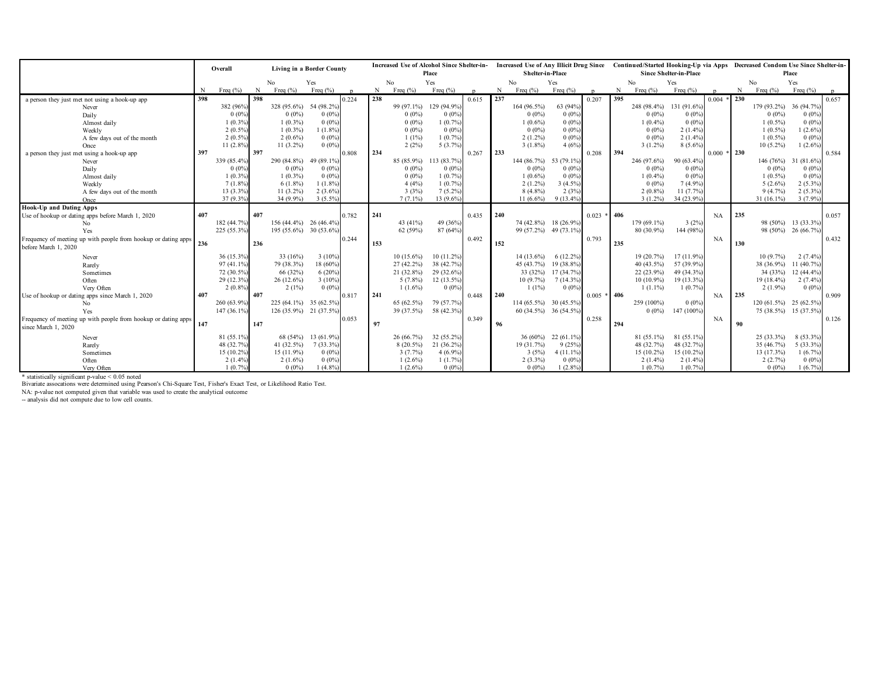|                                                                                                                       |     | Overall<br>Living in a Border County |     |                        |              | Increased Use of Alcohol Since Shelter-in- |     |              |              |       |     |                        |                       | Increased Use of Any Illicit Drug Since Continued/Started Hooking-Up via Apps Decreased Condom Use Since Shelter-in- |     |              |                        |               |     |                        |                     |       |
|-----------------------------------------------------------------------------------------------------------------------|-----|--------------------------------------|-----|------------------------|--------------|--------------------------------------------|-----|--------------|--------------|-------|-----|------------------------|-----------------------|----------------------------------------------------------------------------------------------------------------------|-----|--------------|------------------------|---------------|-----|------------------------|---------------------|-------|
|                                                                                                                       |     |                                      |     |                        |              |                                            |     |              | Place        |       |     | Shelter-in-Place       |                       |                                                                                                                      |     |              | Since Shelter-in-Place |               |     |                        | Place               |       |
|                                                                                                                       |     |                                      |     | No                     | Yes          |                                            |     | No           | Yes          |       |     | N <sub>o</sub>         | Yes                   |                                                                                                                      |     | No           | Yes                    |               |     | No                     | Yes                 |       |
|                                                                                                                       | N   | Freq $(\% )$                         | N   | Freq $(\% )$           | Freq $(\% )$ |                                            | N   | Freq $(\%)$  | Freq $(\% )$ |       | N   | Freq $(\% )$           | Freq $(\%)$           |                                                                                                                      | N   | Freq $(\% )$ | Freq $(\% )$           |               | N   | Freq $(\% )$           | Freq $(\% )$        |       |
| a person they just met not using a hook-up app                                                                        | 398 |                                      | 398 |                        |              | 0.224                                      | 238 |              |              | 0.615 | 237 |                        |                       | 0.207                                                                                                                | 395 |              |                        | 0.004         | 230 |                        |                     | 0.657 |
| Never                                                                                                                 |     | 382 (96%                             |     | 328 (95.6%)            | 54 (98.2%)   |                                            |     | 99 (97.1%)   | 129 (94.9%)  |       |     | 164 (96.5%)            | 63 (94%)              |                                                                                                                      |     | 248 (98.4%)  | 131 (91.6%)            |               |     | 179 (93.2%)            | 36 (94.7%)          |       |
| Daily                                                                                                                 |     | 0(0%                                 |     | $0(0\%)$               | $0(0\%)$     |                                            |     | $0(0\%)$     | $0(0\%)$     |       |     | $0(0\%)$               | 0(0%                  |                                                                                                                      |     | $0(0\%)$     | $0(0\%)$               |               |     | $0(0\%)$               | $0(0\%)$            |       |
| Almost daily                                                                                                          |     | 1(0.3%                               |     | $1(0.3\%)$             | $0(0\%)$     |                                            |     | $0(0\%)$     | 1(0.7%)      |       |     | $1(0.6\%)$             | $0(0\%)$              |                                                                                                                      |     | $1(0.4\%)$   | $0(0\%)$               |               |     | $1(0.5\%)$             | $0(0\%)$            |       |
| Weekly                                                                                                                |     | 2(0.5%                               |     | $1(0.3\%)$             | $1(1.8\%)$   |                                            |     | $0(0\%)$     | $0(0\%)$     |       |     | $0(0\%)$               | 0(0%                  |                                                                                                                      |     | $0(0\%)$     | 2(1.4%                 |               |     | $1(0.5\%)$             | 1(2.6%              |       |
| A few days out of the month                                                                                           |     | $2(0.5\%)$                           |     | $2(0.6\%)$             | $0(0\%)$     |                                            |     | $1(1\%)$     | 1(0.7%       |       |     | $2(1.2\%)$             | $0(0\%)$              |                                                                                                                      |     | $0(0\%)$     | $2(1.4\%)$             |               |     | $1(0.5\%)$             | $0(0\%)$            |       |
| Once                                                                                                                  |     | $11(2.8\%)$                          |     | $11(3.2\%)$            | $0(0\%)$     |                                            |     | 2(2%)        | $5(3.7\%)$   |       |     | $3(1.8\%)$             | 4(6%)                 |                                                                                                                      |     | $3(1.2\%)$   | $8(5.6\%)$             |               |     | $10(5.2\%)$            | $1(2.6\%)$          |       |
| a person they just met using a hook-up app                                                                            | 397 |                                      | 397 |                        |              | 0.808                                      | 234 |              |              | 0.267 | 233 |                        |                       | 0.208                                                                                                                | 394 |              |                        | $0.000 * 230$ |     |                        |                     | 0.584 |
| Never                                                                                                                 |     | 339 (85.4%                           |     | 290 (84.8%)            | 49 (89.1%)   |                                            |     | 85 (85.9%)   | 113 (83.7%)  |       |     | 144 $(86.7\%)$         | 53 (79.1%)            |                                                                                                                      |     | 246 (97.6%)  | 90 (63.4%)             |               |     | 146 (76%)              | 31 (81.6%)          |       |
| Daily                                                                                                                 |     | 0(0%                                 |     | $0(0\%)$               | $0(0\%)$     |                                            |     | $0(0\%)$     | $0(0\%)$     |       |     | $0(0\%)$               | 0(0%                  |                                                                                                                      |     | $0(0\%)$     | $0(0\%)$               |               |     | $0(0\%)$               | $0(0\%)$            |       |
| Almost daily                                                                                                          |     | 1(0.3%                               |     | $1(0.3\%)$             | $0(0\%)$     |                                            |     | $0(0\%)$     | $1(0.7\%)$   |       |     | $1(0.6\%)$             | 0(0%                  |                                                                                                                      |     | $1(0.4\%)$   | 0(0%                   |               |     | $1(0.5\%)$             | $0(0\%)$            |       |
| Weekly                                                                                                                |     | 7(1.8%                               |     | $6(1.8\%)$             | $1(1.8\%)$   |                                            |     | 4(4%)        | $1(0.7\%)$   |       |     | $2(1.2\%)$             | 3(4.5%                |                                                                                                                      |     | $0(0\%)$     | $7(4.9\%)$             |               |     | $5(2.6\%)$             | $2(5.3\%)$          |       |
| A few days out of the month                                                                                           |     | 13 (3.3%)                            |     | $11(3.2\%)$            | $2(3.6\%)$   |                                            |     | 3(3%)        | $7(5.2\%)$   |       |     | $8(4.8\%)$             | 2(3%                  |                                                                                                                      |     | $2(0.8\%)$   | 11(7.7%)               |               |     | 9(4.7%)                | $2(5.3\%)$          |       |
| Once                                                                                                                  |     | 37 (9.3%                             |     | 34 (9.9%)              | $3(5.5\%)$   |                                            |     | $7(7.1\%)$   | 13 (9.6%)    |       |     | $11(6.6\%)$            | 9 (13.4%)             |                                                                                                                      |     | $3(1.2\%)$   | 34 (23.9%)             |               |     | 31 (16.1%)             | 3 (7.9%)            |       |
| <b>Hook-Up and Dating Apps</b>                                                                                        |     |                                      |     |                        |              |                                            |     |              |              |       |     |                        |                       |                                                                                                                      |     |              |                        |               |     |                        |                     |       |
| Use of hookup or dating apps before March 1, 2020                                                                     | 407 |                                      | 407 |                        |              | 0.782                                      | 241 |              |              | 0.435 | 240 |                        |                       | $0.023 * 406$                                                                                                        |     |              |                        | <b>NA</b>     | 235 |                        |                     | 0.057 |
| No                                                                                                                    |     | 182 (44.7%                           |     | 156 (44.4%) 26 (46.4%) |              |                                            |     | 43 (41%)     | 49 (36%)     |       |     | 74 (42.8%) 18 (26.9%)  |                       |                                                                                                                      |     | 179 (69.1%)  | 3(2%)                  |               |     |                        | 98 (50%) 13 (33.3%  |       |
| Yes                                                                                                                   |     | 225 (55.3%)                          |     | 195 (55.6%) 30 (53.6%) |              |                                            |     | 62 (59%)     | 87 (64%)     |       |     |                        | 99 (57.2%) 49 (73.1%) |                                                                                                                      |     | 80 (30.9%)   | 144 (98%)              |               |     |                        | 98 (50%) 26 (66.7%) |       |
| Frequency of meeting up with people from hookup or dating apps                                                        | 236 |                                      |     |                        |              | 0.244                                      |     |              |              | 0.492 |     |                        |                       | 0.793                                                                                                                |     |              |                        | <b>NA</b>     |     |                        |                     | 0.432 |
| before March 1, 2020                                                                                                  |     |                                      | 236 |                        |              |                                            | 153 |              |              |       | 152 |                        |                       |                                                                                                                      | 235 |              |                        |               | 130 |                        |                     |       |
| Never                                                                                                                 |     | 36 (15.3%)                           |     | 33 (16%)               | $3(10\%)$    |                                            |     | $10(15.6\%)$ | $10(11.2\%)$ |       |     | $14(13.6\%)$           | 6 (12.2%)             |                                                                                                                      |     | 19 (20.7%)   | $17(11.9\%)$           |               |     | 10(9.7%)               | $2(7.4\%)$          |       |
| Rarely                                                                                                                |     | 97 (41.1%)                           |     | 79 (38.3%)             | 18 (60%)     |                                            |     | 27 (42.2%)   | 38 (42.7%)   |       |     | 45 (43.7%)             | 19 (38.8%)            |                                                                                                                      |     | 40 (43.5%)   | 57 (39.9%)             |               |     | 38 (36.9%)             | 11 (40.7%)          |       |
| Sometimes                                                                                                             |     | 72 (30.5%)                           |     | 66 (32%)               | 6(20%        |                                            |     | 21 (32.8%)   | 29 (32.6%)   |       |     | 33(32%)                | 17 (34.7%)            |                                                                                                                      |     | 22 (23.9%)   | 49 (34.3%)             |               |     | 34 (33%)               | 12 (44.4%)          |       |
| Often                                                                                                                 |     | 29 (12.3%)                           |     | $26(12.6\%)$           | $3(10\%)$    |                                            |     | $5(7.8\%)$   | $12(13.5\%)$ |       |     | $10(9.7\%)$            | 7(14.3%               |                                                                                                                      |     | $10(10.9\%)$ | 19 (13.3%)             |               |     | 19 (18.4%)             | $2(7.4\%)$          |       |
| Very Often                                                                                                            |     | 2(0.8%                               |     | 2(1%)                  | $0(0\%)$     |                                            |     | $1(1.6\%)$   | $0(0\%)$     |       |     | $1(1\%)$               | $0(0\%)$              |                                                                                                                      |     | $1(1.1\%)$   | $1(0.7\%)$             |               |     | $2(1.9\%)$             | $0(0\%)$            |       |
| Use of hookup or dating apps since March 1, 2020                                                                      | 407 |                                      | 407 |                        |              | 0.817                                      | 241 |              |              | 0.448 | 240 |                        |                       | $0.005 * 406$                                                                                                        |     |              |                        | NA            | 235 |                        |                     | 0.909 |
| No                                                                                                                    |     | 260 (63.9%                           |     | 225 (64.1%) 35 (62.5%) |              |                                            |     | 65 (62.5%)   | 79 (57.7%)   |       |     | 114 (65.5%) 30 (45.5%) |                       |                                                                                                                      |     | 259 (100%)   | $0(0\%)$               |               |     | 120 (61.5%) 25 (62.5%) |                     |       |
| Yes                                                                                                                   |     | 147 (36.1%)                          |     | 126 (35.9%) 21 (37.5%) |              |                                            |     | 39 (37.5%)   | 58 (42.3%)   |       |     | 60 (34.5%) 36 (54.5%)  |                       |                                                                                                                      |     | $0(0\%)$     | 147 (100%)             |               |     | 75 (38.5%) 15 (37.5%)  |                     |       |
| Frequency of meeting up with people from hookup or dating apps                                                        |     |                                      |     |                        |              | 0.053                                      |     |              |              | 0.349 |     |                        |                       | 0.258                                                                                                                |     |              |                        | NA            |     |                        |                     | 0.126 |
| since March 1, 2020                                                                                                   | 147 |                                      | 147 |                        |              |                                            | 97  |              |              |       | 96  |                        |                       |                                                                                                                      | 294 |              |                        |               | 90  |                        |                     |       |
| Never                                                                                                                 |     | 81 (55.1%)                           |     | 68 (54%)               | 13 (61.9%)   |                                            |     | 26 (66.7%)   | 32 (55.2%)   |       |     | $36(60\%)$             | $22(61.1\%)$          |                                                                                                                      |     | 81 (55.1%)   | $81(55.1\%)$           |               |     | 25 (33.3%)             | 8 (53.3%)           |       |
| Rarely                                                                                                                |     | 48 (32.7%                            |     | 41 (32.5%)             | $7(33.3\%)$  |                                            |     | 8 (20.5%)    | 21 (36.2%)   |       |     | 19 (31.7%)             | 9(25%                 |                                                                                                                      |     | 48 (32.7%)   | 48 (32.7%)             |               |     | 35 (46.7%)             | 5 (33.3%)           |       |
|                                                                                                                       |     | 15 (10.2%)                           |     | $15(11.9\%)$           | $0(0\%)$     |                                            |     | 3(7.7%)      | $4(6.9\%)$   |       |     | 3(5%)                  | 4(11.1%               |                                                                                                                      |     | $15(10.2\%)$ | $15(10.2\%)$           |               |     | 13 (17.3%)             | 1(6.7%)             |       |
| Sometimes<br>Often                                                                                                    |     | 2(1.4%                               |     | $2(1.6\%)$             | $0(0\%)$     |                                            |     | $1(2.6\%)$   | 1(1.7%       |       |     | $2(3.3\%)$             | $0(0\%)$              |                                                                                                                      |     | $2(1.4\%)$   | $2(1.4\%)$             |               |     | 2(2.7%)                | $0(0\%)$            |       |
| Verv Often                                                                                                            |     | 1 (0.7%                              |     | $0(0\%)$               | 1 (4.8%)     |                                            |     | $1(2.6\%)$   | $0.0\%$      |       |     | $0(0\%)$               | 1(2.8%                |                                                                                                                      |     | 1(0.7%       | 1(0.7%                 |               |     | $0(0\%)$               | 1(6.7%              |       |
| * statistically significant p-value < 0.05 noted                                                                      |     |                                      |     |                        |              |                                            |     |              |              |       |     |                        |                       |                                                                                                                      |     |              |                        |               |     |                        |                     |       |
| Bivariate assocations were determined using Pearson's Chi-Square Test, Fisher's Exact Test, or Likelihood Ratio Test. |     |                                      |     |                        |              |                                            |     |              |              |       |     |                        |                       |                                                                                                                      |     |              |                        |               |     |                        |                     |       |
| NA: p-value not computed given that variable was used to create the analytical outcome                                |     |                                      |     |                        |              |                                            |     |              |              |       |     |                        |                       |                                                                                                                      |     |              |                        |               |     |                        |                     |       |
| -- analysis did not compute due to low cell counts.                                                                   |     |                                      |     |                        |              |                                            |     |              |              |       |     |                        |                       |                                                                                                                      |     |              |                        |               |     |                        |                     |       |
|                                                                                                                       |     |                                      |     |                        |              |                                            |     |              |              |       |     |                        |                       |                                                                                                                      |     |              |                        |               |     |                        |                     |       |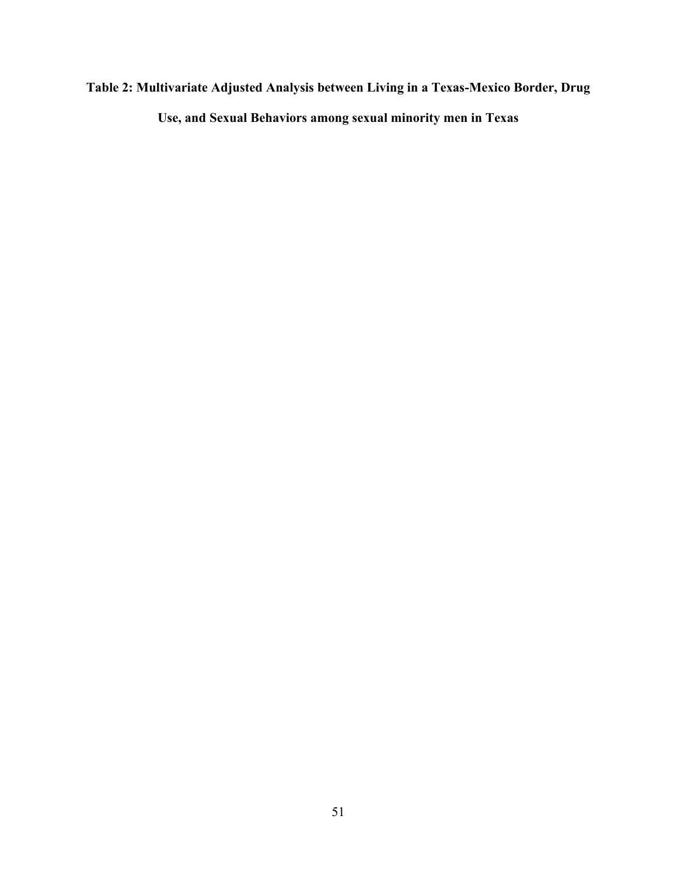# **Table 2: Multivariate Adjusted Analysis between Living in a Texas-Mexico Border, Drug Use, and Sexual Behaviors among sexual minority men in Texas**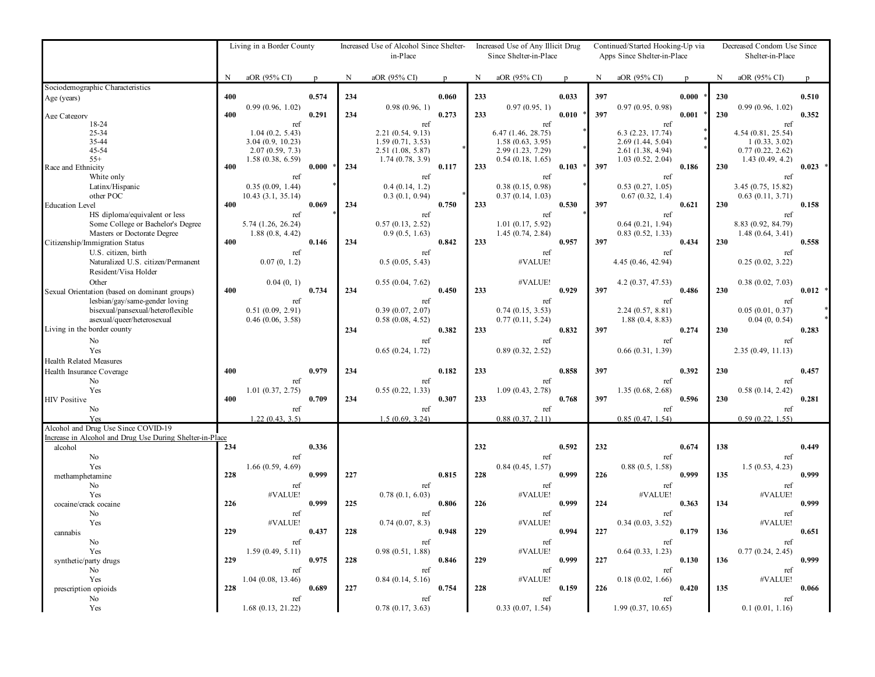|                                                          |             | Living in a Border County            |              | Increased Use of Alcohol Since Shelter-<br>in-Place |                                      |       |           | Increased Use of Any Illicit Drug<br>Since Shelter-in-Place |              | Continued/Started Hooking-Up via<br>Apps Since Shelter-in-Place |                                       |              |           | Decreased Condom Use Since<br>Shelter-in-Place |           |  |
|----------------------------------------------------------|-------------|--------------------------------------|--------------|-----------------------------------------------------|--------------------------------------|-------|-----------|-------------------------------------------------------------|--------------|-----------------------------------------------------------------|---------------------------------------|--------------|-----------|------------------------------------------------|-----------|--|
|                                                          | $\mathbf N$ | aOR (95% CI)                         | $\mathbf{p}$ | $\mathbf N$                                         | aOR (95% CI)                         | p     | ${\bf N}$ | aOR (95% CI)                                                | $\mathbf{p}$ | N                                                               | aOR (95% CI)                          | $\mathbf{n}$ | ${\bf N}$ | aOR (95% CI)                                   |           |  |
| Sociodemographic Characteristics                         |             |                                      |              |                                                     |                                      |       |           |                                                             |              |                                                                 |                                       |              |           |                                                |           |  |
| Age (years)                                              | 400         | 0.99(0.96, 1.02)                     | 0.574        | 234                                                 | 0.98(0.96, 1)                        | 0.060 | 233       | 0.97(0.95, 1)                                               | 0.033        | 397                                                             | 0.97(0.95, 0.98)                      | 0.000        | 230       | 0.99(0.96, 1.02)                               | 0.510     |  |
| Age Category                                             | 400         |                                      | 0.291        | 234                                                 |                                      | 0.273 | 233       |                                                             | 0.010        | 397                                                             |                                       | 0.001        | 230       |                                                | 0.352     |  |
| 18-24                                                    |             | ref                                  |              |                                                     | ref                                  |       |           | ref                                                         |              |                                                                 | ref                                   |              |           | ref                                            |           |  |
| 25-34                                                    |             | 1.04(0.2, 5.43)                      |              |                                                     | 2.21 (0.54, 9.13)                    |       |           | 6.47 (1.46, 28.75)                                          |              |                                                                 | 6.3 (2.23, 17.74)                     |              |           | 4.54 (0.81, 25.54)                             |           |  |
| 35-44                                                    |             | 3.04 (0.9, 10.23)                    |              |                                                     | 1.59(0.71, 3.53)                     |       |           | 1.58(0.63, 3.95)                                            |              |                                                                 | 2.69 (1.44, 5.04)                     |              |           | 1(0.33, 3.02)                                  |           |  |
| 45-54<br>$55+$                                           |             | 2.07(0.59, 7.3)<br>1.58 (0.38, 6.59) |              |                                                     | 2.51 (1.08, 5.87)<br>1.74(0.78, 3.9) |       |           | 2.99 (1.23, 7.29)<br>0.54(0.18, 1.65)                       |              |                                                                 | 2.61 (1.38, 4.94)<br>1.03(0.52, 2.04) |              |           | 0.77(0.22, 2.62)<br>1.43(0.49, 4.2)            |           |  |
| Race and Ethnicity                                       | 400         |                                      | 0.000        | 234                                                 |                                      | 0.117 | 233       |                                                             | 0.103        | 397                                                             |                                       | 0.186        | 230       |                                                | $0.023$ * |  |
| White only                                               |             | ref                                  |              |                                                     | ref                                  |       |           | ref                                                         |              |                                                                 | ref                                   |              |           | ref                                            |           |  |
| Latinx/Hispanic                                          |             | 0.35(0.09, 1.44)                     |              |                                                     | 0.4(0.14, 1.2)                       |       |           | 0.38(0.15, 0.98)                                            |              |                                                                 | 0.53(0.27, 1.05)                      |              |           | 3.45 (0.75, 15.82)                             |           |  |
| other POC                                                |             | 10.43 (3.1, 35.14)                   |              |                                                     | 0.3(0.1, 0.94)                       |       |           | 0.37(0.14, 1.03)                                            |              |                                                                 | 0.67(0.32, 1.4)                       |              |           | 0.63(0.11, 3.71)                               |           |  |
| <b>Education Level</b>                                   | 400         |                                      | 0.069        | 234                                                 |                                      | 0.750 | 233       |                                                             | 0.530        | 397                                                             |                                       | 0.621        | 230       |                                                | 0.158     |  |
| HS diploma/equivalent or less                            |             | ref                                  |              |                                                     | ref                                  |       |           | ref                                                         |              |                                                                 | ref                                   |              |           | ref                                            |           |  |
| Some College or Bachelor's Degree                        |             | 5.74 (1.26, 26.24)                   |              |                                                     | 0.57(0.13, 2.52)                     |       |           | 1.01(0.17, 5.92)                                            |              |                                                                 | 0.64(0.21, 1.94)                      |              |           | 8.83 (0.92, 84.79)                             |           |  |
| Masters or Doctorate Degree                              | 400         | 1.88(0.8, 4.42)                      | 0.146        | 234                                                 | 0.9(0.5, 1.63)                       | 0.842 | 233       | 1.45(0.74, 2.84)                                            | 0.957        | 397                                                             | 0.83(0.52, 1.33)                      | 0.434        | 230       | 1.48(0.64, 3.41)                               | 0.558     |  |
| Citizenship/Immigration Status<br>U.S. citizen, birth    |             | ref                                  |              |                                                     | ref                                  |       |           | ref                                                         |              |                                                                 | ref                                   |              |           | ref                                            |           |  |
| Naturalized U.S. citizen/Permanent                       |             | 0.07(0, 1.2)                         |              |                                                     | 0.5(0.05, 5.43)                      |       |           | #VALUE!                                                     |              |                                                                 | 4.45 (0.46, 42.94)                    |              |           | 0.25(0.02, 3.22)                               |           |  |
| Resident/Visa Holder                                     |             |                                      |              |                                                     |                                      |       |           |                                                             |              |                                                                 |                                       |              |           |                                                |           |  |
| Other                                                    |             | 0.04(0, 1)                           |              |                                                     | 0.55(0.04, 7.62)                     |       |           | #VALUE!                                                     |              |                                                                 | 4.2(0.37, 47.53)                      |              |           | 0.38(0.02, 7.03)                               |           |  |
| Sexual Orientation (based on dominant groups)            | 400         |                                      | 0.734        | 234                                                 |                                      | 0.450 | 233       |                                                             | 0.929        | 397                                                             |                                       | 0.486        | 230       |                                                | $0.012$ * |  |
| lesbian/gay/same-gender loving                           |             | ref                                  |              |                                                     | ref                                  |       |           | ref                                                         |              |                                                                 | ref                                   |              |           | ref                                            |           |  |
| bisexual/pansexual/heteroflexible                        |             | 0.51(0.09, 2.91)                     |              |                                                     | 0.39(0.07, 2.07)                     |       |           | 0.74(0.15, 3.53)                                            |              |                                                                 | 2.24(0.57, 8.81)                      |              |           | 0.05(0.01, 0.37)                               |           |  |
| asexual/queer/heterosexual                               |             | 0.46(0.06, 3.58)                     |              |                                                     | 0.58(0.08, 4.52)                     |       |           | 0.77(0.11, 5.24)                                            |              |                                                                 | 1.88(0.4, 8.83)                       |              |           | 0.04(0, 0.54)                                  |           |  |
| Living in the border county                              |             |                                      |              | 234                                                 |                                      | 0.382 | 233       |                                                             | 0.832        | 397                                                             |                                       | 0.274        | 230       |                                                | 0.283     |  |
| N <sub>o</sub>                                           |             |                                      |              |                                                     | ref                                  |       |           | ref                                                         |              |                                                                 | ref                                   |              |           | ref                                            |           |  |
| Yes                                                      |             |                                      |              |                                                     | 0.65(0.24, 1.72)                     |       |           | 0.89(0.32, 2.52)                                            |              |                                                                 | 0.66(0.31, 1.39)                      |              |           | 2.35(0.49, 11.13)                              |           |  |
| <b>Health Related Measures</b>                           |             |                                      |              |                                                     |                                      |       |           |                                                             |              |                                                                 |                                       |              |           |                                                |           |  |
| Health Insurance Coverage                                | 400         |                                      | 0.979        | 234                                                 |                                      | 0.182 | 233       |                                                             | 0.858        | 397                                                             |                                       | 0.392        | 230       |                                                | 0.457     |  |
| No                                                       |             | ref                                  |              |                                                     | ref                                  |       |           | ref                                                         |              |                                                                 | ref                                   |              |           | ref                                            |           |  |
| Yes                                                      |             | 1.01(0.37, 2.75)                     |              |                                                     | 0.55(0.22, 1.33)                     |       |           | 1.09(0.43, 2.78)                                            |              |                                                                 | 1.35(0.68, 2.68)                      |              |           | 0.58(0.14, 2.42)                               |           |  |
| <b>HIV Positive</b>                                      | 400         |                                      | 0.709        | 234                                                 |                                      | 0.307 | 233       |                                                             | 0.768        | 397                                                             |                                       | 0.596        | 230       |                                                | 0.281     |  |
| No<br>Yes                                                |             | ref<br>1.22(0.43, 3.5)               |              |                                                     | ref<br>1.5(0.69, 3.24)               |       |           | ref<br>0.88(0.37, 2.11)                                     |              |                                                                 | ref<br>0.85(0.47, 1.54)               |              |           | ref<br>0.59(0.22, 1.55)                        |           |  |
| Alcohol and Drug Use Since COVID-19                      |             |                                      |              |                                                     |                                      |       |           |                                                             |              |                                                                 |                                       |              |           |                                                |           |  |
| Increase in Alcohol and Drug Use During Shelter-in-Place |             |                                      |              |                                                     |                                      |       |           |                                                             |              |                                                                 |                                       |              |           |                                                |           |  |
| alcohol                                                  | 234         |                                      | 0.336        |                                                     |                                      |       | 232       |                                                             | 0.592        | 232                                                             |                                       | 0.674        | 138       |                                                | 0.449     |  |
| No                                                       |             | ref                                  |              |                                                     |                                      |       |           | ref                                                         |              |                                                                 | ref                                   |              |           | ref                                            |           |  |
| Yes                                                      |             | 1.66(0.59, 4.69)                     |              |                                                     |                                      |       |           | 0.84(0.45, 1.57)                                            |              |                                                                 | 0.88(0.5, 1.58)                       |              |           | 1.5(0.53, 4.23)                                |           |  |
| methamphetamine                                          | 228         |                                      | 0.999        | 227                                                 |                                      | 0.815 | 228       |                                                             | 0.999        | 226                                                             |                                       | 0.999        | 135       |                                                | 0.999     |  |
| N <sub>o</sub>                                           |             | ref                                  |              |                                                     | ref                                  |       |           | ref                                                         |              |                                                                 | ref                                   |              |           | ref                                            |           |  |
| Yes                                                      |             | #VALUE!                              |              |                                                     | 0.78(0.1, 6.03)                      |       |           | #VALUE!                                                     |              |                                                                 | #VALUE!                               |              |           | #VALUE!                                        |           |  |
| cocaine/crack cocaine                                    | 226         |                                      | 0.999        | 225                                                 |                                      | 0.806 | 226       |                                                             | 0.999        | 224                                                             |                                       | 0.363        | 134       |                                                | 0.999     |  |
| No<br>Yes                                                |             | ref<br>#VALUE!                       |              |                                                     | ref                                  |       |           | ref<br>#VALUE!                                              |              |                                                                 | ref                                   |              |           | ref<br>#VALUE!                                 |           |  |
| cannabis                                                 | 229         |                                      | 0.437        | 228                                                 | 0.74(0.07, 8.3)                      | 0.948 | 229       |                                                             | 0.994        | 227                                                             | 0.34(0.03, 3.52)                      | 0.179        | 136       |                                                | 0.651     |  |
| No                                                       |             | ref                                  |              |                                                     | ref                                  |       |           | ref                                                         |              |                                                                 | ref                                   |              |           | ref                                            |           |  |
| Yes                                                      |             | 1.59(0.49, 5.11)                     |              |                                                     | 0.98(0.51, 1.88)                     |       |           | #VALUE!                                                     |              |                                                                 | 0.64(0.33, 1.23)                      |              |           | 0.77(0.24, 2.45)                               |           |  |
| synthetic/party drugs                                    | 229         |                                      | 0.975        | 228                                                 |                                      | 0.846 | 229       |                                                             | 0.999        | 227                                                             |                                       | 0.130        | 136       |                                                | 0.999     |  |
| N <sub>o</sub>                                           |             | ref                                  |              |                                                     | ref                                  |       |           | ref                                                         |              |                                                                 | ref                                   |              |           | ref                                            |           |  |
| Yes                                                      |             | 1.04 (0.08, 13.46)                   |              |                                                     | 0.84(0.14, 5.16)                     |       |           | #VALUE!                                                     |              |                                                                 | 0.18(0.02, 1.66)                      |              |           | #VALUE!                                        |           |  |
| prescription opioids                                     | 228         |                                      | 0.689        | 227                                                 |                                      | 0.754 | 228       |                                                             | 0.159        | 226                                                             |                                       | 0.420        | 135       |                                                | 0.066     |  |
| No                                                       |             | ref                                  |              |                                                     | ref                                  |       |           | ref                                                         |              |                                                                 | ref                                   |              |           | ref                                            |           |  |
| Yes                                                      |             | 1.68(0.13, 21.22)                    |              |                                                     | 0.78(0.17, 3.63)                     |       |           | 0.33(0.07, 1.54)                                            |              |                                                                 | 1.99(0.37, 10.65)                     |              |           | 0.1(0.01, 1.16)                                |           |  |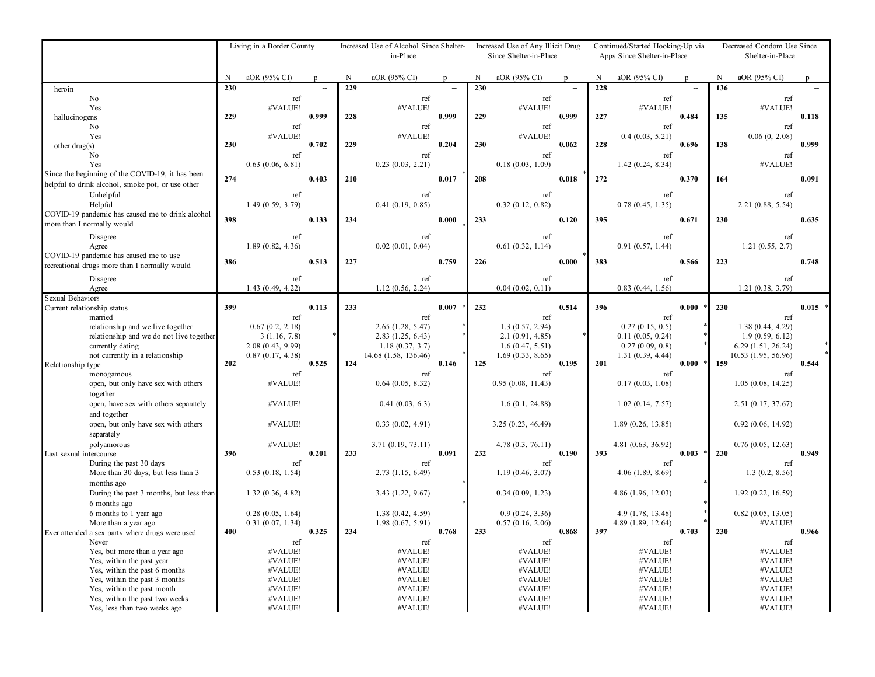|                                                                               |     | Living in a Border County            |              | Increased Use of Alcohol Since Shelter-<br>in-Place |                                      |              |     | Increased Use of Any Illicit Drug<br>Since Shelter-in-Place |              | Continued/Started Hooking-Up via<br>Apps Since Shelter-in-Place |                                         |             |             | Decreased Condom Use Since<br>Shelter-in-Place |           |
|-------------------------------------------------------------------------------|-----|--------------------------------------|--------------|-----------------------------------------------------|--------------------------------------|--------------|-----|-------------------------------------------------------------|--------------|-----------------------------------------------------------------|-----------------------------------------|-------------|-------------|------------------------------------------------|-----------|
|                                                                               | N   | aOR (95% CI)                         | $\mathbf{r}$ | N                                                   | aOR (95% CI)                         | $\mathbf{r}$ | N   | aOR (95% CI)                                                | $\mathbf{r}$ | N                                                               | aOR (95% CI)                            | $\mathbf n$ | $\mathbf N$ | aOR (95% CI)                                   |           |
| heroin                                                                        | 230 |                                      |              | 229                                                 |                                      |              | 230 |                                                             |              | 228                                                             |                                         |             | 136         |                                                |           |
| No                                                                            |     | ref                                  |              |                                                     | ref                                  |              |     | ref                                                         |              |                                                                 | ref                                     |             |             | ref                                            |           |
| Yes                                                                           | 229 | #VALUE!                              | 0.999        |                                                     | #VALUE!                              | 0.999        |     | #VALUE!                                                     | 0.999        |                                                                 | #VALUE!                                 |             |             | #VALUE!                                        |           |
| hallucinogens<br>No                                                           |     | ref                                  |              | 228                                                 | ref                                  |              | 229 | ref                                                         |              | 227                                                             | ref                                     | 0.484       | 135         | ref                                            | 0.118     |
| Yes                                                                           |     | #VALUE!                              |              |                                                     | #VALUE!                              |              |     | #VALUE!                                                     |              |                                                                 | 0.4(0.03, 5.21)                         |             |             | 0.06(0, 2.08)                                  |           |
| other $d\text{rug}(s)$                                                        | 230 |                                      | 0.702        | 229                                                 |                                      | 0.204        | 230 |                                                             | 0.062        | 228                                                             |                                         | 0.696       | 138         |                                                | 0.999     |
| No                                                                            |     | ref                                  |              |                                                     | ref                                  |              |     | ref                                                         |              |                                                                 | ref                                     |             |             | ref                                            |           |
| Yes                                                                           |     | 0.63(0.06, 6.81)                     |              |                                                     | 0.23(0.03, 2.21)                     |              |     | 0.18(0.03, 1.09)                                            |              |                                                                 | 1.42(0.24, 8.34)                        |             |             | #VALUE!                                        |           |
| Since the beginning of the COVID-19, it has been                              | 274 |                                      | 0.403        | 210                                                 |                                      | 0.017        | 208 |                                                             | 0.018        | 272                                                             |                                         | 0.370       | 164         |                                                | 0.091     |
| helpful to drink alcohol, smoke pot, or use other                             |     |                                      |              |                                                     |                                      |              |     |                                                             |              |                                                                 |                                         |             |             |                                                |           |
| Unhelpful<br>Helpful                                                          |     | ref                                  |              |                                                     | ref                                  |              |     | ref                                                         |              |                                                                 | ref                                     |             |             | ref                                            |           |
| COVID-19 pandemic has caused me to drink alcohol                              |     | 1.49(0.59, 3.79)                     |              |                                                     | 0.41(0.19, 0.85)                     |              |     | 0.32(0.12, 0.82)                                            |              |                                                                 | 0.78(0.45, 1.35)                        |             |             | 2.21(0.88, 5.54)                               |           |
| more than I normally would                                                    | 398 |                                      | 0.133        | 234                                                 |                                      | 0.000        | 233 |                                                             | 0.120        | 395                                                             |                                         | 0.671       | 230         |                                                | 0.635     |
| Disagree                                                                      |     | ref                                  |              |                                                     | ref                                  |              |     | ref                                                         |              |                                                                 | ref                                     |             |             | ref                                            |           |
| Agree                                                                         |     | 1.89(0.82, 4.36)                     |              |                                                     | 0.02(0.01, 0.04)                     |              |     | 0.61(0.32, 1.14)                                            |              |                                                                 | 0.91(0.57, 1.44)                        |             |             | 1.21(0.55, 2.7)                                |           |
| COVID-19 pandemic has caused me to use                                        |     |                                      |              |                                                     |                                      |              |     |                                                             |              |                                                                 |                                         |             |             |                                                |           |
| recreational drugs more than I normally would                                 | 386 |                                      | 0.513        | 227                                                 |                                      | 0.759        | 226 |                                                             | 0.000        | 383                                                             |                                         | 0.566       | 223         |                                                | 0.748     |
| Disagree                                                                      |     | ref                                  |              |                                                     | ref                                  |              |     | ref                                                         |              |                                                                 | ref                                     |             |             | ref                                            |           |
| Agree                                                                         |     | 1.43(0.49, 4.22)                     |              |                                                     | 1.12(0.56, 2.24)                     |              |     | 0.04(0.02, 0.11)                                            |              |                                                                 | 0.83(0.44, 1.56)                        |             |             | 1.21(0.38, 3.79)                               |           |
| <b>Sexual Behaviors</b>                                                       |     |                                      |              |                                                     |                                      |              |     |                                                             |              |                                                                 |                                         |             |             |                                                |           |
| Current relationship status                                                   | 399 |                                      | 0.113        | 233                                                 |                                      | 0.007        | 232 |                                                             | 0.514        | 396                                                             |                                         | 0.000       | 230         |                                                | $0.015$ * |
| married                                                                       |     | ref                                  |              |                                                     | ref                                  |              |     | ref                                                         |              |                                                                 | ref                                     |             |             | ref                                            |           |
| relationship and we live together<br>relationship and we do not live together |     | 0.67(0.2, 2.18)<br>3(1.16, 7.8)      |              |                                                     | 2.65(1.28, 5.47)<br>2.83(1.25, 6.43) |              |     | 1.3(0.57, 2.94)<br>2.1(0.91, 4.85)                          |              |                                                                 | 0.27(0.15, 0.5)<br>0.11(0.05, 0.24)     |             |             | 1.38(0.44, 4.29)<br>1.9(0.59, 6.12)            |           |
| currently dating                                                              |     | 2.08(0.43, 9.99)                     |              |                                                     | 1.18(0.37, 3.7)                      |              |     | 1.6(0.47, 5.51)                                             |              |                                                                 | 0.27(0.09, 0.8)                         |             |             | 6.29(1.51, 26.24)                              |           |
| not currently in a relationship                                               |     | 0.87(0.17, 4.38)                     |              |                                                     | 14.68 (1.58, 136.46)                 |              |     | 1.69(0.33, 8.65)                                            |              |                                                                 | 1.31(0.39, 4.44)                        |             |             | 10.53 (1.95, 56.96)                            |           |
| Relationship type                                                             | 202 |                                      | 0.525        | 124                                                 |                                      | 0.146        | 125 |                                                             | 0.195        | 201                                                             |                                         | $0.000*$    | 159         |                                                | 0.544     |
| monogamous                                                                    |     | ref                                  |              |                                                     | ref                                  |              |     | ref                                                         |              |                                                                 | ref                                     |             |             | ref                                            |           |
| open, but only have sex with others                                           |     | #VALUE!                              |              |                                                     | 0.64(0.05, 8.32)                     |              |     | 0.95(0.08, 11.43)                                           |              |                                                                 | 0.17(0.03, 1.08)                        |             |             | 1.05(0.08, 14.25)                              |           |
| together                                                                      |     |                                      |              |                                                     |                                      |              |     |                                                             |              |                                                                 |                                         |             |             |                                                |           |
| open, have sex with others separately                                         |     | #VALUE!                              |              |                                                     | 0.41(0.03, 6.3)                      |              |     | 1.6(0.1, 24.88)                                             |              |                                                                 | 1.02(0.14, 7.57)                        |             |             | 2.51(0.17, 37.67)                              |           |
| and together<br>open, but only have sex with others                           |     | #VALUE!                              |              |                                                     | 0.33(0.02, 4.91)                     |              |     |                                                             |              |                                                                 |                                         |             |             | 0.92(0.06, 14.92)                              |           |
| separately                                                                    |     |                                      |              |                                                     |                                      |              |     | 3.25(0.23, 46.49)                                           |              |                                                                 | 1.89(0.26, 13.85)                       |             |             |                                                |           |
| polyamorous                                                                   |     | #VALUE!                              |              |                                                     | 3.71(0.19, 73.11)                    |              |     | 4.78(0.3, 76.11)                                            |              |                                                                 | 4.81 (0.63, 36.92)                      |             |             | 0.76(0.05, 12.63)                              |           |
| Last sexual intercourse                                                       | 396 |                                      | 0.201        | 233                                                 |                                      | 0.091        | 232 |                                                             | 0.190        | 393                                                             |                                         | 0.003       | 230         |                                                | 0.949     |
| During the past 30 days                                                       |     | ref                                  |              |                                                     | ref                                  |              |     | ref                                                         |              |                                                                 | ref                                     |             |             | ref                                            |           |
| More than 30 days, but less than 3                                            |     | 0.53(0.18, 1.54)                     |              |                                                     | 2.73(1.15, 6.49)                     |              |     | 1.19(0.46, 3.07)                                            |              |                                                                 | 4.06(1.89, 8.69)                        |             |             | 1.3(0.2, 8.56)                                 |           |
| months ago                                                                    |     |                                      |              |                                                     |                                      |              |     |                                                             |              |                                                                 |                                         |             |             |                                                |           |
| During the past 3 months, but less than                                       |     | 1.32(0.36, 4.82)                     |              |                                                     | 3.43(1.22, 9.67)                     |              |     | 0.34(0.09, 1.23)                                            |              |                                                                 | 4.86 (1.96, 12.03)                      |             |             | 1.92 (0.22, 16.59)                             |           |
| 6 months ago                                                                  |     |                                      |              |                                                     |                                      |              |     |                                                             |              |                                                                 |                                         |             |             |                                                |           |
| 6 months to 1 year ago<br>More than a year ago                                |     | 0.28(0.05, 1.64)<br>0.31(0.07, 1.34) |              |                                                     | 1.38(0.42, 4.59)<br>1.98(0.67, 5.91) |              |     | 0.9(0.24, 3.36)<br>0.57(0.16, 2.06)                         |              |                                                                 | 4.9 (1.78, 13.48)<br>4.89 (1.89, 12.64) |             |             | 0.82(0.05, 13.05)<br>#VALUE!                   |           |
| Ever attended a sex party where drugs were used                               | 400 |                                      | 0.325        | 234                                                 |                                      | 0.768        | 233 |                                                             | 0.868        | 397                                                             |                                         | 0.703       | 230         |                                                | 0.966     |
| Never                                                                         |     | ref                                  |              |                                                     | ref                                  |              |     | ref                                                         |              |                                                                 | ref                                     |             |             | ref                                            |           |
| Yes, but more than a year ago                                                 |     | #VALUE!                              |              |                                                     | #VALUE!                              |              |     | #VALUE!                                                     |              |                                                                 | #VALUE!                                 |             |             | #VALUE!                                        |           |
| Yes, within the past year                                                     |     | #VALUE!                              |              |                                                     | #VALUE!                              |              |     | #VALUE!                                                     |              |                                                                 | #VALUE!                                 |             |             | #VALUE!                                        |           |
| Yes, within the past 6 months                                                 |     | #VALUE!                              |              |                                                     | #VALUE!                              |              |     | #VALUE!                                                     |              |                                                                 | #VALUE!                                 |             |             | #VALUE!                                        |           |
| Yes, within the past 3 months<br>Yes, within the past month                   |     | #VALUE!<br>#VALUE!                   |              |                                                     | #VALUE!<br>#VALUE!                   |              |     | #VALUE!<br>#VALUE!                                          |              |                                                                 | #VALUE!<br>#VALUE!                      |             |             | #VALUE!<br>#VALUE!                             |           |
| Yes, within the past two weeks                                                |     | #VALUE!                              |              |                                                     | #VALUE!                              |              |     | #VALUE!                                                     |              |                                                                 | #VALUE!                                 |             |             | #VALUE!                                        |           |
| Yes, less than two weeks ago                                                  |     | #VALUE!                              |              |                                                     | #VALUE!                              |              |     | #VALUE!                                                     |              |                                                                 | #VALUE!                                 |             |             | #VALUE!                                        |           |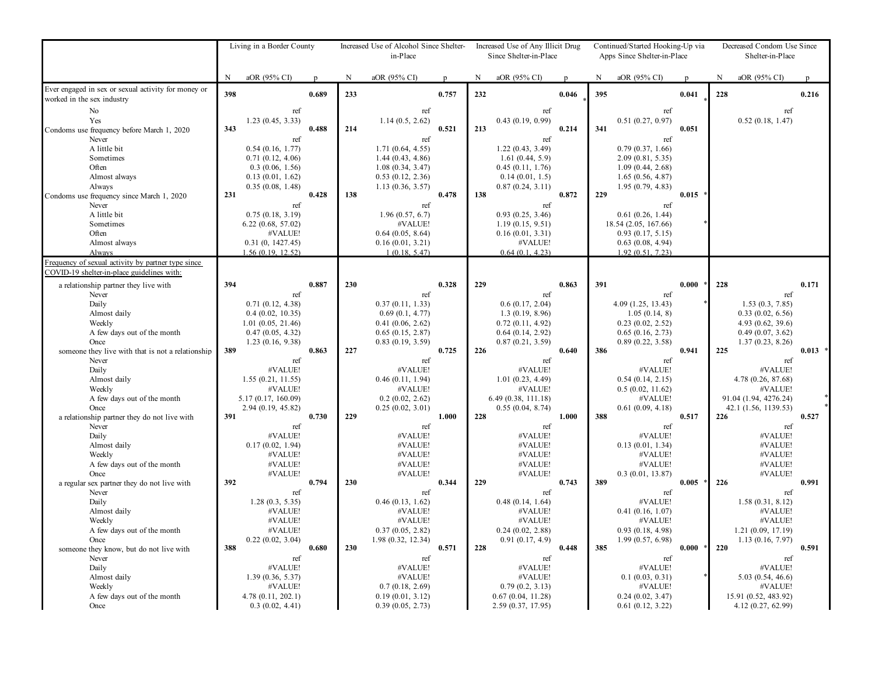|                                                                                                                                      | Living in a Border County |                                                                                                          |              | Increased Use of Alcohol Since Shelter- |                                                                                                              |              | Increased Use of Any Illicit Drug |                                                                                                       |              |     | Continued/Started Hooking-Up via                                                                                 |       | Decreased Condom Use Since |                                                                                                        |           |  |
|--------------------------------------------------------------------------------------------------------------------------------------|---------------------------|----------------------------------------------------------------------------------------------------------|--------------|-----------------------------------------|--------------------------------------------------------------------------------------------------------------|--------------|-----------------------------------|-------------------------------------------------------------------------------------------------------|--------------|-----|------------------------------------------------------------------------------------------------------------------|-------|----------------------------|--------------------------------------------------------------------------------------------------------|-----------|--|
|                                                                                                                                      |                           |                                                                                                          |              |                                         | in-Place                                                                                                     |              |                                   | Since Shelter-in-Place                                                                                |              |     | Apps Since Shelter-in-Place                                                                                      |       |                            | Shelter-in-Place                                                                                       |           |  |
|                                                                                                                                      | N                         | aOR (95% CI)                                                                                             | $\mathbf{D}$ | N                                       | aOR (95% CI)                                                                                                 | $\mathbf{p}$ | $\mathbf N$                       | aOR (95% CI)                                                                                          | $\mathbf{p}$ | N   | aOR (95% CI)                                                                                                     | p     | N                          | aOR (95% CI)                                                                                           |           |  |
| Ever engaged in sex or sexual activity for money or<br>worked in the sex industry                                                    | 398                       |                                                                                                          | 0.689        | 233                                     |                                                                                                              | 0.757        | 232                               |                                                                                                       | 0.046        | 395 |                                                                                                                  | 0.041 | 228                        |                                                                                                        | 0.216     |  |
| No<br>Yes<br>Condoms use frequency before March 1, 2020<br>Never                                                                     | 343                       | ref<br>1.23(0.45, 3.33)                                                                                  | 0.488        | 214                                     | ref<br>1.14(0.5, 2.62)                                                                                       | 0.521        | 213                               | ref<br>0.43(0.19, 0.99)                                                                               | 0.214        | 341 | ref<br>0.51(0.27, 0.97)                                                                                          | 0.051 |                            | ref<br>0.52(0.18, 1.47)                                                                                |           |  |
| A little bit<br>Sometimes<br>Often<br>Almost always<br>Always<br>Condoms use frequency since March 1, 2020                           | 231                       | ref<br>0.54(0.16, 1.77)<br>0.71(0.12, 4.06)<br>0.3(0.06, 1.56)<br>0.13(0.01, 1.62)<br>0.35(0.08, 1.48)   | 0.428        | 138                                     | ref<br>1.71(0.64, 4.55)<br>1.44(0.43, 4.86)<br>1.08(0.34, 3.47)<br>$0.53$ $(0.12, 2.36)$<br>1.13(0.36, 3.57) | 0.478        | 138                               | ref<br>1.22(0.43, 3.49)<br>1.61(0.44, 5.9)<br>0.45(0.11, 1.76)<br>0.14(0.01, 1.5)<br>0.87(0.24, 3.11) | 0.872        | 229 | ref<br>0.79(0.37, 1.66)<br>2.09(0.81, 5.35)<br>1.09(0.44, 2.68)<br>1.65(0.56, 4.87)<br>1.95(0.79, 4.83)          | 0.015 |                            |                                                                                                        |           |  |
| Never<br>A little bit<br>Sometimes<br>Often<br>Almost always<br>Always                                                               |                           | ref<br>0.75(0.18, 3.19)<br>6.22(0.68, 57.02)<br>#VALUE!<br>0.31(0, 1427.45)<br>1.56(0.19, 12.52)         |              |                                         | ref<br>1.96(0.57, 6.7)<br>#VALUE!<br>0.64(0.05, 8.64)<br>0.16(0.01, 3.21)<br>1(0.18, 5.47)                   |              |                                   | ref<br>0.93(0.25, 3.46)<br>1.19(0.15, 9.51)<br>0.16(0.01, 3.31)<br>#VALUE!<br>0.64(0.1, 4.23)         |              |     | ref<br>0.61(0.26, 1.44)<br>18.54 (2.05, 167.66)<br>0.93(0.17, 5.15)<br>$0.63$ $(0.08, 4.94)$<br>1.92(0.51, 7.23) |       |                            |                                                                                                        |           |  |
| Frequency of sexual activity by partner type since<br>COVID-19 shelter-in-place guidelines with:                                     |                           |                                                                                                          |              |                                         |                                                                                                              |              |                                   |                                                                                                       |              |     |                                                                                                                  |       |                            |                                                                                                        |           |  |
| a relationship partner they live with                                                                                                | 394                       |                                                                                                          | 0.887        | 230                                     |                                                                                                              | 0.328        | 229                               |                                                                                                       | 0.863        | 391 |                                                                                                                  | 0.000 | 228                        |                                                                                                        | 0.171     |  |
| Never<br>Daily<br>Almost daily<br>Weekly<br>A few days out of the month<br>Once<br>someone they live with that is not a relationship | 389                       | ref<br>0.71(0.12, 4.38)<br>0.4(0.02, 10.35)<br>1.01(0.05, 21.46)<br>0.47(0.05, 4.32)<br>1.23(0.16, 9.38) | 0.863        | 227                                     | ref<br>0.37(0.11, 1.33)<br>0.69(0.1, 4.77)<br>0.41(0.06, 2.62)<br>$0.65$ $(0.15, 2.87)$<br>0.83(0.19, 3.59)  | 0.725        | 226                               | ref<br>0.6(0.17, 2.04)<br>1.3(0.19, 8.96)<br>0.72(0.11, 4.92)<br>0.64(0.14, 2.92)<br>0.87(0.21, 3.59) | 0.640        | 386 | ref<br>4.09(1.25, 13.43)<br>1.05(0.14, 8)<br>0.23(0.02, 2.52)<br>0.65(0.16, 2.73)<br>0.89(0.22, 3.58)            | 0.941 | 225                        | ref<br>1.53(0.3, 7.85)<br>0.33(0.02, 6.56)<br>4.93(0.62, 39.6)<br>0.49(0.07, 3.62)<br>1.37(0.23, 8.26) | $0.013$ * |  |
| Never<br>Daily<br>Almost daily<br>Weekly<br>A few days out of the month<br>Once                                                      |                           | ref<br>#VALUE!<br>1.55(0.21, 11.55)<br>#VALUE!<br>5.17 (0.17, 160.09)<br>2.94 (0.19, 45.82)              |              |                                         | ref<br>#VALUE!<br>0.46(0.11, 1.94)<br>#VALUE!<br>0.2(0.02, 2.62)<br>0.25(0.02, 3.01)                         |              |                                   | ref<br>#VALUE!<br>1.01(0.23, 4.49)<br>#VALUE!<br>6.49 (0.38, 111.18)<br>0.55(0.04, 8.74)              |              |     | ref<br>#VALUE!<br>0.54(0.14, 2.15)<br>0.5(0.02, 11.62)<br>#VALUE!<br>0.61(0.09, 4.18)                            |       |                            | ref<br>#VALUE!<br>4.78 (0.26, 87.68)<br>#VALUE!<br>91.04 (1.94, 4276.24)<br>42.1 (1.56, 1139.53)       |           |  |
| a relationship partner they do not live with<br>Never<br>Daily<br>Almost daily<br>Weekly<br>A few days out of the month<br>Once      | 391                       | ref<br>#VALUE!<br>0.17(0.02, 1.94)<br>#VALUE!<br>#VALUE!<br>#VALUE!                                      | 0.730        | 229                                     | ref<br>#VALUE!<br>#VALUE!<br>#VALUE!<br>#VALUE!<br>#VALUE!                                                   | 1.000        | 228                               | ref<br>#VALUE!<br>#VALUE!<br>#VALUE!<br>#VALUE!<br>#VALUE!                                            | 1.000        | 388 | ref<br>#VALUE!<br>0.13(0.01, 1.34)<br>#VALUE!<br>#VALUE!<br>0.3(0.01, 13.87)                                     | 0.517 | 226                        | ref<br>#VALUE!<br>#VALUE!<br>#VALUE!<br>#VALUE!<br>#VALUE!                                             | 0.527     |  |
| a regular sex partner they do not live with<br>Never<br>Daily<br>Almost daily<br>Weekly<br>A few days out of the month<br>Once       | 392                       | ref<br>1.28(0.3, 5.35)<br>#VALUE!<br>#VALUE!<br>#VALUE!<br>0.22(0.02, 3.04)                              | 0.794        | 230                                     | ref<br>0.46(0.13, 1.62)<br>#VALUE!<br>#VALUE!<br>0.37(0.05, 2.82)<br>1.98 (0.32, 12.34)                      | 0.344        | 229                               | ref<br>0.48(0.14, 1.64)<br>#VALUE!<br>#VALUE!<br>0.24(0.02, 2.88)<br>0.91(0.17, 4.9)                  | 0.743        | 389 | ref<br>#VALUE!<br>0.41(0.16, 1.07)<br>#VALUE!<br>0.93(0.18, 4.98)<br>1.99(0.57, 6.98)                            | 0.005 | 226                        | ref<br>1.58(0.31, 8.12)<br>#VALUE!<br>#VALUE!<br>1.21(0.09, 17.19)<br>1.13(0.16, 7.97)                 | 0.991     |  |
| someone they know, but do not live with<br>Never<br>Daily<br>Almost daily<br>Weekly<br>A few days out of the month<br>Once           | 388                       | ref<br>#VALUE!<br>1.39(0.36, 5.37)<br>#VALUE!<br>4.78(0.11, 202.1)<br>0.3(0.02, 4.41)                    | 0.680        | 230                                     | ref<br>#VALUE!<br>#VALUE!<br>0.7(0.18, 2.69)<br>0.19(0.01, 3.12)<br>0.39(0.05, 2.73)                         | 0.571        | 228                               | ref<br>#VALUE!<br>#VALUE!<br>0.79(0.2, 3.13)<br>0.67(0.04, 11.28)<br>2.59(0.37, 17.95)                | 0.448        | 385 | ref<br>#VALUE!<br>0.1(0.03, 0.31)<br>#VALUE!<br>0.24(0.02, 3.47)<br>0.61(0.12, 3.22)                             | 0.000 | 220                        | ref<br>#VALUE!<br>5.03(0.54, 46.6)<br>#VALUE!<br>15.91 (0.52, 483.92)<br>4.12 (0.27, 62.99)            | 0.591     |  |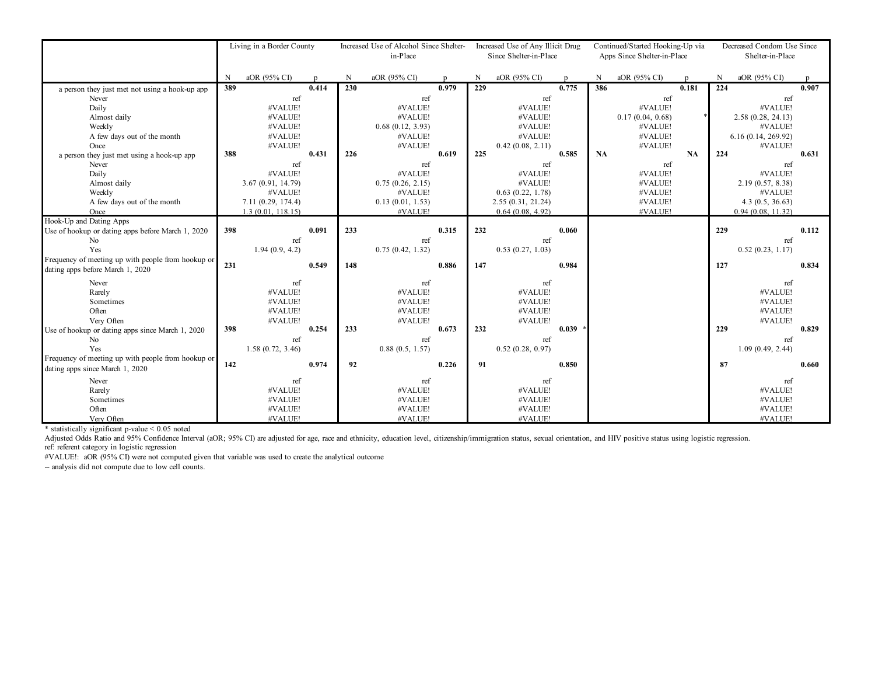|                                                         | Living in a Border County |                                        |       | Increased Use of Alcohol Since Shelter-<br>in-Place |                             |       |     | Increased Use of Any Illicit Drug<br>Since Shelter-in-Place |       |     | Continued/Started Hooking-Up via<br>Apps Since Shelter-in-Place |       |     | Decreased Condom Use Since<br>Shelter-in-Place |       |  |
|---------------------------------------------------------|---------------------------|----------------------------------------|-------|-----------------------------------------------------|-----------------------------|-------|-----|-------------------------------------------------------------|-------|-----|-----------------------------------------------------------------|-------|-----|------------------------------------------------|-------|--|
|                                                         | N                         | aOR (95% CI)                           |       | N                                                   | aOR (95% CI)                |       | N   | aOR (95% CI)                                                |       | N   | aOR (95% CI)                                                    |       | N   | aOR (95% CI)                                   |       |  |
| a person they just met not using a hook-up app          | 389                       |                                        | 0.414 | 230                                                 |                             | 0.979 | 229 |                                                             | 0.775 | 386 |                                                                 | 0.181 | 224 |                                                | 0.907 |  |
| Never                                                   |                           | ref                                    |       |                                                     | ref                         |       |     | ref                                                         |       |     | ref                                                             |       |     | ref                                            |       |  |
| Daily                                                   |                           | #VALUE!                                |       |                                                     | #VALUE!                     |       |     | #VALUE!                                                     |       |     | #VALUE!                                                         |       |     | #VALUE!                                        |       |  |
| Almost daily                                            |                           | #VALUE!                                |       |                                                     | #VALUE!                     |       |     | #VALUE!                                                     |       |     | 0.17(0.04, 0.68)                                                |       |     | 2.58(0.28, 24.13)                              |       |  |
| Weekly                                                  |                           | #VALUE!                                |       |                                                     | 0.68(0.12, 3.93)            |       |     | #VALUE!                                                     |       |     | #VALUE!                                                         |       |     | #VALUE!                                        |       |  |
| A few days out of the month                             |                           | #VALUE!                                |       |                                                     | #VALUE!                     |       |     | #VALUE!                                                     |       |     | #VALUE!                                                         |       |     | 6.16(0.14, 269.92)                             |       |  |
| Once                                                    |                           | #VALUE!                                |       |                                                     | #VALUE!                     |       |     | 0.42(0.08, 2.11)                                            |       |     | #VALUE!                                                         |       |     | #VALUE!                                        |       |  |
| a person they just met using a hook-up app              | 388                       |                                        | 0.431 | 226                                                 |                             | 0.619 | 225 |                                                             | 0.585 | NA  |                                                                 | NA    | 224 |                                                | 0.631 |  |
| Never                                                   |                           | ref                                    |       |                                                     | ref                         |       |     | ref                                                         |       |     | ref                                                             |       |     | ref                                            |       |  |
| Daily                                                   |                           | #VALUE!                                |       |                                                     | #VALUE!                     |       |     | #VALUE!                                                     |       |     | #VALUE!                                                         |       |     | #VALUE!                                        |       |  |
| Almost daily                                            |                           | 3.67(0.91, 14.79)<br>#VALUE!           |       |                                                     | 0.75(0.26, 2.15)<br>#VALUE! |       |     | #VALUE!                                                     |       |     | #VALUE!<br>#VALUE!                                              |       |     | 2.19(0.57, 8.38)<br>#VALUE!                    |       |  |
| Weekly                                                  |                           |                                        |       |                                                     |                             |       |     | 0.63(0.22, 1.78)                                            |       |     | #VALUE!                                                         |       |     |                                                |       |  |
| A few days out of the month<br>Once                     |                           | 7.11(0.29, 174.4)<br>1.3(0.01, 118.15) |       |                                                     | 0.13(0.01, 1.53)<br>#VALUE! |       |     | 2.55(0.31, 21.24)<br>0.64(0.08, 4.92)                       |       |     | #VALUE!                                                         |       |     | 4.3(0.5, 36.63)<br>0.94(0.08, 11.32)           |       |  |
| Hook-Up and Dating Apps                                 |                           |                                        |       |                                                     |                             |       |     |                                                             |       |     |                                                                 |       |     |                                                |       |  |
| Use of hookup or dating apps before March 1, 2020       | 398                       |                                        | 0.091 | 233                                                 |                             | 0.315 | 232 |                                                             | 0.060 |     |                                                                 |       | 229 |                                                | 0.112 |  |
| No                                                      |                           | ref                                    |       |                                                     | ref                         |       |     | ref                                                         |       |     |                                                                 |       |     | ref                                            |       |  |
| Yes                                                     |                           | 1.94(0.9, 4.2)                         |       |                                                     | 0.75(0.42, 1.32)            |       |     | 0.53(0.27, 1.03)                                            |       |     |                                                                 |       |     | 0.52(0.23, 1.17)                               |       |  |
| Frequency of meeting up with people from hookup or      |                           |                                        |       |                                                     |                             |       |     |                                                             |       |     |                                                                 |       |     |                                                |       |  |
| dating apps before March 1, 2020                        | 231                       |                                        | 0.549 | 148                                                 |                             | 0.886 | 147 |                                                             | 0.984 |     |                                                                 |       | 127 |                                                | 0.834 |  |
|                                                         |                           |                                        |       |                                                     |                             |       |     |                                                             |       |     |                                                                 |       |     |                                                |       |  |
| Never                                                   |                           | ref                                    |       |                                                     | ref                         |       |     | ref                                                         |       |     |                                                                 |       |     | ref                                            |       |  |
| Rarely                                                  |                           | #VALUE!                                |       |                                                     | #VALUE!                     |       |     | #VALUE!                                                     |       |     |                                                                 |       |     | #VALUE!                                        |       |  |
| Sometimes                                               |                           | #VALUE!                                |       |                                                     | #VALUE!                     |       |     | #VALUE!                                                     |       |     |                                                                 |       |     | #VALUE!                                        |       |  |
| Often                                                   |                           | #VALUE!                                |       |                                                     | #VALUE!                     |       |     | #VALUE!                                                     |       |     |                                                                 |       |     | #VALUE!                                        |       |  |
| Very Often                                              | 398                       | #VALUE!                                | 0.254 | 233                                                 | #VALUE!                     | 0.673 | 232 | #VALUE!                                                     | 0.039 |     |                                                                 |       | 229 | #VALUE!                                        | 0.829 |  |
| Use of hookup or dating apps since March 1, 2020<br>No. |                           | ref                                    |       |                                                     | ref                         |       |     | ref                                                         |       |     |                                                                 |       |     | ref                                            |       |  |
| Yes                                                     |                           | 1.58(0.72, 3.46)                       |       |                                                     | 0.88(0.5, 1.57)             |       |     | 0.52(0.28, 0.97)                                            |       |     |                                                                 |       |     | 1.09(0.49, 2.44)                               |       |  |
| Frequency of meeting up with people from hookup or      |                           |                                        |       |                                                     |                             |       |     |                                                             |       |     |                                                                 |       |     |                                                |       |  |
| dating apps since March 1, 2020                         | 142                       |                                        | 0.974 | 92                                                  |                             | 0.226 | 91  |                                                             | 0.850 |     |                                                                 |       | 87  |                                                | 0.660 |  |
|                                                         |                           |                                        |       |                                                     |                             |       |     |                                                             |       |     |                                                                 |       |     |                                                |       |  |
| Never                                                   |                           | ref                                    |       |                                                     | ref                         |       |     | ref                                                         |       |     |                                                                 |       |     | ref                                            |       |  |
| Rarely                                                  |                           | #VALUE!                                |       |                                                     | #VALUE!                     |       |     | #VALUE!                                                     |       |     |                                                                 |       |     | #VALUE!                                        |       |  |
| Sometimes                                               |                           | #VALUE!                                |       |                                                     | #VALUE!                     |       |     | #VALUE!                                                     |       |     |                                                                 |       |     | #VALUE!                                        |       |  |
| Often                                                   |                           | #VALUE!                                |       |                                                     | #VALUE!                     |       |     | #VALUE!                                                     |       |     |                                                                 |       |     | #VALUE!                                        |       |  |
| Very Often                                              |                           | #VALUE!                                |       |                                                     | #VALUE!                     |       |     | #VALUE!                                                     |       |     |                                                                 |       |     | #VALUE!                                        |       |  |

\* statistically significant p-value < 0.05 noted

ref: referent category in logistic regression Adjusted Odds Ratio and 95% Confidence Interval (aOR; 95% CI) are adjusted for age, race and ethnicity, education level, citizenship/immigration status, sexual orientation, and HIV positive status using logistic regression

#VALUE!: aOR (95% CI) were not computed given that variable was used to create the analytical outcome

-- analysis did not compute due to low cell counts.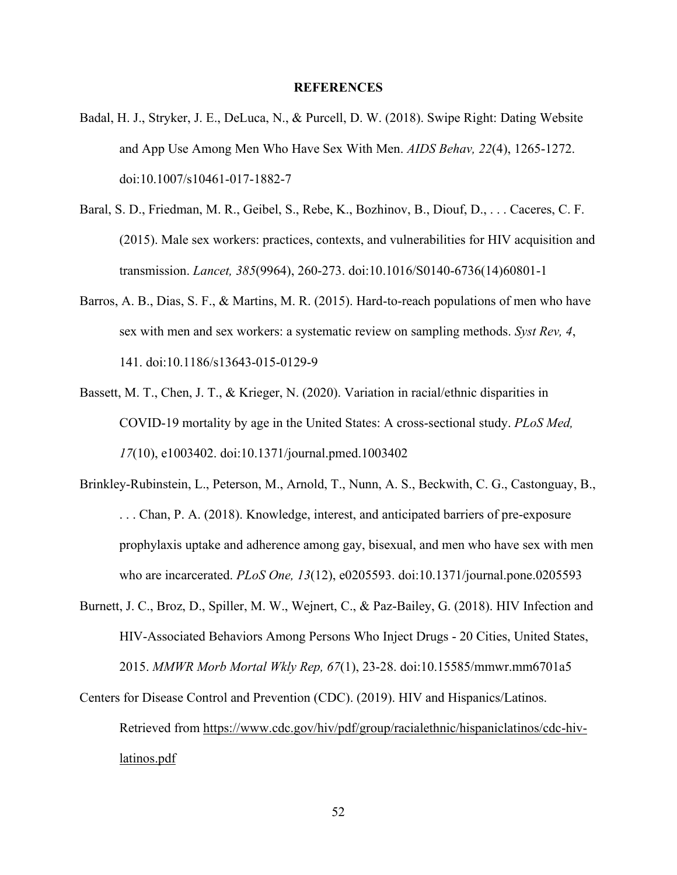## **REFERENCES**

- Badal, H. J., Stryker, J. E., DeLuca, N., & Purcell, D. W. (2018). Swipe Right: Dating Website and App Use Among Men Who Have Sex With Men. *AIDS Behav, 22*(4), 1265-1272. doi:10.1007/s10461-017-1882-7
- Baral, S. D., Friedman, M. R., Geibel, S., Rebe, K., Bozhinov, B., Diouf, D., . . . Caceres, C. F. (2015). Male sex workers: practices, contexts, and vulnerabilities for HIV acquisition and transmission. *Lancet, 385*(9964), 260-273. doi:10.1016/S0140-6736(14)60801-1
- Barros, A. B., Dias, S. F., & Martins, M. R. (2015). Hard-to-reach populations of men who have sex with men and sex workers: a systematic review on sampling methods. *Syst Rev, 4*, 141. doi:10.1186/s13643-015-0129-9
- Bassett, M. T., Chen, J. T., & Krieger, N. (2020). Variation in racial/ethnic disparities in COVID-19 mortality by age in the United States: A cross-sectional study. *PLoS Med, 17*(10), e1003402. doi:10.1371/journal.pmed.1003402
- Brinkley-Rubinstein, L., Peterson, M., Arnold, T., Nunn, A. S., Beckwith, C. G., Castonguay, B., . . . Chan, P. A. (2018). Knowledge, interest, and anticipated barriers of pre-exposure prophylaxis uptake and adherence among gay, bisexual, and men who have sex with men who are incarcerated. *PLoS One, 13*(12), e0205593. doi:10.1371/journal.pone.0205593
- Burnett, J. C., Broz, D., Spiller, M. W., Wejnert, C., & Paz-Bailey, G. (2018). HIV Infection and HIV-Associated Behaviors Among Persons Who Inject Drugs - 20 Cities, United States, 2015. *MMWR Morb Mortal Wkly Rep, 67*(1), 23-28. doi:10.15585/mmwr.mm6701a5
- Centers for Disease Control and Prevention (CDC). (2019). HIV and Hispanics/Latinos. Retrieved from https://www.cdc.gov/hiv/pdf/group/racialethnic/hispaniclatinos/cdc-hivlatinos.pdf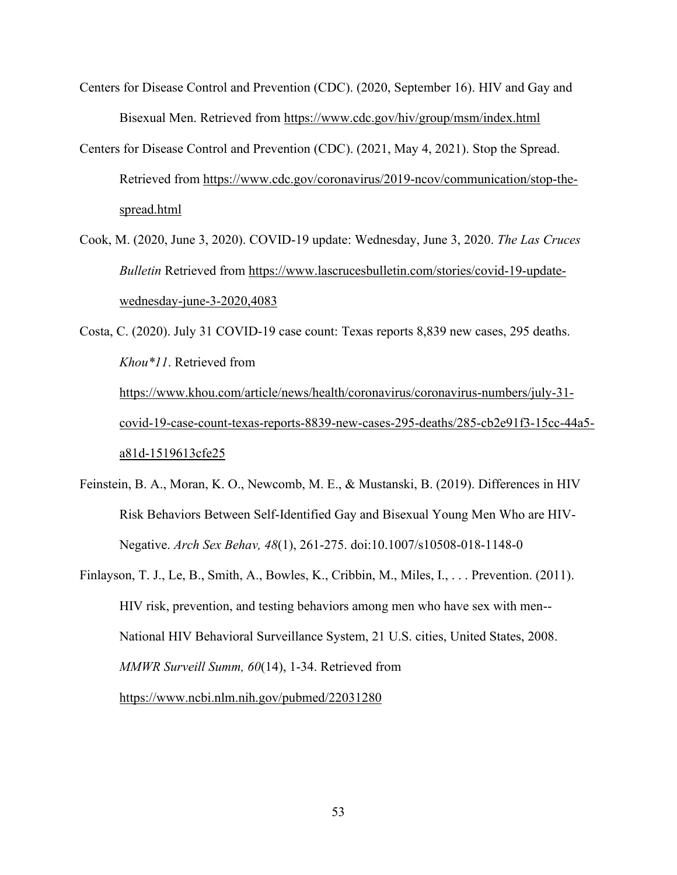- Centers for Disease Control and Prevention (CDC). (2020, September 16). HIV and Gay and Bisexual Men. Retrieved from https://www.cdc.gov/hiv/group/msm/index.html
- Centers for Disease Control and Prevention (CDC). (2021, May 4, 2021). Stop the Spread. Retrieved from https://www.cdc.gov/coronavirus/2019-ncov/communication/stop-thespread.html
- Cook, M. (2020, June 3, 2020). COVID-19 update: Wednesday, June 3, 2020. *The Las Cruces Bulletin* Retrieved from https://www.lascrucesbulletin.com/stories/covid-19-updatewednesday-june-3-2020,4083

Costa, C. (2020). July 31 COVID-19 case count: Texas reports 8,839 new cases, 295 deaths. *Khou\*11*. Retrieved from https://www.khou.com/article/news/health/coronavirus/coronavirus-numbers/july-31 covid-19-case-count-texas-reports-8839-new-cases-295-deaths/285-cb2e91f3-15cc-44a5 a81d-1519613cfe25

- Feinstein, B. A., Moran, K. O., Newcomb, M. E., & Mustanski, B. (2019). Differences in HIV Risk Behaviors Between Self-Identified Gay and Bisexual Young Men Who are HIV-Negative. *Arch Sex Behav, 48*(1), 261-275. doi:10.1007/s10508-018-1148-0
- Finlayson, T. J., Le, B., Smith, A., Bowles, K., Cribbin, M., Miles, I., . . . Prevention. (2011). HIV risk, prevention, and testing behaviors among men who have sex with men-- National HIV Behavioral Surveillance System, 21 U.S. cities, United States, 2008. *MMWR Surveill Summ, 60*(14), 1-34. Retrieved from https://www.ncbi.nlm.nih.gov/pubmed/22031280

53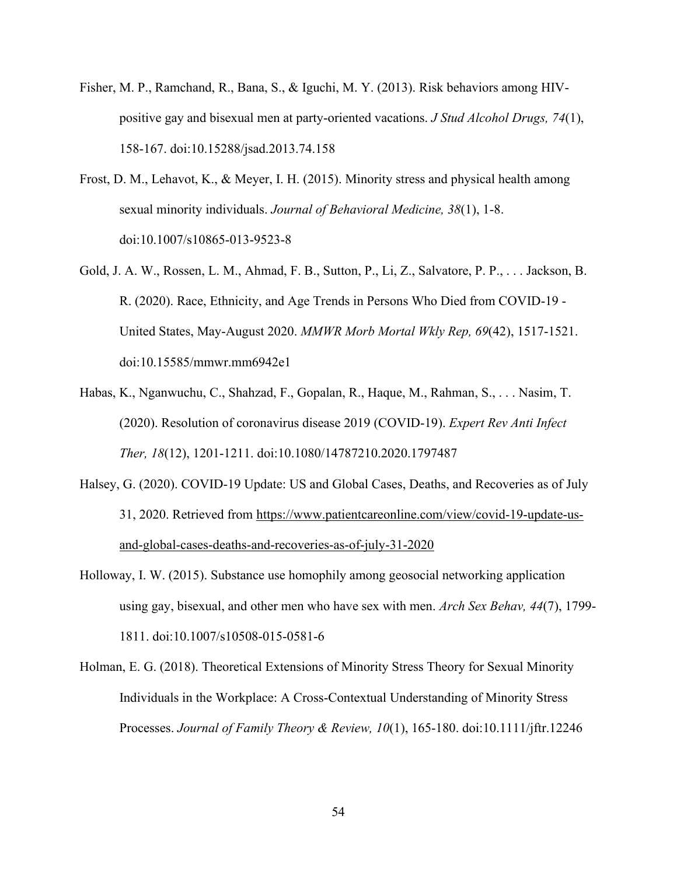- Fisher, M. P., Ramchand, R., Bana, S., & Iguchi, M. Y. (2013). Risk behaviors among HIVpositive gay and bisexual men at party-oriented vacations. *J Stud Alcohol Drugs, 74*(1), 158-167. doi:10.15288/jsad.2013.74.158
- Frost, D. M., Lehavot, K., & Meyer, I. H. (2015). Minority stress and physical health among sexual minority individuals. *Journal of Behavioral Medicine, 38*(1), 1-8. doi:10.1007/s10865-013-9523-8
- Gold, J. A. W., Rossen, L. M., Ahmad, F. B., Sutton, P., Li, Z., Salvatore, P. P., . . . Jackson, B. R. (2020). Race, Ethnicity, and Age Trends in Persons Who Died from COVID-19 - United States, May-August 2020. *MMWR Morb Mortal Wkly Rep, 69*(42), 1517-1521. doi:10.15585/mmwr.mm6942e1
- Habas, K., Nganwuchu, C., Shahzad, F., Gopalan, R., Haque, M., Rahman, S., . . . Nasim, T. (2020). Resolution of coronavirus disease 2019 (COVID-19). *Expert Rev Anti Infect Ther, 18*(12), 1201-1211. doi:10.1080/14787210.2020.1797487
- Halsey, G. (2020). COVID-19 Update: US and Global Cases, Deaths, and Recoveries as of July 31, 2020. Retrieved from https://www.patientcareonline.com/view/covid-19-update-usand-global-cases-deaths-and-recoveries-as-of-july-31-2020
- Holloway, I. W. (2015). Substance use homophily among geosocial networking application using gay, bisexual, and other men who have sex with men. *Arch Sex Behav, 44*(7), 1799- 1811. doi:10.1007/s10508-015-0581-6
- Holman, E. G. (2018). Theoretical Extensions of Minority Stress Theory for Sexual Minority Individuals in the Workplace: A Cross-Contextual Understanding of Minority Stress Processes. *Journal of Family Theory & Review, 10*(1), 165-180. doi:10.1111/jftr.12246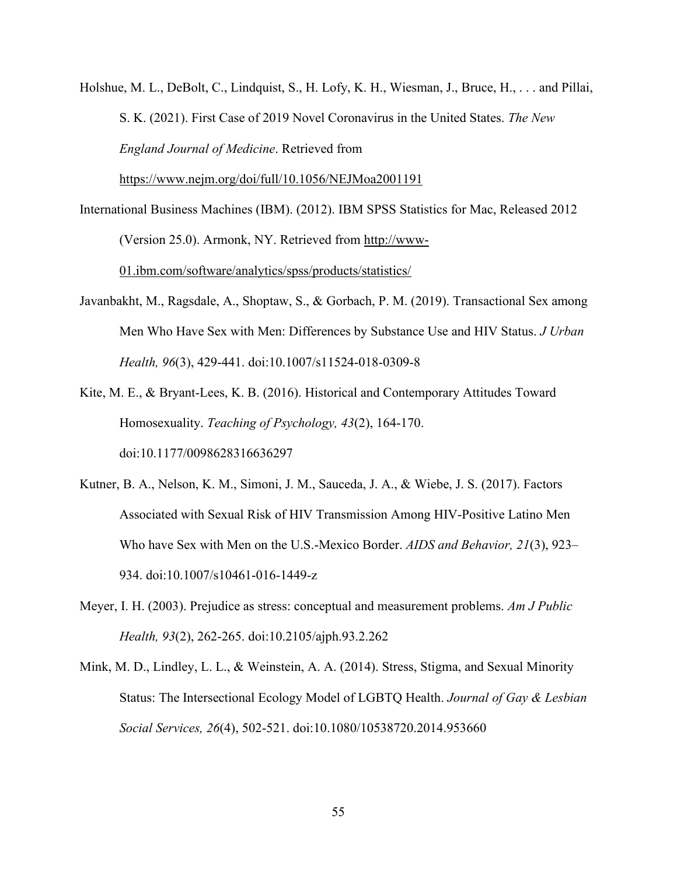Holshue, M. L., DeBolt, C., Lindquist, S., H. Lofy, K. H., Wiesman, J., Bruce, H., . . . and Pillai, S. K. (2021). First Case of 2019 Novel Coronavirus in the United States. *The New England Journal of Medicine*. Retrieved from

https://www.nejm.org/doi/full/10.1056/NEJMoa2001191

- International Business Machines (IBM). (2012). IBM SPSS Statistics for Mac, Released 2012 (Version 25.0). Armonk, NY. Retrieved from http://www-01.ibm.com/software/analytics/spss/products/statistics/
- Javanbakht, M., Ragsdale, A., Shoptaw, S., & Gorbach, P. M. (2019). Transactional Sex among Men Who Have Sex with Men: Differences by Substance Use and HIV Status. *J Urban Health, 96*(3), 429-441. doi:10.1007/s11524-018-0309-8
- Kite, M. E., & Bryant-Lees, K. B. (2016). Historical and Contemporary Attitudes Toward Homosexuality. *Teaching of Psychology, 43*(2), 164-170. doi:10.1177/0098628316636297
- Kutner, B. A., Nelson, K. M., Simoni, J. M., Sauceda, J. A., & Wiebe, J. S. (2017). Factors Associated with Sexual Risk of HIV Transmission Among HIV-Positive Latino Men Who have Sex with Men on the U.S.-Mexico Border. *AIDS and Behavior, 21*(3), 923– 934. doi:10.1007/s10461-016-1449-z
- Meyer, I. H. (2003). Prejudice as stress: conceptual and measurement problems. *Am J Public Health, 93*(2), 262-265. doi:10.2105/ajph.93.2.262
- Mink, M. D., Lindley, L. L., & Weinstein, A. A. (2014). Stress, Stigma, and Sexual Minority Status: The Intersectional Ecology Model of LGBTQ Health. *Journal of Gay & Lesbian Social Services, 26*(4), 502-521. doi:10.1080/10538720.2014.953660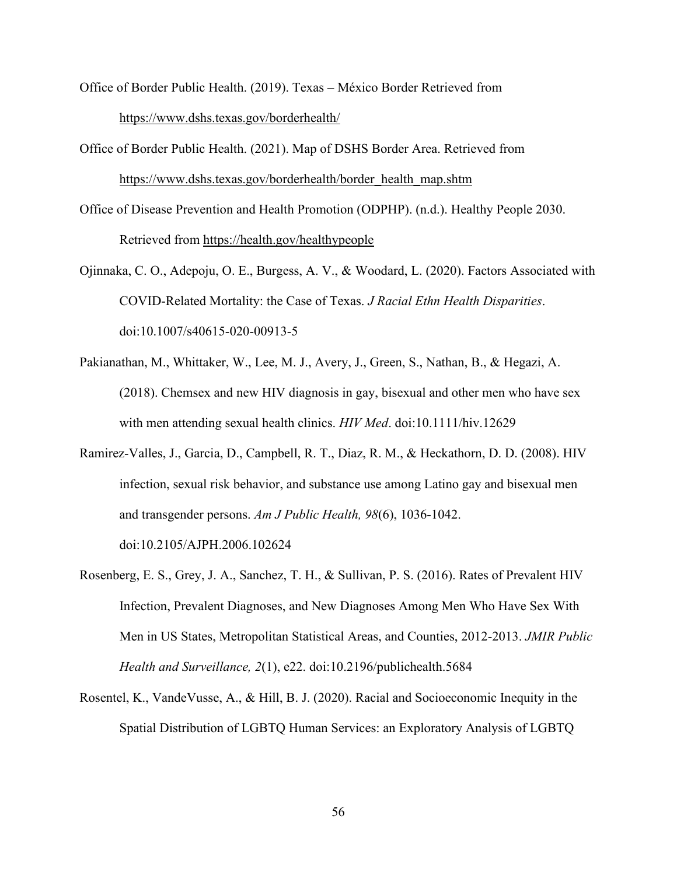- Office of Border Public Health. (2019). Texas México Border Retrieved from https://www.dshs.texas.gov/borderhealth/
- Office of Border Public Health. (2021). Map of DSHS Border Area. Retrieved from https://www.dshs.texas.gov/borderhealth/border\_health\_map.shtm
- Office of Disease Prevention and Health Promotion (ODPHP). (n.d.). Healthy People 2030. Retrieved from https://health.gov/healthypeople
- Ojinnaka, C. O., Adepoju, O. E., Burgess, A. V., & Woodard, L. (2020). Factors Associated with COVID-Related Mortality: the Case of Texas. *J Racial Ethn Health Disparities*. doi:10.1007/s40615-020-00913-5
- Pakianathan, M., Whittaker, W., Lee, M. J., Avery, J., Green, S., Nathan, B., & Hegazi, A. (2018). Chemsex and new HIV diagnosis in gay, bisexual and other men who have sex with men attending sexual health clinics. *HIV Med*. doi:10.1111/hiv.12629
- Ramirez-Valles, J., Garcia, D., Campbell, R. T., Diaz, R. M., & Heckathorn, D. D. (2008). HIV infection, sexual risk behavior, and substance use among Latino gay and bisexual men and transgender persons. *Am J Public Health, 98*(6), 1036-1042.

doi:10.2105/AJPH.2006.102624

- Rosenberg, E. S., Grey, J. A., Sanchez, T. H., & Sullivan, P. S. (2016). Rates of Prevalent HIV Infection, Prevalent Diagnoses, and New Diagnoses Among Men Who Have Sex With Men in US States, Metropolitan Statistical Areas, and Counties, 2012-2013. *JMIR Public Health and Surveillance, 2*(1), e22. doi:10.2196/publichealth.5684
- Rosentel, K., VandeVusse, A., & Hill, B. J. (2020). Racial and Socioeconomic Inequity in the Spatial Distribution of LGBTQ Human Services: an Exploratory Analysis of LGBTQ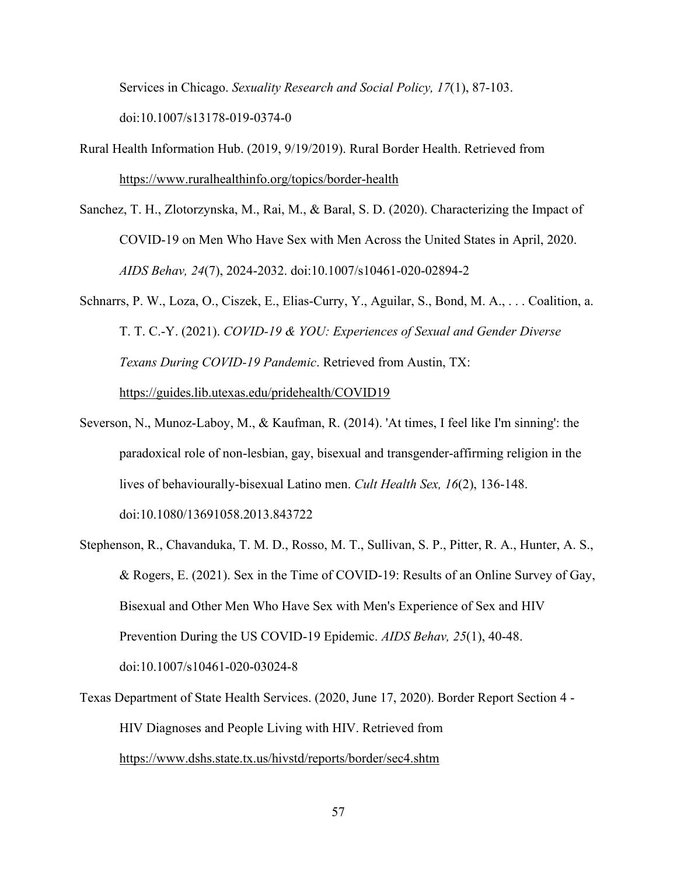Services in Chicago. *Sexuality Research and Social Policy, 17*(1), 87-103.

doi:10.1007/s13178-019-0374-0

- Rural Health Information Hub. (2019, 9/19/2019). Rural Border Health. Retrieved from https://www.ruralhealthinfo.org/topics/border-health
- Sanchez, T. H., Zlotorzynska, M., Rai, M., & Baral, S. D. (2020). Characterizing the Impact of COVID-19 on Men Who Have Sex with Men Across the United States in April, 2020. *AIDS Behav, 24*(7), 2024-2032. doi:10.1007/s10461-020-02894-2
- Schnarrs, P. W., Loza, O., Ciszek, E., Elias-Curry, Y., Aguilar, S., Bond, M. A., . . . Coalition, a. T. T. C.-Y. (2021). *COVID-19 & YOU: Experiences of Sexual and Gender Diverse Texans During COVID-19 Pandemic*. Retrieved from Austin, TX: https://guides.lib.utexas.edu/pridehealth/COVID19
- Severson, N., Munoz-Laboy, M., & Kaufman, R. (2014). 'At times, I feel like I'm sinning': the paradoxical role of non-lesbian, gay, bisexual and transgender-affirming religion in the lives of behaviourally-bisexual Latino men. *Cult Health Sex, 16*(2), 136-148. doi:10.1080/13691058.2013.843722
- Stephenson, R., Chavanduka, T. M. D., Rosso, M. T., Sullivan, S. P., Pitter, R. A., Hunter, A. S., & Rogers, E. (2021). Sex in the Time of COVID-19: Results of an Online Survey of Gay, Bisexual and Other Men Who Have Sex with Men's Experience of Sex and HIV Prevention During the US COVID-19 Epidemic. *AIDS Behav, 25*(1), 40-48. doi:10.1007/s10461-020-03024-8
- Texas Department of State Health Services. (2020, June 17, 2020). Border Report Section 4 HIV Diagnoses and People Living with HIV. Retrieved from https://www.dshs.state.tx.us/hivstd/reports/border/sec4.shtm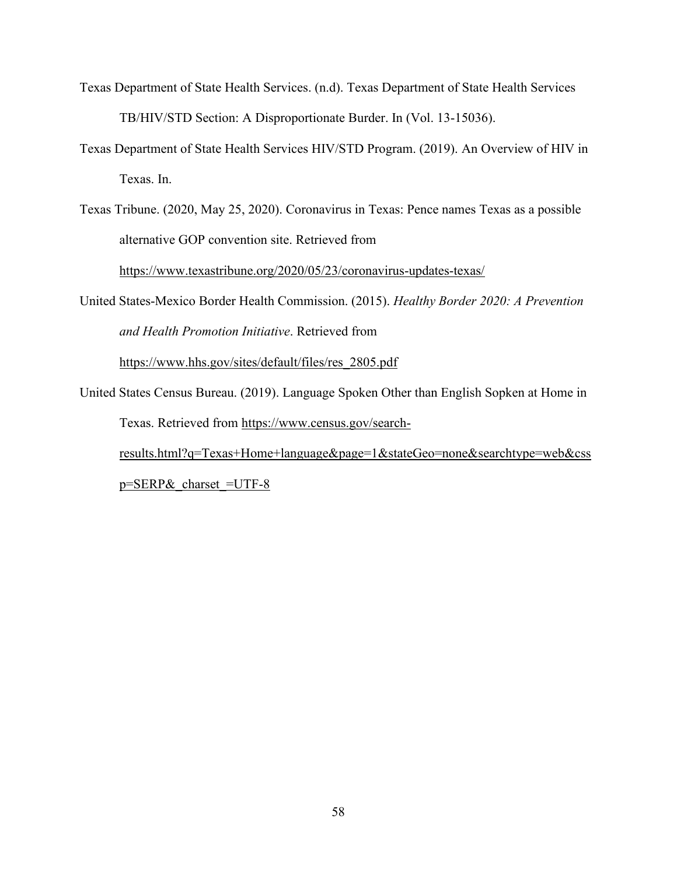- Texas Department of State Health Services. (n.d). Texas Department of State Health Services TB/HIV/STD Section: A Disproportionate Burder. In (Vol. 13-15036).
- Texas Department of State Health Services HIV/STD Program. (2019). An Overview of HIV in Texas. In.
- Texas Tribune. (2020, May 25, 2020). Coronavirus in Texas: Pence names Texas as a possible alternative GOP convention site. Retrieved from https://www.texastribune.org/2020/05/23/coronavirus-updates-texas/
- United States-Mexico Border Health Commission. (2015). *Healthy Border 2020: A Prevention and Health Promotion Initiative*. Retrieved from

https://www.hhs.gov/sites/default/files/res\_2805.pdf

United States Census Bureau. (2019). Language Spoken Other than English Sopken at Home in Texas. Retrieved from https://www.census.gov/search-

results.html?q=Texas+Home+language&page=1&stateGeo=none&searchtype=web&css  $p =$ SERP $&$ charset =UTF-8